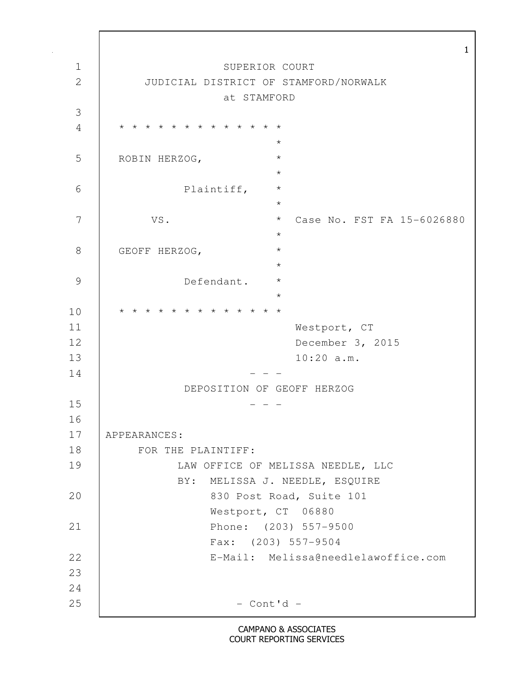1 1 SUPERIOR COURT 2 JUDICIAL DISTRICT OF STAMFORD/NORWALK at STAMFORD 3 4 \* \* \* \* \* \* \* \* \* \* \* \* \*  $\star$ 5 ROBIN HERZOG,  $\star$ 6 Plaintiff, \*  $\star$ 7 VS. \* Case No. FST FA 15-6026880  $\star$ 8 GEOFF HERZOG,  $\star$ 9 Defendant. \*  $\star$ 10 \* \* \* \* \* \* \* \* \* \* \* \* \* 11 Westport, CT 12 December 3, 2015 13 10:20 a.m.  $14$  - - - DEPOSITION OF GEOFF HERZOG  $15$  - - -16 17 APPEARANCES: 18 | FOR THE PLAINTIFF: 19 LAW OFFICE OF MELISSA NEEDLE, LLC BY: MELISSA J. NEEDLE, ESQUIRE 20 830 Post Road, Suite 101 Westport, CT 06880 21 Phone: (203) 557-9500 Fax: (203) 557-9504 22 E-Mail: Melissa@needlelawoffice.com 23 24  $25$   $-$  Cont'd  $-$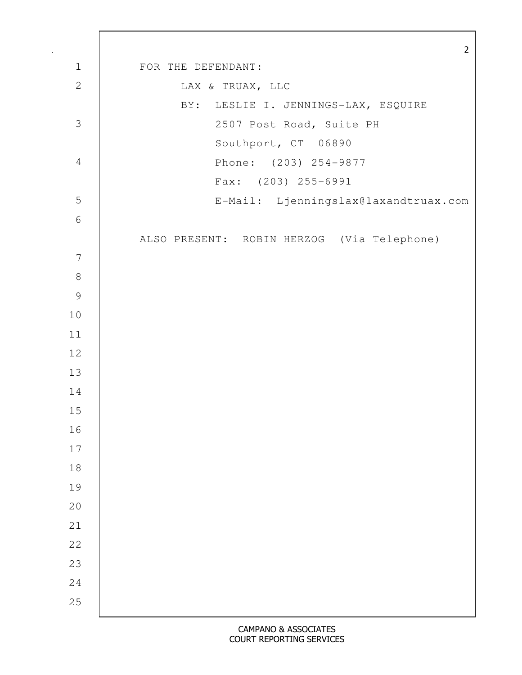|                  | $\overline{2}$                             |
|------------------|--------------------------------------------|
| $1\,$            | FOR THE DEFENDANT:                         |
| $\mathbf{2}$     | LAX & TRUAX, LLC                           |
|                  | BY: LESLIE I. JENNINGS-LAX, ESQUIRE        |
| 3                | 2507 Post Road, Suite PH                   |
|                  | Southport, CT 06890                        |
| $\overline{4}$   | Phone: (203) 254-9877                      |
|                  | Fax: (203) 255-6991                        |
| 5                | E-Mail: Ljenningslax@laxandtruax.com       |
| $\sqrt{6}$       |                                            |
|                  | ALSO PRESENT: ROBIN HERZOG (Via Telephone) |
| $\boldsymbol{7}$ |                                            |
| $\,8\,$          |                                            |
| $\mathcal{G}$    |                                            |
| 10               |                                            |
| 11               |                                            |
| 12               |                                            |
| 13               |                                            |
| 14               |                                            |
| 15               |                                            |
| 16               |                                            |
| $17$             |                                            |
| 18               |                                            |
| 19               |                                            |
| 20               |                                            |
| 21               |                                            |
| 22               |                                            |
| 23               |                                            |
| 24               |                                            |
| 25               |                                            |
|                  |                                            |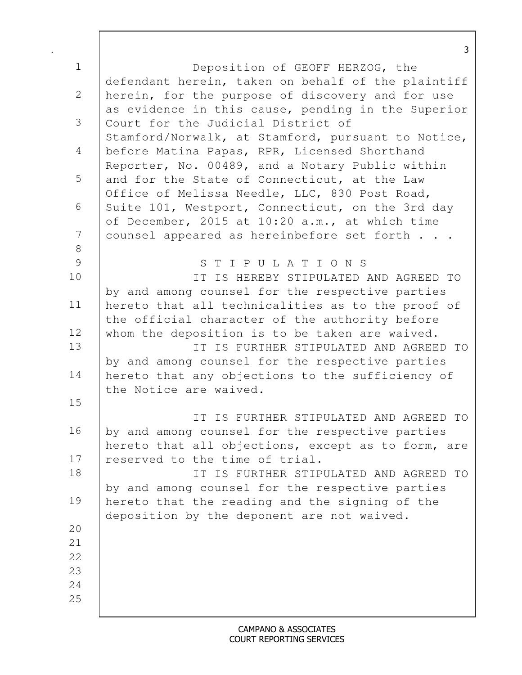|                | 3                                                                                                     |
|----------------|-------------------------------------------------------------------------------------------------------|
| $\mathbf 1$    | Deposition of GEOFF HERZOG, the                                                                       |
|                | defendant herein, taken on behalf of the plaintiff                                                    |
| $\overline{2}$ | herein, for the purpose of discovery and for use                                                      |
|                | as evidence in this cause, pending in the Superior                                                    |
| 3              | Court for the Judicial District of                                                                    |
|                | Stamford/Norwalk, at Stamford, pursuant to Notice,                                                    |
| 4              | before Matina Papas, RPR, Licensed Shorthand                                                          |
|                | Reporter, No. 00489, and a Notary Public within                                                       |
| 5              | and for the State of Connecticut, at the Law                                                          |
|                | Office of Melissa Needle, LLC, 830 Post Road,                                                         |
| 6              | Suite 101, Westport, Connecticut, on the 3rd day                                                      |
| 7              | of December, 2015 at 10:20 a.m., at which time<br>counsel appeared as hereinbefore set forth          |
| $8\,$          |                                                                                                       |
| 9              | STIPULATIONS                                                                                          |
| 10             | IT IS HEREBY STIPULATED AND AGREED TO                                                                 |
|                | by and among counsel for the respective parties                                                       |
| 11             | hereto that all technicalities as to the proof of                                                     |
|                | the official character of the authority before                                                        |
| 12             | whom the deposition is to be taken are waived.                                                        |
| 13             | IT IS FURTHER STIPULATED AND AGREED TO                                                                |
|                | by and among counsel for the respective parties                                                       |
| 14             | hereto that any objections to the sufficiency of                                                      |
|                | the Notice are waived.                                                                                |
| 15             |                                                                                                       |
| 16             | IT IS FURTHER STIPULATED AND AGREED TO                                                                |
|                | by and among counsel for the respective parties<br>hereto that all objections, except as to form, are |
| 17             | reserved to the time of trial.                                                                        |
| 18             | IT IS FURTHER STIPULATED AND AGREED TO                                                                |
|                | by and among counsel for the respective parties                                                       |
| 19             | hereto that the reading and the signing of the                                                        |
|                | deposition by the deponent are not waived.                                                            |
| 20             |                                                                                                       |
| 21             |                                                                                                       |
| 22             |                                                                                                       |
| 23             |                                                                                                       |
| 24             |                                                                                                       |
| 25             |                                                                                                       |

 $\mathbf l$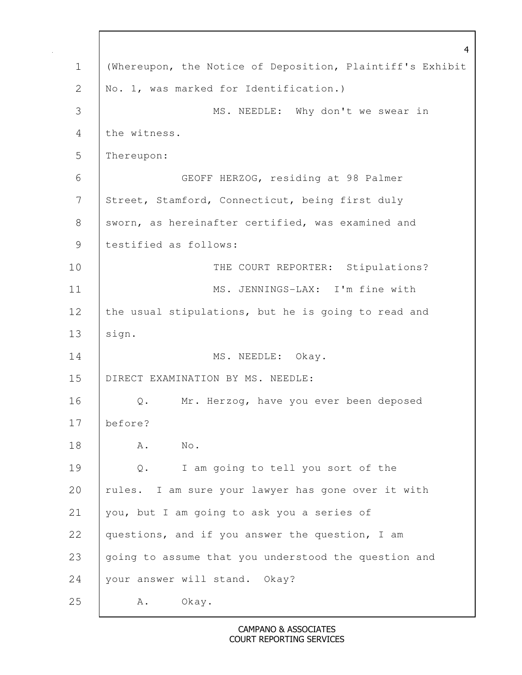|               | $\overline{4}$                                            |
|---------------|-----------------------------------------------------------|
| $\mathbf 1$   | (Whereupon, the Notice of Deposition, Plaintiff's Exhibit |
| $\mathbf{2}$  | No. 1, was marked for Identification.)                    |
| 3             | MS. NEEDLE: Why don't we swear in                         |
| 4             | the witness.                                              |
| 5             | Thereupon:                                                |
| 6             | GEOFF HERZOG, residing at 98 Palmer                       |
| 7             | Street, Stamford, Connecticut, being first duly           |
| $8\,$         | sworn, as hereinafter certified, was examined and         |
| $\mathcal{G}$ | testified as follows:                                     |
| 10            | THE COURT REPORTER: Stipulations?                         |
| 11            | MS. JENNINGS-LAX: I'm fine with                           |
| 12            | the usual stipulations, but he is going to read and       |
| 13            | sign.                                                     |
| 14            | MS. NEEDLE: Okay.                                         |
| 15            | DIRECT EXAMINATION BY MS. NEEDLE:                         |
| 16            | Mr. Herzog, have you ever been deposed<br>$\mathbb Q$ .   |
| 17            | before?                                                   |
| 18            | $\mathrm{No}$ .<br>Α.                                     |
| 19            | I am going to tell you sort of the<br>$Q$ .               |
| 20            | rules. I am sure your lawyer has gone over it with        |
| 21            | you, but I am going to ask you a series of                |
| 22            | questions, and if you answer the question, I am           |
| 23            | going to assume that you understood the question and      |
| 24            | your answer will stand. Okay?                             |
| 25            | Okay.<br>Α.                                               |

 $\mathbf l$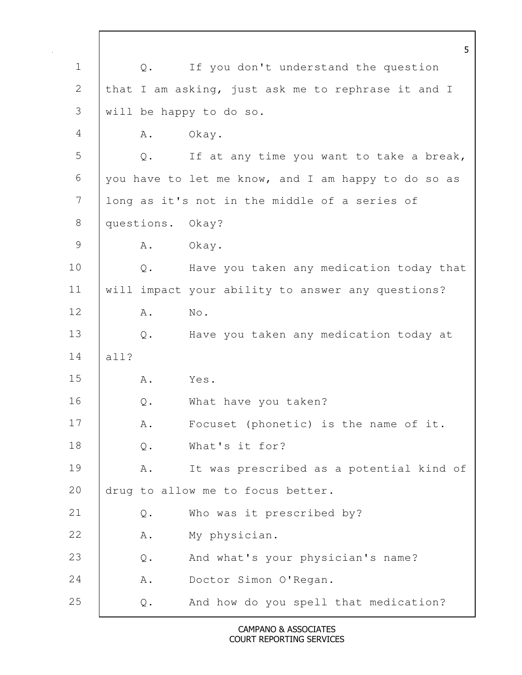5 1 | Q. If you don't understand the question 2 that I am asking, just ask me to rephrase it and I 3 will be happy to do so. 4 A. Okay. 5 Q. If at any time you want to take a break, 6 you have to let me know, and I am happy to do so as 7 long as it's not in the middle of a series of 8 questions. Okay? 9 A. Okay. 10 | Q. Have you taken any medication today that 11 will impact your ability to answer any questions? 12 | A. No. 13 Q. Have you taken any medication today at 14 all? 15 A. Yes. 16 Q. What have you taken? 17 | A. Focuset (phonetic) is the name of it. 18 | Q. What's it for? 19 | A. It was prescribed as a potential kind of 20 drug to allow me to focus better. 21 Q. Who was it prescribed by? 22 A. My physician. 23 Q. And what's your physician's name? 24 | A. Doctor Simon O'Regan. 25 **Q.** And how do you spell that medication?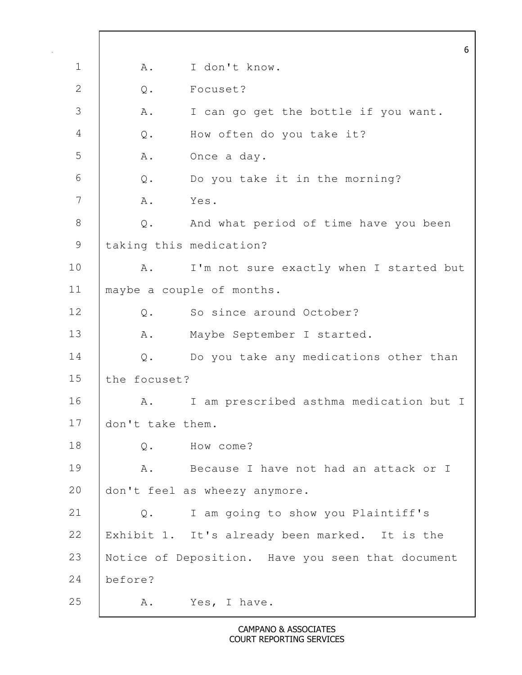6 1 A. I don't know. 2 Q. Focuset? 3 A. I can go get the bottle if you want. 4 Q. How often do you take it? 5 A. Once a day. 6 Q. Do you take it in the morning? 7 A. Yes. 8 Q. And what period of time have you been 9 | taking this medication? 10 | A. I'm not sure exactly when I started but 11 maybe a couple of months. 12 | 0. So since around October? 13 | A. Maybe September I started. 14 Q. Do you take any medications other than 15 the focuset? 16 | A. I am prescribed asthma medication but I 17 don't take them. 18 O. How come? 19 | A. Because I have not had an attack or I 20 don't feel as wheezy anymore. 21 Q. I am going to show you Plaintiff's 22 Exhibit 1. It's already been marked. It is the 23 Notice of Deposition. Have you seen that document 24 before? 25 A. Yes, I have.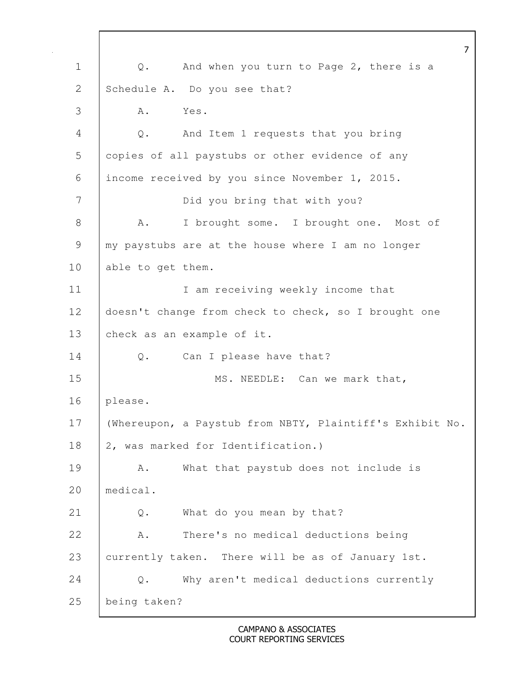|                | $\overline{7}$                                           |
|----------------|----------------------------------------------------------|
| $\mathbf 1$    | And when you turn to Page 2, there is a<br>$\mathbb Q$ . |
| 2              | Schedule A. Do you see that?                             |
| 3              | Α.<br>Yes.                                               |
| $\overline{4}$ | And Item 1 requests that you bring<br>$\mathbb Q$ .      |
| 5              | copies of all paystubs or other evidence of any          |
| 6              | income received by you since November 1, 2015.           |
| 7              | Did you bring that with you?                             |
| 8              | I brought some. I brought one. Most of<br>Α.             |
| 9              | my paystubs are at the house where I am no longer        |
| 10             | able to get them.                                        |
| 11             | I am receiving weekly income that                        |
| 12             | doesn't change from check to check, so I brought one     |
| 13             | check as an example of it.                               |
| 14             | Can I please have that?<br>Q.                            |
| 15             | MS. NEEDLE: Can we mark that,                            |
| 16             | please.                                                  |
| 17             | (Whereupon, a Paystub from NBTY, Plaintiff's Exhibit No. |
| 18             | 2, was marked for Identification.)                       |
| 19             | What that paystub does not include is<br>Α.              |
| 20             | medical.                                                 |
| 21             | What do you mean by that?<br>$\mathsf{Q}$ .              |
| 22             | There's no medical deductions being<br>Α.                |
| 23             | currently taken. There will be as of January 1st.        |
| 24             | Why aren't medical deductions currently<br>Q.            |
| 25             | being taken?                                             |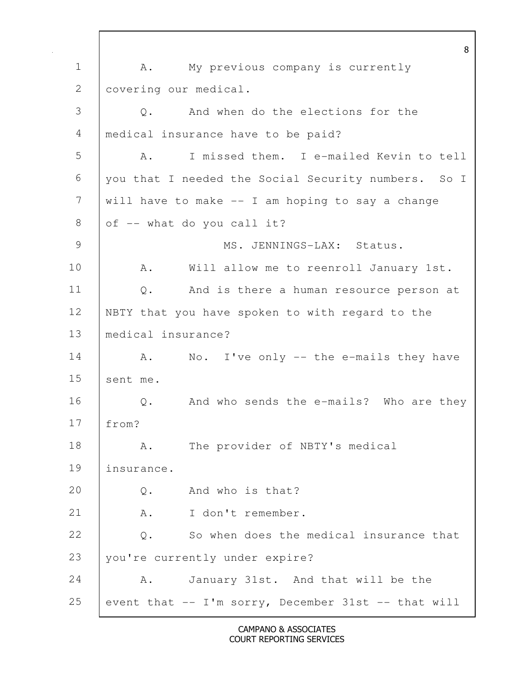8 1 | A. My previous company is currently 2 covering our medical. 3 Q. And when do the elections for the 4 medical insurance have to be paid? 5 | A. I missed them. I e-mailed Kevin to tell 6 you that I needed the Social Security numbers. So I 7 will have to make -- I am hoping to say a change 8 of  $-$  what do you call it? 9 MS. JENNINGS-LAX: Status. 10 | A. Will allow me to reenroll January 1st. 11 Q. And is there a human resource person at 12 | NBTY that you have spoken to with regard to the 13 medical insurance? 14 | A. No. I've only -- the e-mails they have 15 sent me. 16 Q. And who sends the e-mails? Who are they 17 from? 18 | A. The provider of NBTY's medical 19 insurance. 20 Q. And who is that? 21 A. I don't remember. 22 |  $\circ$ . So when does the medical insurance that 23 you're currently under expire? 24 A. January 31st. And that will be the 25 event that  $-$  I'm sorry, December 31st  $-$  that will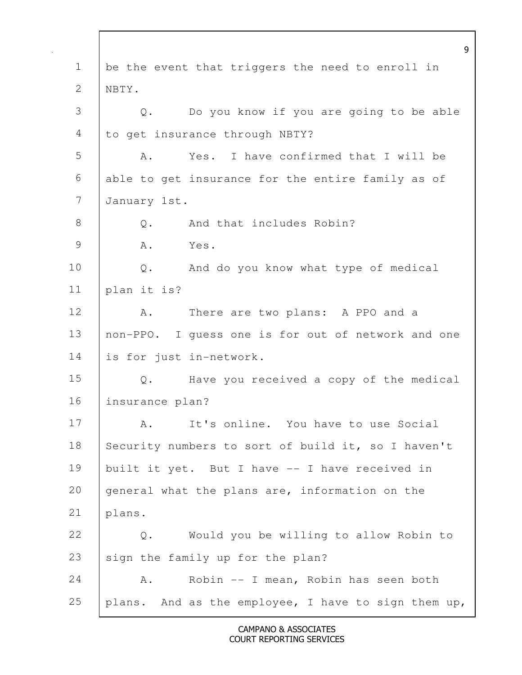9 1 be the event that triggers the need to enroll in 2 | NBTY. 3 Q. Do you know if you are going to be able 4 to get insurance through NBTY? 5 A. Yes. I have confirmed that I will be 6 able to get insurance for the entire family as of 7 January 1st. 8 |  $\circ$ . And that includes Robin? 9 A. Yes. 10 | Q. And do you know what type of medical 11 plan it is? 12 A. There are two plans: A PPO and a 13 non-PPO. I guess one is for out of network and one 14 is for just in-network. 15 Q. Have you received a copy of the medical 16 insurance plan? 17 A. It's online. You have to use Social 18 Security numbers to sort of build it, so I haven't 19 | built it yet. But I have -- I have received in 20 general what the plans are, information on the 21 plans. 22 Q. Would you be willing to allow Robin to 23  $\mid$  sign the family up for the plan? 24 A. Robin -- I mean, Robin has seen both 25 plans. And as the employee, I have to sign them up,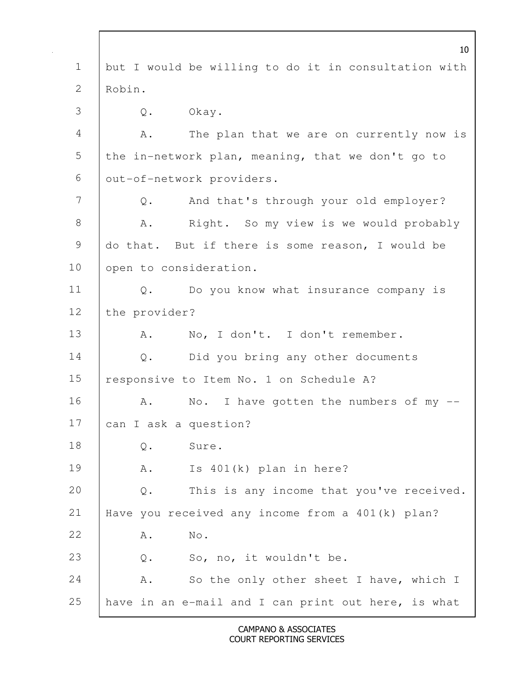|                | 10 <sup>°</sup>                                            |
|----------------|------------------------------------------------------------|
| $\mathbf 1$    | but I would be willing to do it in consultation with       |
| $\overline{2}$ | Robin.                                                     |
| 3              | Okay.<br>Q.                                                |
| $\overline{4}$ | The plan that we are on currently now is<br>Α.             |
| 5              | the in-network plan, meaning, that we don't go to          |
| 6              | out-of-network providers.                                  |
| 7              | And that's through your old employer?<br>Q.                |
| $8\,$          | Right. So my view is we would probably<br>Α.               |
| 9              | do that. But if there is some reason, I would be           |
| 10             | open to consideration.                                     |
| 11             | Do you know what insurance company is<br>Q.                |
| 12             | the provider?                                              |
| 13             | No, I don't. I don't remember.<br>Α.                       |
| 14             | Did you bring any other documents<br>$Q$ .                 |
| 15             | responsive to Item No. 1 on Schedule A?                    |
| 16             | No. I have gotten the numbers of my $-$ -<br>Α.            |
| 17             | can I ask a question?                                      |
| 18             | Sure.<br>Q.                                                |
| 19             | Is 401(k) plan in here?<br>Α.                              |
| 20             | This is any income that you've received.<br>$\mathsf{Q}$ . |
| 21             | Have you received any income from a 401(k) plan?           |
| 22             | No.<br>Α.                                                  |
| 23             | So, no, it wouldn't be.<br>$\mathsf Q$ .                   |
| 24             | So the only other sheet I have, which I<br>Α.              |
| 25             | have in an e-mail and I can print out here, is what        |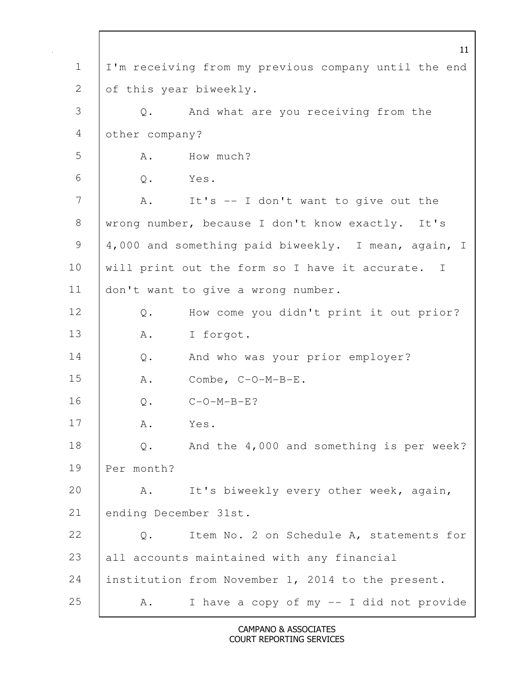11 1 I'm receiving from my previous company until the end 2 of this year biweekly. 3 Q. And what are you receiving from the 4 other company? 5 A. How much? 6 Q. Yes. 7 | A. It's -- I don't want to give out the 8 | wrong number, because I don't know exactly. It's 9 | 4,000 and something paid biweekly. I mean, again, I 10 | will print out the form so I have it accurate. I 11 | don't want to give a wrong number. 12 Q. How come you didn't print it out prior? 13 A. I forgot. 14 Q. And who was your prior employer? 15 A. Combe, C-O-M-B-E. 16 Q. C-O-M-B-E? 17 A. Yes. 18 Q. And the 4,000 and something is per week? 19 Per month? 20 | A. It's biweekly every other week, again, 21 ending December 31st. 22 Q. Item No. 2 on Schedule A, statements for 23 all accounts maintained with any financial 24 institution from November 1, 2014 to the present. 25 | A. I have a copy of my -- I did not provide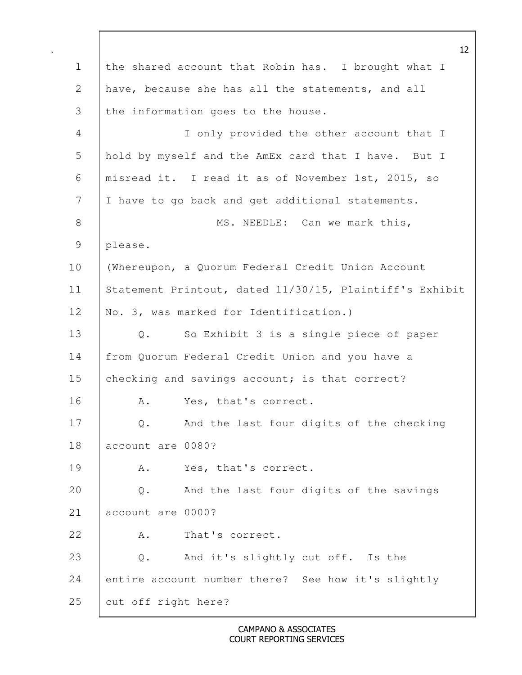12 1 the shared account that Robin has. I brought what I 2 have, because she has all the statements, and all 3 the information goes to the house. 4 I only provided the other account that I 5 hold by myself and the AmEx card that I have. But I 6 misread it. I read it as of November 1st, 2015, so 7 I have to go back and get additional statements. 8 | MS. NEEDLE: Can we mark this, 9 please. 10 (Whereupon, a Quorum Federal Credit Union Account 11 | Statement Printout, dated 11/30/15, Plaintiff's Exhibit 12 | No. 3, was marked for Identification.) 13 Q. So Exhibit 3 is a single piece of paper 14 from Quorum Federal Credit Union and you have a 15 checking and savings account; is that correct? 16 A. Yes, that's correct. 17 | Q. And the last four digits of the checking 18 account are 0080? 19 R. Yes, that's correct. 20 Q. And the last four digits of the savings 21 account are 0000? 22 A. That's correct. 23 | Q. And it's slightly cut off. Is the 24 entire account number there? See how it's slightly 25 cut off right here?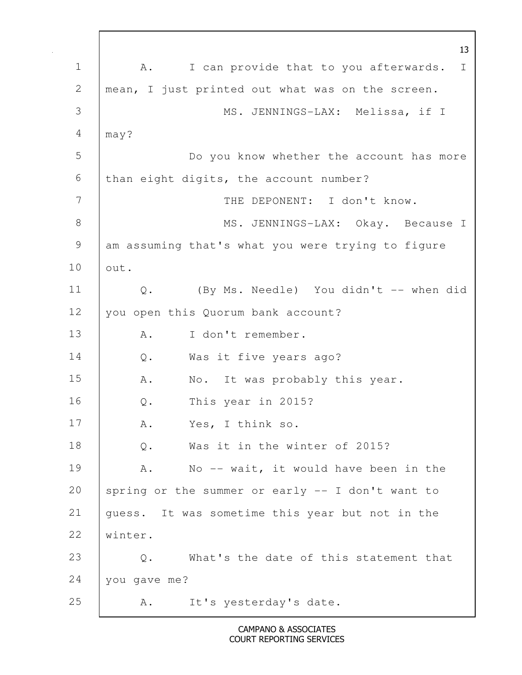13 1 | A. I can provide that to you afterwards. I 2 | mean, I just printed out what was on the screen. 3 MS. JENNINGS-LAX: Melissa, if I 4 may? 5 Do you know whether the account has more  $6$  than eight digits, the account number? 7 | THE DEPONENT: I don't know. 8 | MS. JENNINGS-LAX: Okay. Because I 9 am assuming that's what you were trying to figure 10 out. 11 Q. (By Ms. Needle) You didn't -- when did 12 you open this Quorum bank account? 13 | A. I don't remember. 14 | Q. Was it five years ago? 15 | A. No. It was probably this year. 16 Q. This year in 2015? 17 A. Yes, I think so. 18 | Q. Was it in the winter of 2015? 19 | A. No -- wait, it would have been in the 20 spring or the summer or early  $-$  I don't want to 21 guess. It was sometime this year but not in the 22 winter. 23 |  $\circ$ . What's the date of this statement that 24 you gave me? 25 A. It's yesterday's date.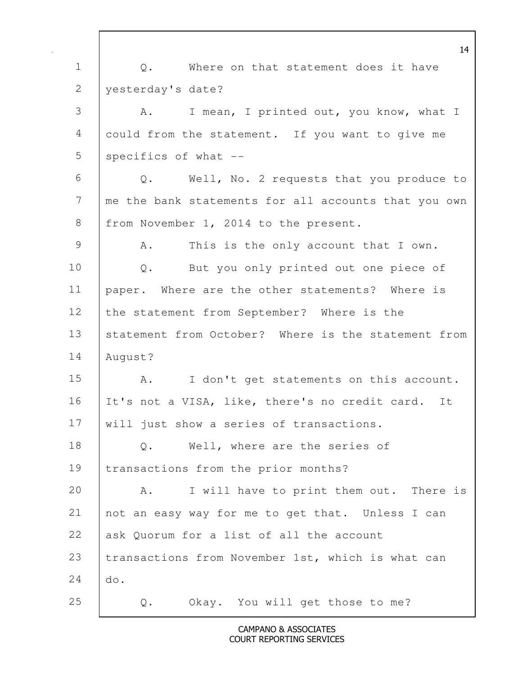14 1 |  $\qquad$  O. Where on that statement does it have 2 | yesterday's date? 3 A. I mean, I printed out, you know, what I 4 could from the statement. If you want to give me 5 | specifics of what --6 Q. Well, No. 2 requests that you produce to 7 me the bank statements for all accounts that you own 8 | from November 1, 2014 to the present. 9 A. This is the only account that I own. 10 | Q. But you only printed out one piece of 11 paper. Where are the other statements? Where is 12 the statement from September? Where is the 13 statement from October? Where is the statement from 14 August? 15 | A. I don't get statements on this account. 16 | It's not a VISA, like, there's no credit card. It 17 | will just show a series of transactions. 18 | Q. Well, where are the series of 19 | transactions from the prior months? 20 A. I will have to print them out. There is 21 not an easy way for me to get that. Unless I can 22 ask Quorum for a list of all the account 23 | transactions from November 1st, which is what can 24 do. 25 Q. Okay. You will get those to me?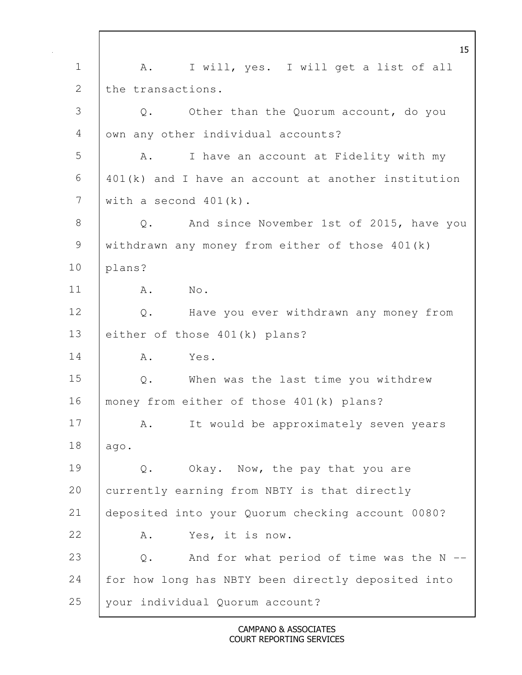15 1 | A. I will, yes. I will get a list of all 2 the transactions. 3 Q. Other than the Quorum account, do you 4 | own any other individual accounts? 5 A. I have an account at Fidelity with my  $6$   $\mid$  401(k) and I have an account at another institution 7 with a second 401(k). 8 Q. And since November 1st of 2015, have you 9 withdrawn any money from either of those 401(k) 10 plans? 11 A. No. 12 | Q. Have you ever withdrawn any money from 13 either of those 401(k) plans? 14 | A. Yes. 15 Q. When was the last time you withdrew 16 | money from either of those 401(k) plans? 17 | A. It would be approximately seven years 18 ago. 19 Q. Okay. Now, the pay that you are 20 currently earning from NBTY is that directly 21 deposited into your Quorum checking account 0080? 22 A. Yes, it is now. 23 Q. And for what period of time was the N --24 for how long has NBTY been directly deposited into 25 your individual Quorum account?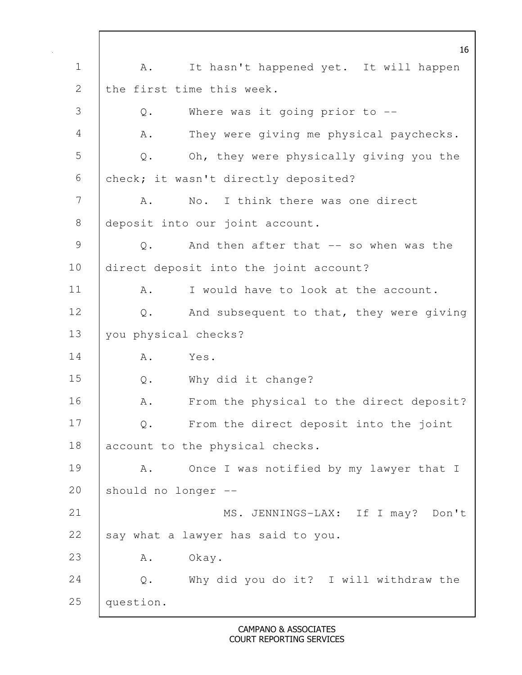16 1 | A. It hasn't happened yet. It will happen 2 the first time this week. 3 Q. Where was it going prior to -- 4 | A. They were giving me physical paychecks. 5 Q. Oh, they were physically giving you the 6 check; it wasn't directly deposited? 7 A. No. I think there was one direct 8 deposit into our joint account. 9 Q. And then after that -- so when was the 10 direct deposit into the joint account? 11 A. I would have to look at the account. 12 | Q. And subsequent to that, they were giving 13 | you physical checks? 14 | A. Yes. 15 Q. Why did it change? 16 | A. From the physical to the direct deposit? 17 Q. From the direct deposit into the joint 18 account to the physical checks. 19 | A. Once I was notified by my lawyer that I 20 should no longer -- 21 | MS. JENNINGS-LAX: If I may? Don't 22  $\Big|$  say what a lawyer has said to you. 23 | A. Okay. 24 Q. Why did you do it? I will withdraw the 25 | question.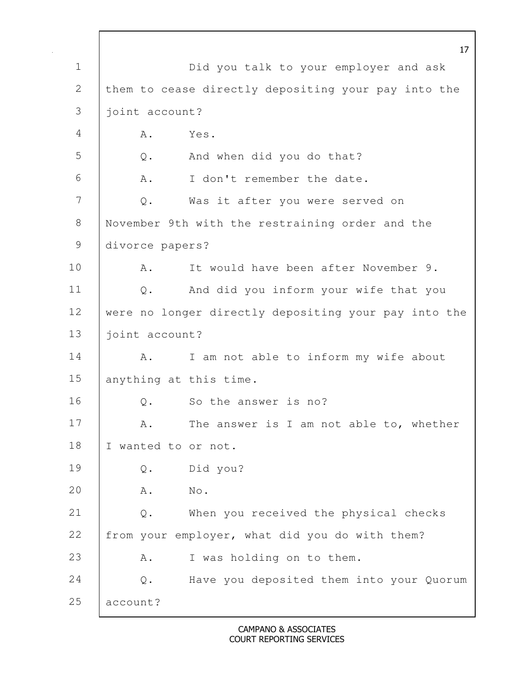17 1 | Did you talk to your employer and ask 2 them to cease directly depositing your pay into the 3 joint account? 4 A. Yes. 5 Q. And when did you do that? 6 A. I don't remember the date. 7 Q. Was it after you were served on 8 November 9th with the restraining order and the 9 divorce papers? 10 | A. It would have been after November 9. 11 Q. And did you inform your wife that you 12 were no longer directly depositing your pay into the 13 | joint account? 14 | A. I am not able to inform my wife about 15 anything at this time. 16 | O. So the answer is no? 17 A. The answer is I am not able to, whether 18 | I wanted to or not. 19 Q. Did you? 20 A. No. 21 Q. When you received the physical checks 22 from your employer, what did you do with them? 23 A. I was holding on to them. 24 Q. Have you deposited them into your Quorum 25 account?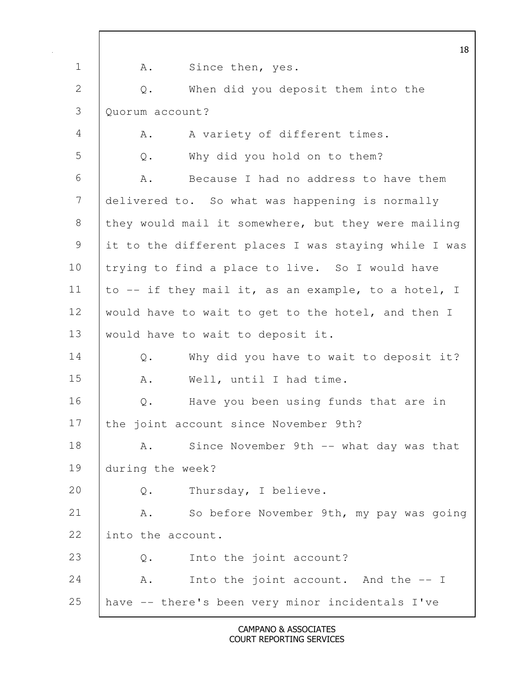|                |                   | 18                                                   |  |
|----------------|-------------------|------------------------------------------------------|--|
| $\mathbf 1$    | Α.                | Since then, yes.                                     |  |
| 2              | Q.                | When did you deposit them into the                   |  |
| 3              | Quorum account?   |                                                      |  |
| $\overline{4}$ | Α.                | A variety of different times.                        |  |
| 5              | Q.                | Why did you hold on to them?                         |  |
| 6              | Α.                | Because I had no address to have them                |  |
| $\overline{7}$ |                   | delivered to. So what was happening is normally      |  |
| $\,8\,$        |                   | they would mail it somewhere, but they were mailing  |  |
| $\mathsf 9$    |                   | it to the different places I was staying while I was |  |
| 10             |                   | trying to find a place to live. So I would have      |  |
| 11             |                   | to -- if they mail it, as an example, to a hotel, I  |  |
| 12             |                   | would have to wait to get to the hotel, and then I   |  |
| 13             |                   | would have to wait to deposit it.                    |  |
| 14             | $\mathbb Q$ .     | Why did you have to wait to deposit it?              |  |
| 15             | Α.                | Well, until I had time.                              |  |
| 16             | Q.                | Have you been using funds that are in                |  |
| 17             |                   | the joint account since November 9th?                |  |
| 18             | Α.                | Since November 9th -- what day was that              |  |
| 19             | during the week?  |                                                      |  |
| 20             | Q.                | Thursday, I believe.                                 |  |
| 21             | Α.                | So before November 9th, my pay was going             |  |
| 22             | into the account. |                                                      |  |
| 23             | Q.                | Into the joint account?                              |  |
| 24             | Α.                | Into the joint account. And the -- I                 |  |
| 25             |                   | have -- there's been very minor incidentals I've     |  |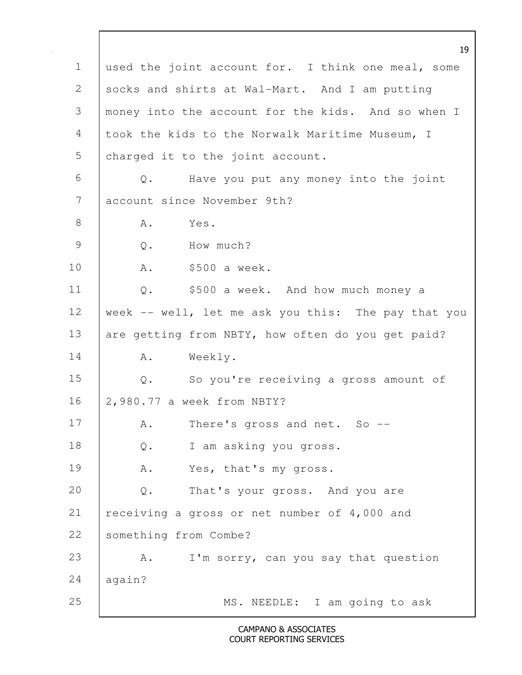19 1 used the joint account for. I think one meal, some 2 socks and shirts at Wal-Mart. And I am putting 3 money into the account for the kids. And so when I 4 took the kids to the Norwalk Maritime Museum, I 5 charged it to the joint account. 6 Q. Have you put any money into the joint 7 account since November 9th? 8 A. Yes. 9 Q. How much? 10 | A. \$500 a week. 11 Q. \$500 a week. And how much money a 12 week -- well, let me ask you this: The pay that you 13 are getting from NBTY, how often do you get paid? 14 | A. Weekly. 15 Q. So you're receiving a gross amount of 16 2,980.77 a week from NBTY? 17 | A. There's gross and net. So --18 | Q. I am asking you gross. 19 | A. Yes, that's my gross. 20 Q. That's your gross. And you are 21 | receiving a gross or net number of 4,000 and 22 Something from Combe? 23 A. I'm sorry, can you say that question  $24$  again? 25 | MS. NEEDLE: I am going to ask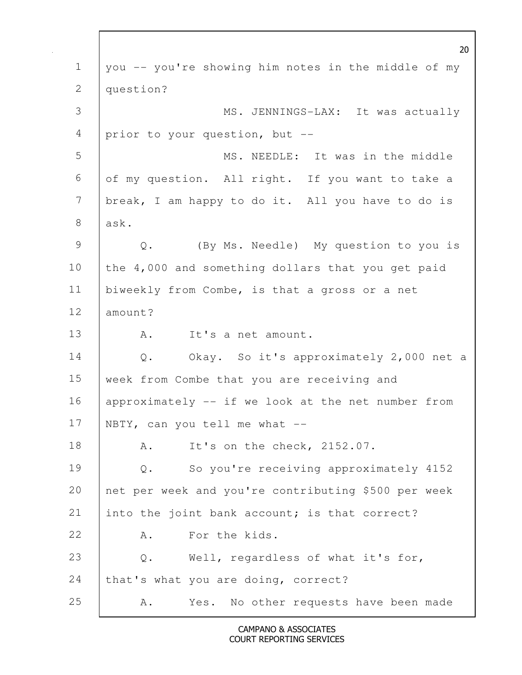|                | 20                                                     |  |  |
|----------------|--------------------------------------------------------|--|--|
| $\mathbf 1$    | you -- you're showing him notes in the middle of my    |  |  |
| 2              | question?                                              |  |  |
| 3              | MS. JENNINGS-LAX: It was actually                      |  |  |
| 4              | prior to your question, but --                         |  |  |
| 5              | MS. NEEDLE: It was in the middle                       |  |  |
| 6              | of my question. All right. If you want to take a       |  |  |
| $\overline{7}$ | break, I am happy to do it. All you have to do is      |  |  |
| $8\,$          | ask.                                                   |  |  |
| $\mathcal{G}$  | (By Ms. Needle) My question to you is<br>$\mathbb Q$ . |  |  |
| 10             | the 4,000 and something dollars that you get paid      |  |  |
| 11             | biweekly from Combe, is that a gross or a net          |  |  |
| 12             | amount?                                                |  |  |
| 13             | It's a net amount.<br>Α.                               |  |  |
| 14             | Okay. So it's approximately 2,000 net a<br>Q.          |  |  |
| 15             | week from Combe that you are receiving and             |  |  |
| 16             | approximately -- if we look at the net number from     |  |  |
| 17             | NBTY, can you tell me what --                          |  |  |
| 18             | It's on the check, 2152.07.<br>Α.                      |  |  |
| 19             | So you're receiving approximately 4152<br>$Q$ .        |  |  |
| 20             | net per week and you're contributing \$500 per week    |  |  |
| 21             | into the joint bank account; is that correct?          |  |  |
| 22             | For the kids.<br>Α.                                    |  |  |
| 23             | Well, regardless of what it's for,<br>$\mathbb Q$ .    |  |  |
| 24             | that's what you are doing, correct?                    |  |  |
| 25             | No other requests have been made<br>Yes.<br>Α.         |  |  |

 $\mathbf l$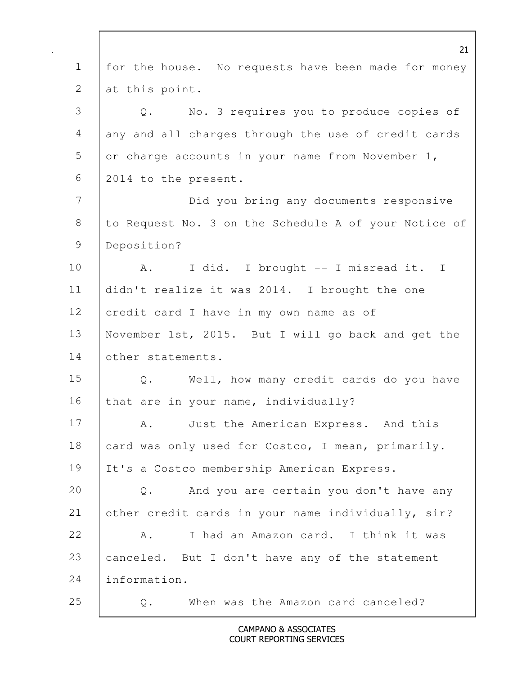|              | 21                                                       |
|--------------|----------------------------------------------------------|
| $\mathbf 1$  | for the house. No requests have been made for money      |
| $\mathbf{2}$ | at this point.                                           |
| 3            | No. 3 requires you to produce copies of<br>$Q$ .         |
| 4            | any and all charges through the use of credit cards      |
| 5            | or charge accounts in your name from November 1,         |
| 6            | 2014 to the present.                                     |
| 7            | Did you bring any documents responsive                   |
| $8\,$        | to Request No. 3 on the Schedule A of your Notice of     |
| 9            | Deposition?                                              |
| 10           | I did. I brought -- I misread it. I<br>A.                |
| 11           | didn't realize it was 2014. I brought the one            |
| 12           | credit card I have in my own name as of                  |
| 13           | November 1st, 2015. But I will go back and get the       |
| 14           | other statements.                                        |
| 15           | Well, how many credit cards do you have<br>Q.            |
| 16           | that are in your name, individually?                     |
| 17           | A. Just the American Express. And this                   |
| 18           | card was only used for Costco, I mean, primarily.        |
| 19           | It's a Costco membership American Express.               |
| 20           | And you are certain you don't have any<br>$\mathsf{Q}$ . |
| 21           | other credit cards in your name individually, sir?       |
| 22           | I had an Amazon card. I think it was<br>Α.               |
| 23           | canceled. But I don't have any of the statement          |
| 24           | information.                                             |
| 25           | When was the Amazon card canceled?<br>Q.                 |

 $\mathbf l$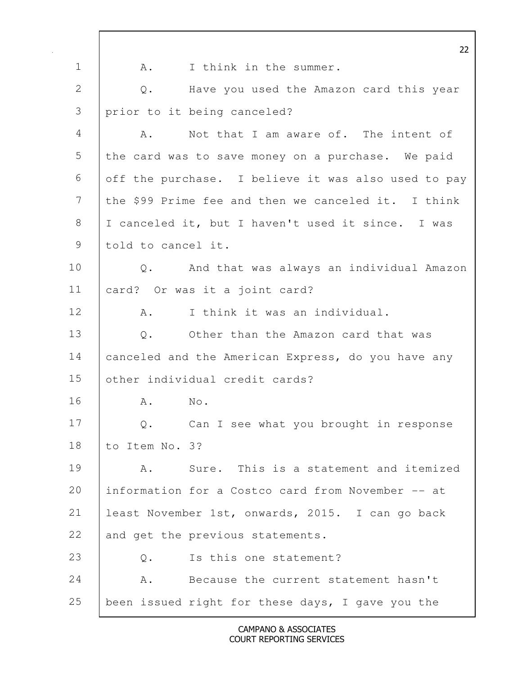22 1 | A. I think in the summer. 2 Q. Have you used the Amazon card this year 3 prior to it being canceled? 4 A. Not that I am aware of. The intent of 5 the card was to save money on a purchase. We paid 6 off the purchase. I believe it was also used to pay 7 the \$99 Prime fee and then we canceled it. I think 8 | I canceled it, but I haven't used it since. I was 9 told to cancel it. 10 Q. And that was always an individual Amazon 11 card? Or was it a joint card? 12 A. I think it was an individual. 13 | O. Other than the Amazon card that was 14 | canceled and the American Express, do you have any 15 other individual credit cards? 16 | A. No. 17 Q. Can I see what you brought in response 18 to Item No. 3? 19 A. Sure. This is a statement and itemized 20 information for a Costco card from November -- at 21 least November 1st, onwards, 2015. I can go back 22 and get the previous statements. 23 O. Is this one statement? 24 | A. Because the current statement hasn't 25 been issued right for these days, I gave you the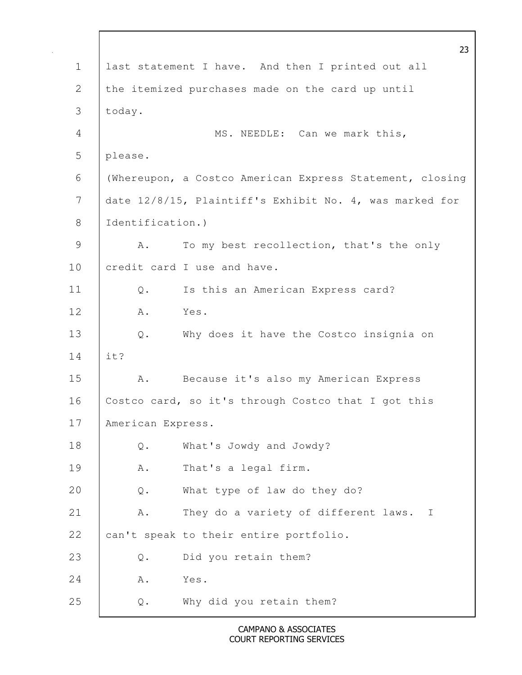|              |                   | 23                                                       |
|--------------|-------------------|----------------------------------------------------------|
| $\mathbf 1$  |                   | last statement I have. And then I printed out all        |
| 2            |                   | the itemized purchases made on the card up until         |
| 3            | today.            |                                                          |
| 4            |                   | MS. NEEDLE: Can we mark this,                            |
| 5            | please.           |                                                          |
| 6            |                   | (Whereupon, a Costco American Express Statement, closing |
| 7            |                   | date 12/8/15, Plaintiff's Exhibit No. 4, was marked for  |
| $8\,$        | Identification.)  |                                                          |
| $\mathsf{S}$ | Α.                | To my best recollection, that's the only                 |
| 10           |                   | credit card I use and have.                              |
| 11           | $\mathbb Q$ .     | Is this an American Express card?                        |
| 12           | Α.                | Yes.                                                     |
| 13           | $Q$ .             | Why does it have the Costco insignia on                  |
| 14           | it?               |                                                          |
| 15           | Α.                | Because it's also my American Express                    |
| 16           |                   | Costco card, so it's through Costco that I got this      |
| 17           | American Express. |                                                          |
| 18           | $Q$ .             | What's Jowdy and Jowdy?                                  |
| 19           | A .               | That's a legal firm.                                     |
| 20           | $\mathsf{Q}$ .    | What type of law do they do?                             |
| 21           | Α.                | They do a variety of different laws. I                   |
| 22           |                   | can't speak to their entire portfolio.                   |
| 23           | $\mathbb Q$ .     | Did you retain them?                                     |
| 24           | Α.                | Yes.                                                     |
| 25           | $\mathsf{Q}$ .    | Why did you retain them?                                 |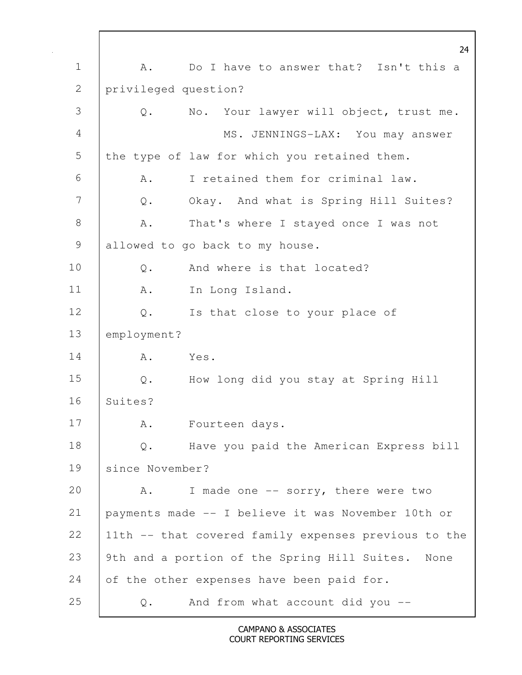24 1 | A. Do I have to answer that? Isn't this a 2 privileged question? 3 Q. No. Your lawyer will object, trust me. 4 MS. JENNINGS-LAX: You may answer 5 the type of law for which you retained them. 6 A. I retained them for criminal law. 7 Q. Okay. And what is Spring Hill Suites? 8 | A. That's where I stayed once I was not 9 allowed to go back to my house. 10 | 0. And where is that located? 11 R. In Long Island. 12 | Q. Is that close to your place of 13 employment? 14 | A. Yes. 15 Q. How long did you stay at Spring Hill 16 Suites? 17 | A. Fourteen days. 18 | Q. Have you paid the American Express bill 19 since November? 20 A. I made one -- sorry, there were two 21 payments made -- I believe it was November 10th or 22 11th -- that covered family expenses previous to the 23 9th and a portion of the Spring Hill Suites. None 24 of the other expenses have been paid for. 25 Q. And from what account did you --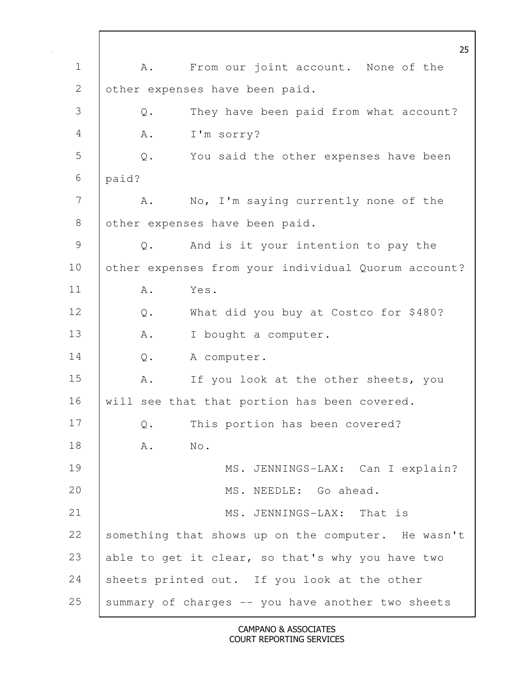25 1 | A. From our joint account. None of the 2 other expenses have been paid. 3 Q. They have been paid from what account? 4 | A. I'm sorry? 5 Q. You said the other expenses have been 6 paid? 7 A. No, I'm saying currently none of the 8 other expenses have been paid. 9 Q. And is it your intention to pay the 10 other expenses from your individual Quorum account? 11 A. Yes. 12 Q. What did you buy at Costco for \$480? 13 | A. I bought a computer. 14 | Q. A computer. 15 A. If you look at the other sheets, you 16 | will see that that portion has been covered. 17 Q. This portion has been covered? 18 | A. No. 19 | MS. JENNINGS-LAX: Can I explain? 20 MS. NEEDLE: Go ahead. 21 MS. JENNINGS-LAX: That is 22 something that shows up on the computer. He wasn't 23 able to get it clear, so that's why you have two 24 sheets printed out. If you look at the other 25 | summary of charges  $-$  you have another two sheets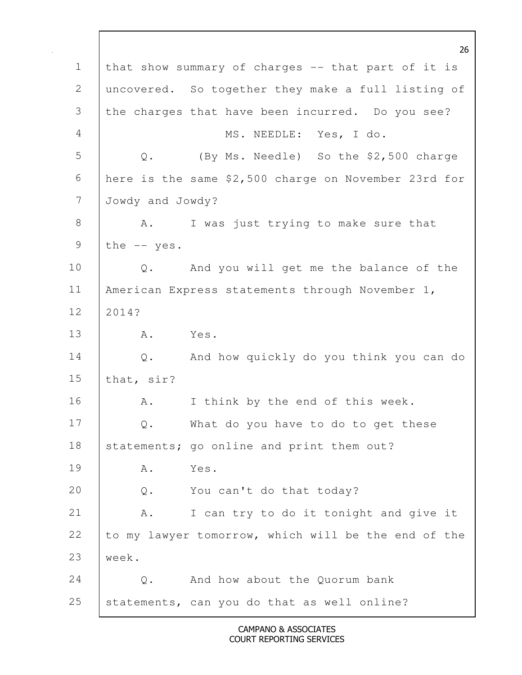26 1 that show summary of charges -- that part of it is 2 uncovered. So together they make a full listing of 3 the charges that have been incurred. Do you see? 4 MS. NEEDLE: Yes, I do. 5 Q. (By Ms. Needle) So the \$2,500 charge 6 here is the same \$2,500 charge on November 23rd for 7 Jowdy and Jowdy? 8 A. I was just trying to make sure that 9 | the  $--$  yes. 10 | Q. And you will get me the balance of the 11 | American Express statements through November 1, 12 2014? 13 A. Yes. 14 Q. And how quickly do you think you can do 15 that, sir? 16 | A. I think by the end of this week. 17 | Q. What do you have to do to get these 18 | statements; go online and print them out? 19 A. Yes. 20 Q. You can't do that today? 21 A. I can try to do it tonight and give it 22 to my lawyer tomorrow, which will be the end of the 23 week. 24 | O. And how about the Ouorum bank 25 statements, can you do that as well online?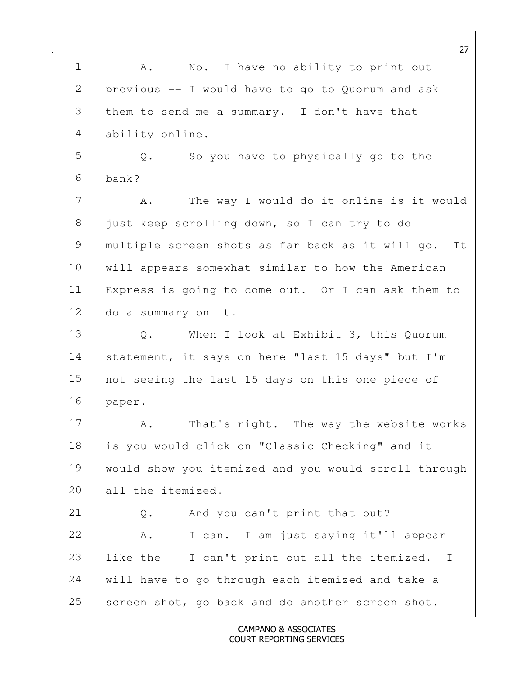27 1 | A. No. I have no ability to print out 2 previous -- I would have to go to Quorum and ask 3 them to send me a summary. I don't have that 4 ability online. 5 Q. So you have to physically go to the  $6$  bank? 7 | A. The way I would do it online is it would 8 just keep scrolling down, so I can try to do 9 multiple screen shots as far back as it will go. It 10 will appears somewhat similar to how the American 11 Express is going to come out. Or I can ask them to 12 do a summary on it. 13 Q. When I look at Exhibit 3, this Quorum 14 | statement, it says on here "last 15 days" but I'm 15 not seeing the last 15 days on this one piece of 16 paper. 17 A. That's right. The way the website works 18 is you would click on "Classic Checking" and it 19 would show you itemized and you would scroll through 20 all the itemized. 21 Q. And you can't print that out? 22 A. I can. I am just saying it'll appear 23 like the -- I can't print out all the itemized. I 24 will have to go through each itemized and take a  $25$  screen shot, go back and do another screen shot.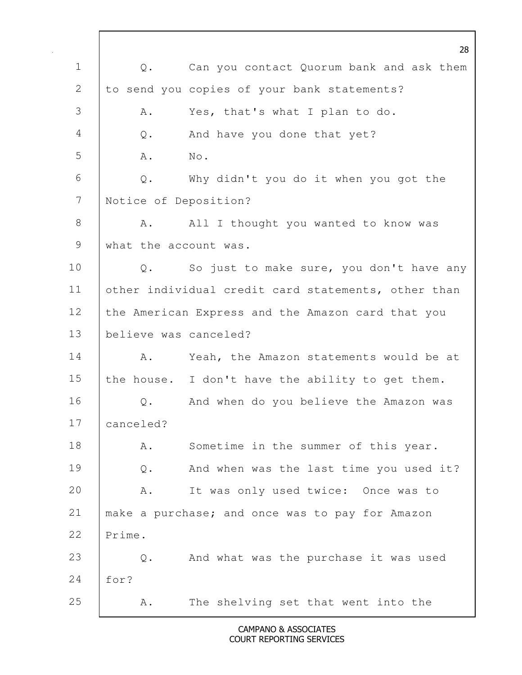28 1 Q. Can you contact Quorum bank and ask them 2 to send you copies of your bank statements? 3 | A. Yes, that's what I plan to do. 4 Q. And have you done that yet? 5 | A. No. 6 Q. Why didn't you do it when you got the 7 Notice of Deposition? 8 | A. All I thought you wanted to know was 9 what the account was. 10 | Q. So just to make sure, you don't have any 11 other individual credit card statements, other than 12 the American Express and the Amazon card that you 13 believe was canceled? 14 | A. Yeah, the Amazon statements would be at 15 the house. I don't have the ability to get them. 16 | Q. And when do you believe the Amazon was 17 canceled? 18 | A. Sometime in the summer of this year. 19 Q. And when was the last time you used it? 20 | A. It was only used twice: Once was to 21 make a purchase; and once was to pay for Amazon 22 Prime. 23 Q. And what was the purchase it was used 24 for? 25 A. The shelving set that went into the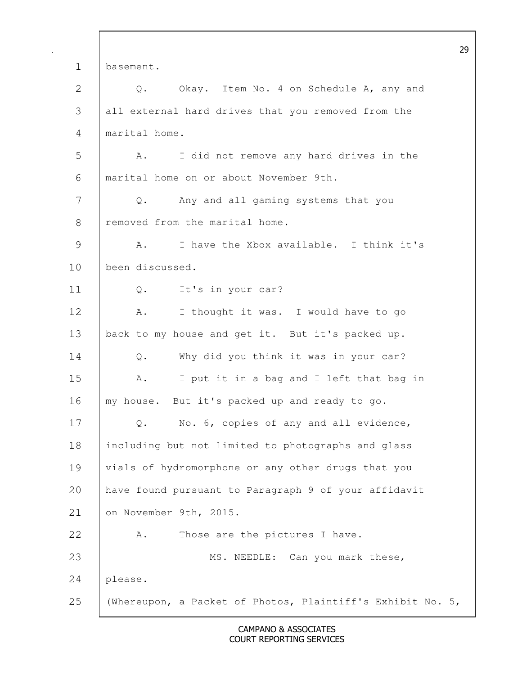29 1 basement. 2 Q. Okay. Item No. 4 on Schedule A, any and 3 all external hard drives that you removed from the 4 marital home. 5 A. I did not remove any hard drives in the 6 marital home on or about November 9th. 7 Q. Any and all gaming systems that you 8 Fremoved from the marital home. 9 A. I have the Xbox available. I think it's 10 been discussed. 11 | Q. It's in your car? 12 A. I thought it was. I would have to go 13 back to my house and get it. But it's packed up. 14 Q. Why did you think it was in your car? 15 | A. I put it in a bag and I left that bag in 16 | my house. But it's packed up and ready to go. 17 Q. No. 6, copies of any and all evidence, 18 including but not limited to photographs and glass 19 vials of hydromorphone or any other drugs that you 20 have found pursuant to Paragraph 9 of your affidavit 21 on November 9th, 2015. 22 A. Those are the pictures I have. 23 MS. NEEDLE: Can you mark these, 24 please. 25 | (Whereupon, a Packet of Photos, Plaintiff's Exhibit No. 5,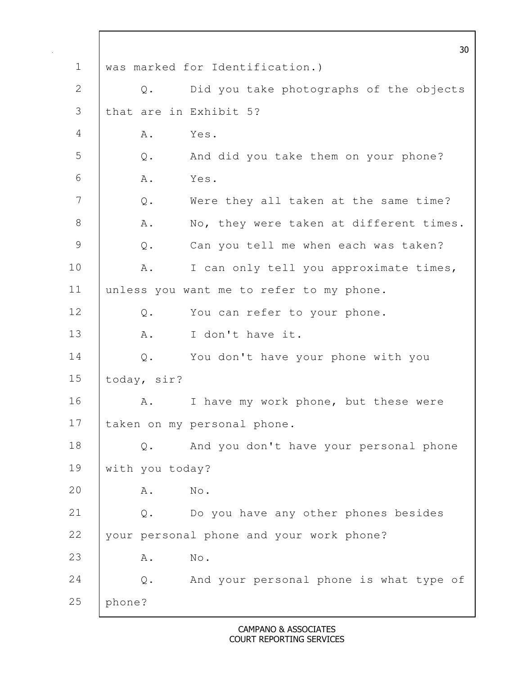|               |                 |               | 30                                       |
|---------------|-----------------|---------------|------------------------------------------|
| $\mathbf 1$   |                 |               | was marked for Identification.)          |
| 2             |                 | Q.            | Did you take photographs of the objects  |
| 3             |                 |               | that are in Exhibit 5?                   |
| 4             |                 | Α.            | Yes.                                     |
| 5             |                 | Q.            | And did you take them on your phone?     |
| 6             | Α.              |               | Yes.                                     |
| 7             |                 | $\mathbb Q$ . | Were they all taken at the same time?    |
| 8             |                 | Α.            | No, they were taken at different times.  |
| $\mathcal{G}$ |                 | $\mathbb Q$ . | Can you tell me when each was taken?     |
| 10            |                 | Α.            | I can only tell you approximate times,   |
| 11            |                 |               | unless you want me to refer to my phone. |
| 12            |                 | Q.            | You can refer to your phone.             |
| 13            |                 | Α.            | I don't have it.                         |
| 14            |                 |               | Q. You don't have your phone with you    |
| 15            | today, sir?     |               |                                          |
| 16            |                 | Α.            | I have my work phone, but these were     |
| 17            |                 |               | taken on my personal phone.              |
| 18            |                 | $\mathbb Q$ . | And you don't have your personal phone   |
| 19            | with you today? |               |                                          |
| 20            |                 | Α.            | No.                                      |
| 21            |                 | $\mathbb Q$ . | Do you have any other phones besides     |
| 22            |                 |               | your personal phone and your work phone? |
| 23            |                 | Α.            | No.                                      |
| 24            |                 | $\mathsf Q$ . | And your personal phone is what type of  |
| 25            | phone?          |               |                                          |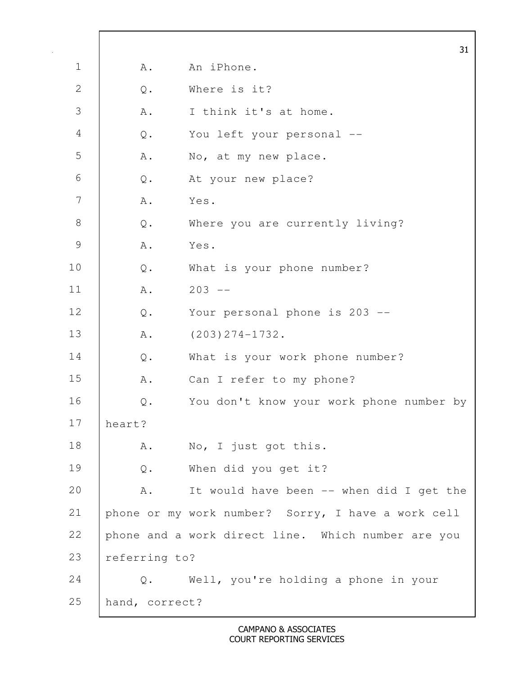|               |                |                                                    | 31 |
|---------------|----------------|----------------------------------------------------|----|
| $\mathbf 1$   | Α.             | An iPhone.                                         |    |
| $\mathbf{2}$  | $\mathbb Q$ .  | Where is it?                                       |    |
| 3             | A .            | I think it's at home.                              |    |
| 4             | $\mathsf{Q}$ . | You left your personal --                          |    |
| 5             | Α.             | No, at my new place.                               |    |
| 6             | Q.             | At your new place?                                 |    |
| 7             | Α.             | Yes.                                               |    |
| $\,8\,$       | Q.             | Where you are currently living?                    |    |
| $\mathcal{G}$ | A .            | Yes.                                               |    |
| 10            | $\mathsf{Q}$ . | What is your phone number?                         |    |
| 11            | A .            | $203 - -$                                          |    |
| 12            | Q.             | Your personal phone is 203 --                      |    |
| 13            | Α.             | $(203) 274 - 1732$ .                               |    |
| 14            | Q.             | What is your work phone number?                    |    |
| 15            | Α.             | Can I refer to my phone?                           |    |
| 16            | $\mathsf{Q}$ . | You don't know your work phone number by           |    |
| 17            | heart?         |                                                    |    |
| 18            | A.             | No, I just got this.                               |    |
| 19            | $\mathsf{Q}$ . | When did you get it?                               |    |
| 20            | Α.             | It would have been -- when did I get the           |    |
| 21            |                | phone or my work number? Sorry, I have a work cell |    |
| 22            |                | phone and a work direct line. Which number are you |    |
| 23            | referring to?  |                                                    |    |
| 24            | Q.             | Well, you're holding a phone in your               |    |
| 25            | hand, correct? |                                                    |    |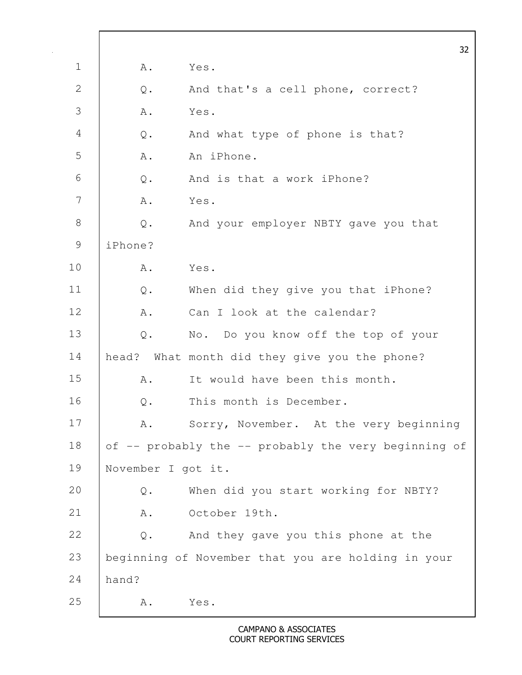|                |                    |                                                      | 32 |
|----------------|--------------------|------------------------------------------------------|----|
| $\mathbf 1$    | Α.                 | Yes.                                                 |    |
| 2              | $\mathsf{Q}$ .     | And that's a cell phone, correct?                    |    |
| 3              | Α.                 | Yes.                                                 |    |
| $\overline{4}$ | $\mathsf{Q}$ .     | And what type of phone is that?                      |    |
| 5              | Α.                 | An iPhone.                                           |    |
| 6              | $Q$ .              | And is that a work iPhone?                           |    |
| 7              | Α.                 | Yes.                                                 |    |
| $8\,$          | $Q$ .              | And your employer NBTY gave you that                 |    |
| $\mathcal{G}$  | iPhone?            |                                                      |    |
| 10             | Α.                 | Yes.                                                 |    |
| 11             | $Q$ .              | When did they give you that iPhone?                  |    |
| 12             | Α.                 | Can I look at the calendar?                          |    |
| 13             | $Q$ .              | No. Do you know off the top of your                  |    |
| 14             |                    | head? What month did they give you the phone?        |    |
| 15             | Α.                 | It would have been this month.                       |    |
| 16             | $Q$ .              | This month is December.                              |    |
| 17             | A.                 | Sorry, November. At the very beginning               |    |
| 18             |                    | of -- probably the -- probably the very beginning of |    |
| 19             | November I got it. |                                                      |    |
| 20             | Q.                 | When did you start working for NBTY?                 |    |
| 21             | Α.                 | October 19th.                                        |    |
| 22             | $\mathsf{Q}$ .     | And they gave you this phone at the                  |    |
| 23             |                    | beginning of November that you are holding in your   |    |
| 24             | hand?              |                                                      |    |
| 25             | Α.                 | Yes.                                                 |    |

 $\Gamma$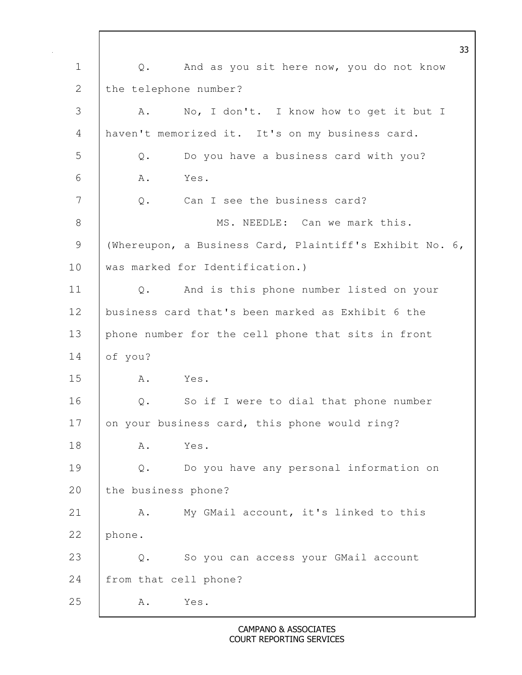33 1 | 0. And as you sit here now, you do not know 2 the telephone number? 3 A. No, I don't. I know how to get it but I 4 haven't memorized it. It's on my business card. 5 Q. Do you have a business card with you? 6 A. Yes. 7 | 0. Can I see the business card? 8 MS. NEEDLE: Can we mark this. 9 | (Whereupon, a Business Card, Plaintiff's Exhibit No. 6, 10 was marked for Identification.) 11 Q. And is this phone number listed on your 12 business card that's been marked as Exhibit 6 the 13 phone number for the cell phone that sits in front 14 of you? 15 A. Yes. 16 Q. So if I were to dial that phone number 17 on your business card, this phone would ring? 18 A. Yes. 19 Q. Do you have any personal information on 20 the business phone? 21 A. My GMail account, it's linked to this 22 phone. 23 Q. So you can access your GMail account 24 from that cell phone? 25 A. Yes.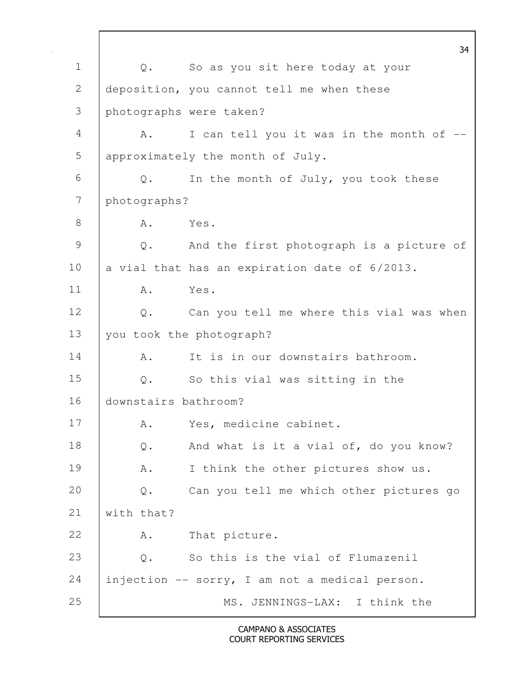34 1 Q. So as you sit here today at your 2 deposition, you cannot tell me when these 3 photographs were taken? 4 A. I can tell you it was in the month of --5 approximately the month of July. 6 Q. In the month of July, you took these 7 photographs? 8 A. Yes. 9 Q. And the first photograph is a picture of 10  $\vert$  a vial that has an expiration date of  $6/2013$ . 11 A. Yes. 12 | Q. Can you tell me where this vial was when 13 you took the photograph? 14 A. It is in our downstairs bathroom. 15 Q. So this vial was sitting in the 16 downstairs bathroom? 17 A. Yes, medicine cabinet. 18 | Q. And what is it a vial of, do you know? 19 | A. I think the other pictures show us. 20 Q. Can you tell me which other pictures go 21 with that? 22 A. That picture. 23 | O. So this is the vial of Flumazenil 24 injection -- sorry, I am not a medical person. 25 MS. JENNINGS-LAX: I think the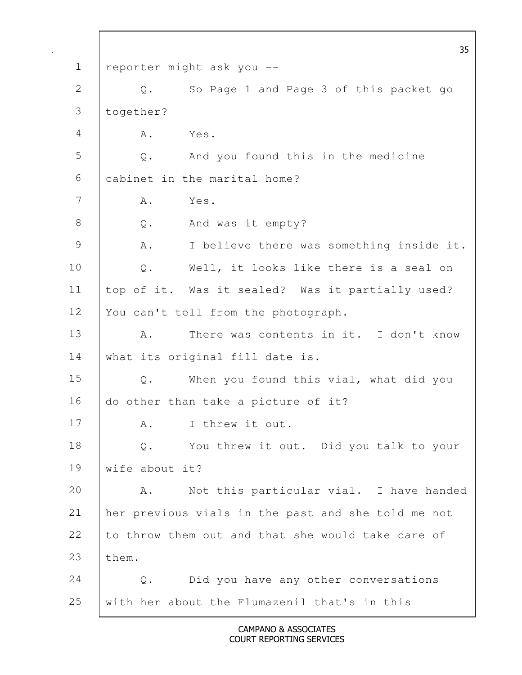35 1 reporter might ask you -- 2 Q. So Page 1 and Page 3 of this packet go 3 together? 4 A. Yes. 5 Q. And you found this in the medicine 6 cabinet in the marital home?  $7 \quad$  A. Yes. 8 Q. And was it empty? 9 | A. I believe there was something inside it. 10 Q. Well, it looks like there is a seal on 11 top of it. Was it sealed? Was it partially used? 12 | You can't tell from the photograph. 13 A. There was contents in it. I don't know 14 | what its original fill date is. 15 Q. When you found this vial, what did you 16 do other than take a picture of it? 17 | A. I threw it out. 18 | Q. You threw it out. Did you talk to your 19 wife about it? 20 A. Not this particular vial. I have handed 21 her previous vials in the past and she told me not 22 to throw them out and that she would take care of 23 | them. 24 Q. Did you have any other conversations  $25$  with her about the Flumazenil that's in this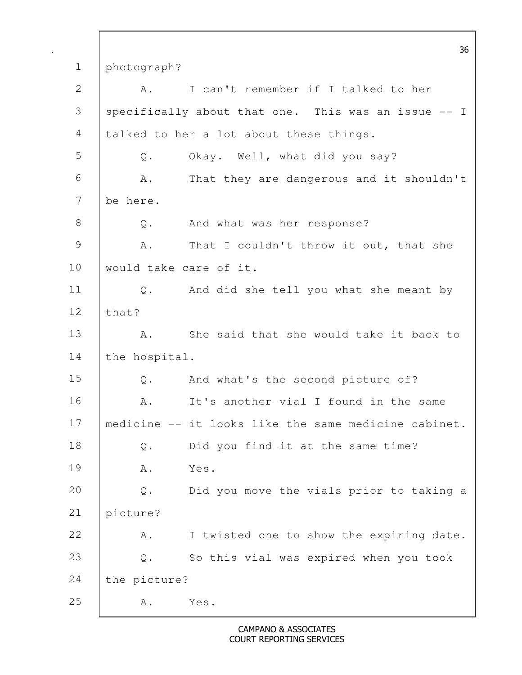36 1 photograph? 2 | A. I can't remember if I talked to her 3 specifically about that one. This was an issue -- I 4 talked to her a lot about these things. 5 Q. Okay. Well, what did you say? 6 A. That they are dangerous and it shouldn't 7 be here. 8 Q. And what was her response? 9 A. That I couldn't throw it out, that she 10 would take care of it. 11 Q. And did she tell you what she meant by  $12$  that? 13 | A. She said that she would take it back to 14 the hospital. 15 Q. And what's the second picture of? 16 A. It's another vial I found in the same 17 medicine -- it looks like the same medicine cabinet. 18 Q. Did you find it at the same time? 19 A. Yes. 20 Q. Did you move the vials prior to taking a 21 picture? 22 A. I twisted one to show the expiring date. 23 Q. So this vial was expired when you took 24 | the picture? 25 A. Yes.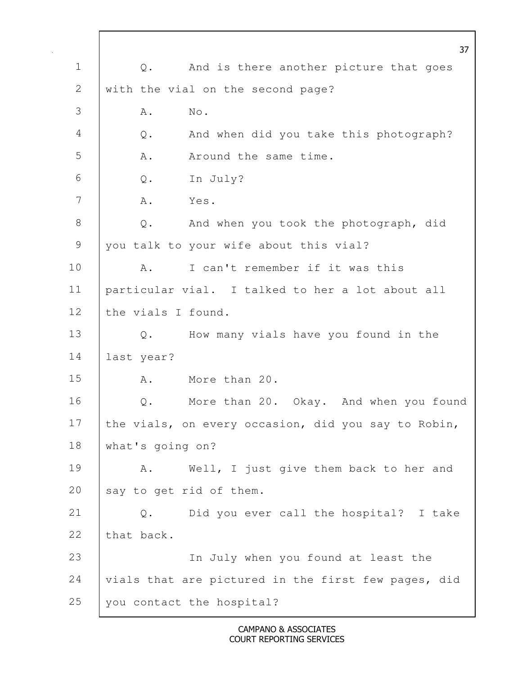37 1 | Q. And is there another picture that goes 2 with the vial on the second page? 3 A. No. 4 Q. And when did you take this photograph? 5 A. Around the same time. 6 Q. In July? 7 A. Yes. 8 Q. And when you took the photograph, did 9 you talk to your wife about this vial? 10 A. I can't remember if it was this 11 particular vial. I talked to her a lot about all 12 the vials I found. 13 Q. How many vials have you found in the 14 last year? 15 A. More than 20. 16 Q. More than 20. Okay. And when you found 17 the vials, on every occasion, did you say to Robin, 18 | what's going on? 19 | A. Well, I just give them back to her and 20 say to get rid of them. 21 Q. Did you ever call the hospital? I take 22 that back. 23 In July when you found at least the 24 vials that are pictured in the first few pages, did 25 you contact the hospital?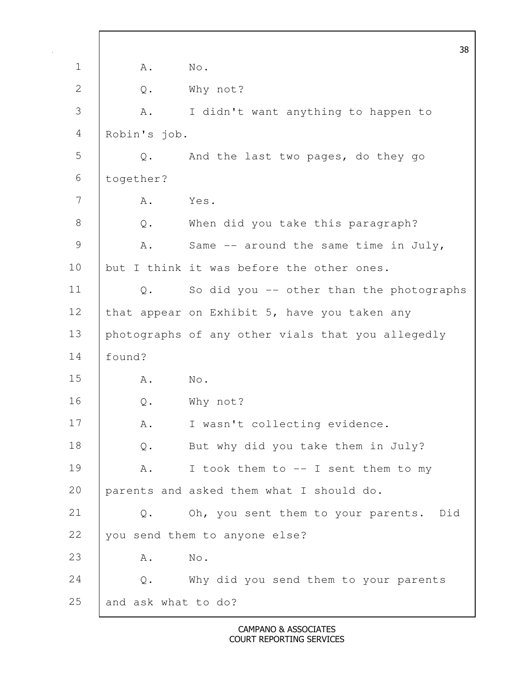|               |                     | 38                                                |
|---------------|---------------------|---------------------------------------------------|
| $\mathbf 1$   | Α.                  | No.                                               |
| $\mathbf{2}$  | $\mathsf{Q}$ .      | Why not?                                          |
| 3             | A .                 | I didn't want anything to happen to               |
| 4             | Robin's job.        |                                                   |
| 5             | $Q$ .               | And the last two pages, do they go                |
| 6             | together?           |                                                   |
| 7             | Α.                  | Yes.                                              |
| $8\,$         | $\mathsf{Q}$ .      | When did you take this paragraph?                 |
| $\mathcal{G}$ | Α.                  | Same $--$ around the same time in July,           |
| 10            |                     | but I think it was before the other ones.         |
| 11            | $Q$ .               | So did you -- other than the photographs          |
| 12            |                     | that appear on Exhibit 5, have you taken any      |
| 13            |                     | photographs of any other vials that you allegedly |
| 14            | found?              |                                                   |
| 15            | Α.                  | $\mathrm{No}$ .                                   |
| 16            | $Q$ .               | Why not?                                          |
| 17            | Α.                  | I wasn't collecting evidence.                     |
| 18            | $\mathbb Q$ .       | But why did you take them in July?                |
| 19            | Α.                  | I took them to -- I sent them to my               |
| 20            |                     | parents and asked them what I should do.          |
| 21            | $Q$ .               | Oh, you sent them to your parents. Did            |
| 22            |                     | you send them to anyone else?                     |
| 23            | Α.                  | $\rm No$ .                                        |
| 24            | $Q$ .               | Why did you send them to your parents             |
| 25            | and ask what to do? |                                                   |

 $\mathbf l$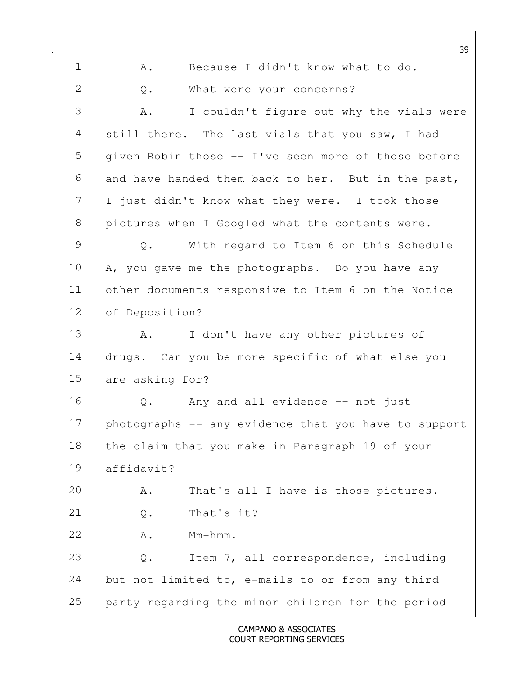|               |                  |                                                      | 39 |
|---------------|------------------|------------------------------------------------------|----|
| $\mathbf 1$   | Α.               | Because I didn't know what to do.                    |    |
| 2             | $\mathsf{Q}$ .   | What were your concerns?                             |    |
| 3             | Α.               | I couldn't figure out why the vials were             |    |
| 4             |                  | still there. The last vials that you saw, I had      |    |
| 5             |                  | given Robin those -- I've seen more of those before  |    |
| 6             |                  | and have handed them back to her. But in the past,   |    |
| 7             |                  | I just didn't know what they were. I took those      |    |
| 8             |                  | pictures when I Googled what the contents were.      |    |
| $\mathcal{G}$ | $Q$ .            | With regard to Item 6 on this Schedule               |    |
| 10            |                  | A, you gave me the photographs. Do you have any      |    |
| 11            |                  | other documents responsive to Item 6 on the Notice   |    |
| 12            | of Deposition?   |                                                      |    |
| 13            | Α.               | I don't have any other pictures of                   |    |
| 14            |                  | drugs. Can you be more specific of what else you     |    |
| 15            | are asking for?  |                                                      |    |
| 16            | Q.               | Any and all evidence -- not just                     |    |
| 17            |                  | photographs -- any evidence that you have to support |    |
| 18            |                  | the claim that you make in Paragraph 19 of your      |    |
| 19            | affidavit?       |                                                      |    |
| 20            | Α.               | That's all I have is those pictures.                 |    |
| 21            | $\mathsf{Q}$ .   | That's it?                                           |    |
| 22            | $Mm-hmm$ .<br>Α. |                                                      |    |
| 23            | $\mathbb Q$ .    | Item 7, all correspondence, including                |    |
| 24            |                  | but not limited to, e-mails to or from any third     |    |
| 25            |                  | party regarding the minor children for the period    |    |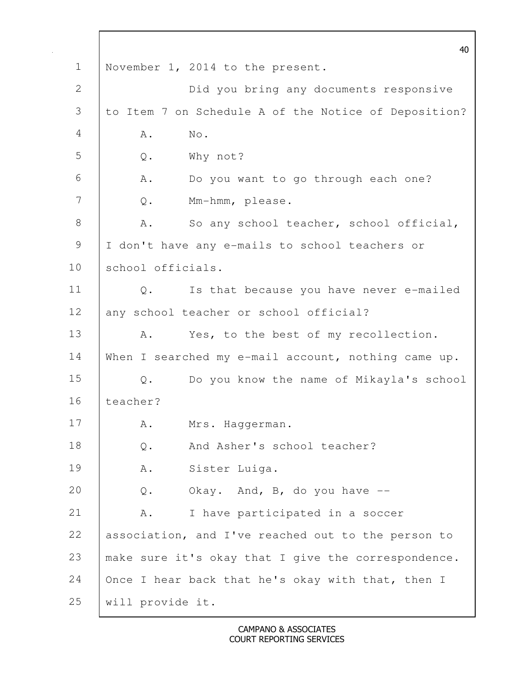40 1 November 1, 2014 to the present. 2 Did you bring any documents responsive 3 to Item 7 on Schedule A of the Notice of Deposition? 4 A. No. 5 Q. Why not? 6 A. Do you want to go through each one? 7 Q. Mm-hmm, please. 8 | A. So any school teacher, school official, 9 | I don't have any e-mails to school teachers or 10 school officials. 11 Q. Is that because you have never e-mailed 12 any school teacher or school official? 13 | A. Yes, to the best of my recollection. 14 When I searched my e-mail account, nothing came up. 15 Q. Do you know the name of Mikayla's school 16 teacher? 17 | A. Mrs. Haggerman. 18 Q. And Asher's school teacher? 19 A. Sister Luiga. 20  $Q.$  Okay. And, B, do you have  $-$ 21 | A. I have participated in a soccer 22 association, and I've reached out to the person to 23 | make sure it's okay that I give the correspondence. 24 | Once I hear back that he's okay with that, then I 25 will provide it.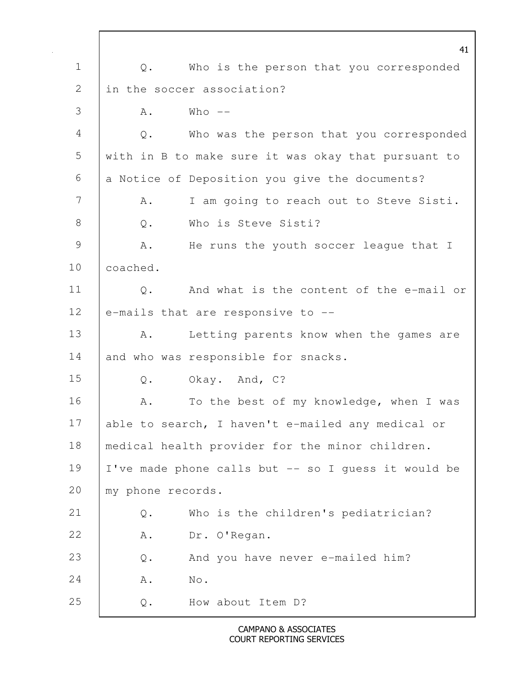|               |                            | 41                                                  |
|---------------|----------------------------|-----------------------------------------------------|
| $\mathbf 1$   | Q.                         | Who is the person that you corresponded             |
| $\mathbf{2}$  | in the soccer association? |                                                     |
| 3             | Who $--$<br>Α.             |                                                     |
| 4             | Q.                         | Who was the person that you corresponded            |
| 5             |                            | with in B to make sure it was okay that pursuant to |
| 6             |                            | a Notice of Deposition you give the documents?      |
| 7             | Α.                         | I am going to reach out to Steve Sisti.             |
| $8\,$         | $\mathbb Q$ .              | Who is Steve Sisti?                                 |
| $\mathcal{G}$ | Α.                         | He runs the youth soccer league that I              |
| 10            | coached.                   |                                                     |
| 11            | $Q$ .                      | And what is the content of the e-mail or            |
| 12            |                            | e-mails that are responsive to --                   |
| 13            | A.                         | Letting parents know when the games are             |
| 14            |                            | and who was responsible for snacks.                 |
| 15            | Q.                         | Okay. And, C?                                       |
| 16            | Α.                         | To the best of my knowledge, when I was             |
| 17            |                            | able to search, I haven't e-mailed any medical or   |
| 18            |                            | medical health provider for the minor children.     |
| 19            |                            | I've made phone calls but -- so I guess it would be |
| 20            | my phone records.          |                                                     |
| 21            | $\mathsf{Q}$ .             | Who is the children's pediatrician?                 |
| 22            | A .                        | Dr. O'Regan.                                        |
| 23            | $\mathsf{Q}$ .             | And you have never e-mailed him?                    |
| 24            | $\mathrm{No}$ .<br>Α.      |                                                     |
| 25            | $\mathsf{Q}$ .             | How about Item D?                                   |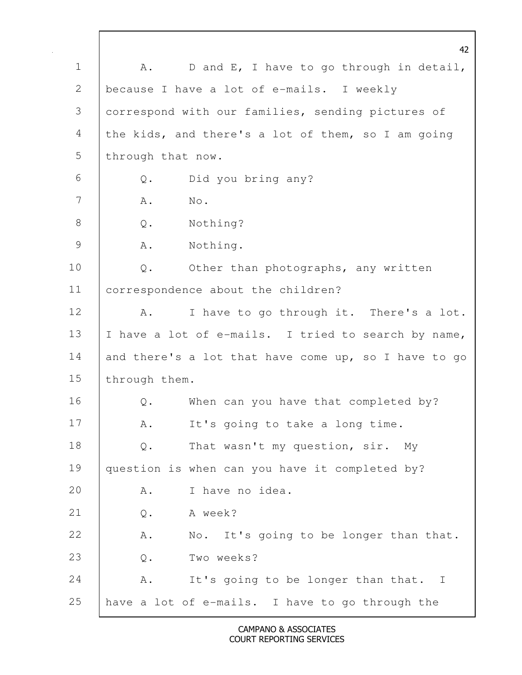42 1 | A. D and E, I have to go through in detail, 2 | because I have a lot of e-mails. I weekly 3 correspond with our families, sending pictures of 4 the kids, and there's a lot of them, so I am going 5 | through that now. 6 Q. Did you bring any? 7 A. No. 8 Q. Nothing? 9 A. Nothing. 10 | Q. Other than photographs, any written 11 correspondence about the children? 12 | A. I have to go through it. There's a lot. 13 | I have a lot of e-mails. I tried to search by name, 14 and there's a lot that have come up, so I have to go 15 | through them. 16 Q. When can you have that completed by? 17 | A. It's going to take a long time. 18 Q. That wasn't my question, sir. My 19 | question is when can you have it completed by? 20 A. I have no idea. 21 Q. A week? 22 A. No. It's going to be longer than that. 23 | O. Two weeks? 24 A. It's going to be longer than that. I 25 have a lot of e-mails. I have to go through the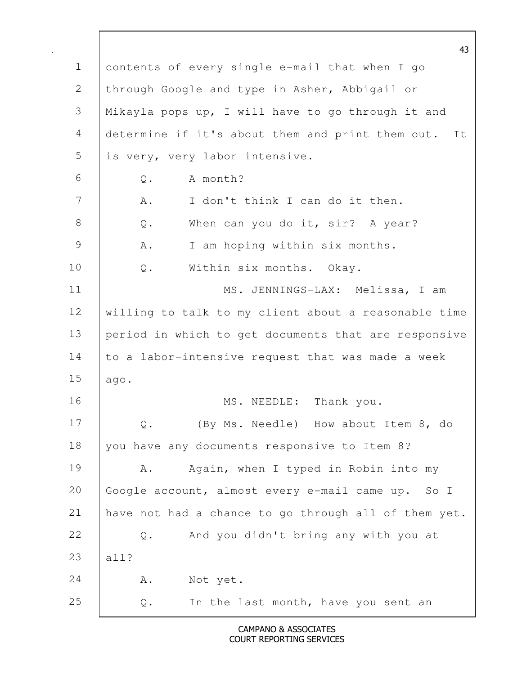43 1 contents of every single e-mail that when I go 2 through Google and type in Asher, Abbigail or 3 Mikayla pops up, I will have to go through it and 4 determine if it's about them and print them out. It 5 is very, very labor intensive. 6 Q. A month? 7 | A. I don't think I can do it then. 8 | Q. When can you do it, sir? A year? 9 A. I am hoping within six months. 10 | Q. Within six months. Okay. 11 MS. JENNINGS-LAX: Melissa, I am 12 willing to talk to my client about a reasonable time 13 period in which to get documents that are responsive 14 to a labor-intensive request that was made a week 15 ago. 16 | MS. NEEDLE: Thank you. 17 |  $Q_1$  (By Ms. Needle) How about Item 8, do 18 | you have any documents responsive to Item 8? 19 | A. Again, when I typed in Robin into my 20 Google account, almost every e-mail came up. So I 21 have not had a chance to go through all of them yet. 22 Q. And you didn't bring any with you at 23 all? 24 | A. Not yet. 25 Q. In the last month, have you sent an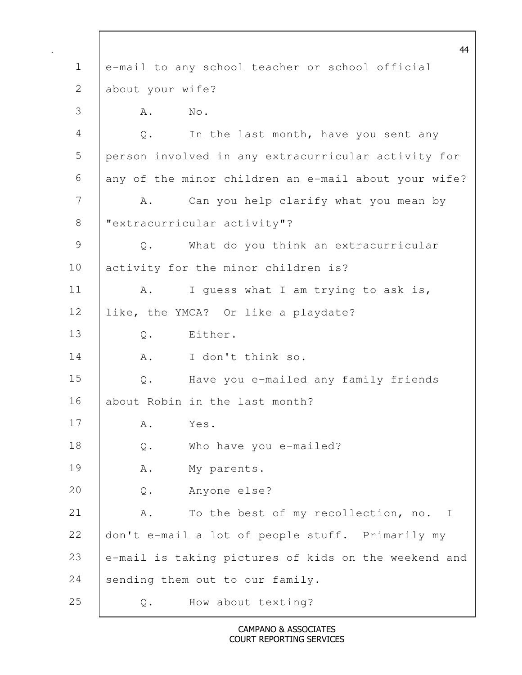44 1 e-mail to any school teacher or school official 2 about your wife? 3 A. No. 4 Q. In the last month, have you sent any 5 person involved in any extracurricular activity for  $6$  any of the minor children an e-mail about your wife? 7 | A. Can you help clarify what you mean by 8 | "extracurricular activity"? 9 Q. What do you think an extracurricular 10 activity for the minor children is? 11 | A. I guess what I am trying to ask is, 12 like, the YMCA? Or like a playdate? 13 | O. Either. 14 A. I don't think so. 15 Q. Have you e-mailed any family friends 16 about Robin in the last month? 17 A. Yes. 18 | Q. Who have you e-mailed? 19 | A. My parents. 20 Q. Anyone else? 21 A. To the best of my recollection, no. I 22 don't e-mail a lot of people stuff. Primarily my 23 e-mail is taking pictures of kids on the weekend and 24 sending them out to our family. 25 Q. How about texting?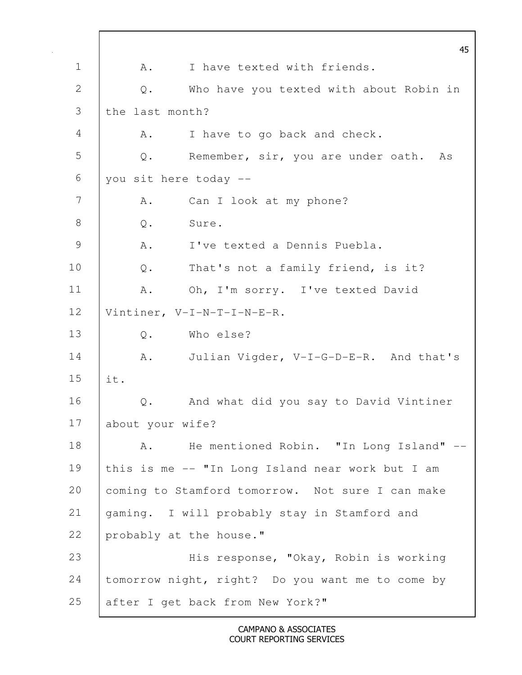45 1 | A. I have texted with friends. 2 Q. Who have you texted with about Robin in 3 the last month? 4 | A. I have to go back and check. 5 Q. Remember, sir, you are under oath. As 6 you sit here today -- 7 | A. Can I look at my phone? 8 | O. Sure. 9 A. I've texted a Dennis Puebla. 10 | Q. That's not a family friend, is it? 11 | A. Oh, I'm sorry. I've texted David 12 Vintiner, V-I-N-T-I-N-E-R. 13 | O. Who else? 14 | A. Julian Vigder, V-I-G-D-E-R. And that's 15 it. 16 Q. And what did you say to David Vintiner 17 about your wife? 18 | A. He mentioned Robin. "In Long Island" --19 this is me -- "In Long Island near work but I am 20 | coming to Stamford tomorrow. Not sure I can make 21 gaming. I will probably stay in Stamford and 22 probably at the house." 23 His response, "Okay, Robin is working 24 tomorrow night, right? Do you want me to come by 25 after I get back from New York?"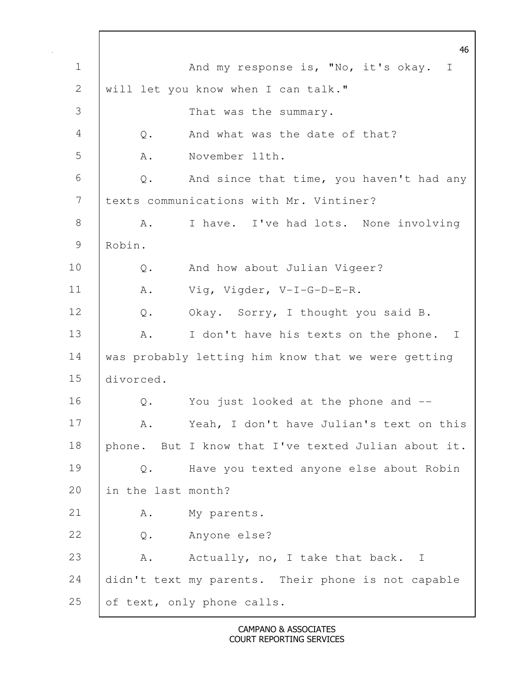46 1 | And my response is, "No, it's okay. I 2 will let you know when I can talk." 3 That was the summary. 4 Q. And what was the date of that? 5 A. November 11th. 6 Q. And since that time, you haven't had any 7 texts communications with Mr. Vintiner? 8 A. I have. I've had lots. None involving 9 Robin. 10 | Q. And how about Julian Vigeer? 11 | A. Vig, Vigder, V-I-G-D-E-R. 12 Q. Okay. Sorry, I thought you said B. 13 | A. I don't have his texts on the phone. I 14 was probably letting him know that we were getting 15 divorced. 16 **Q.** You just looked at the phone and --17 | A. Yeah, I don't have Julian's text on this 18 phone. But I know that I've texted Julian about it. 19 Q. Have you texted anyone else about Robin 20 in the last month? 21 | A. My parents. 22 Q. Anyone else? 23 A. Actually, no, I take that back. I 24 didn't text my parents. Their phone is not capable 25 of text, only phone calls.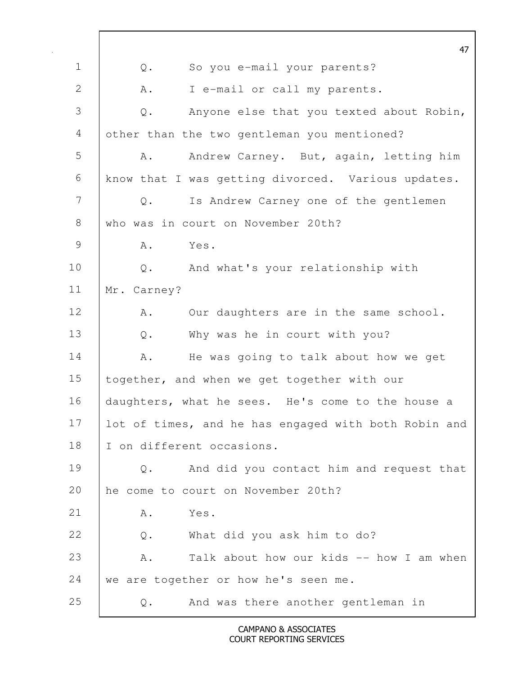47 1 Q. So you e-mail your parents? 2 A. I e-mail or call my parents. 3 Q. Anyone else that you texted about Robin, 4 other than the two gentleman you mentioned? 5 A. Andrew Carney. But, again, letting him 6 know that I was getting divorced. Various updates. 7 Q. Is Andrew Carney one of the gentlemen 8 who was in court on November 20th? 9 A. Yes. 10 |  $Q_i$  And what's your relationship with 11 Mr. Carney? 12 | A. Our daughters are in the same school. 13 Q. Why was he in court with you? 14 A. He was going to talk about how we get 15 | together, and when we get together with our 16 daughters, what he sees. He's come to the house a 17 | lot of times, and he has engaged with both Robin and 18 | I on different occasions. 19 Q. And did you contact him and request that 20 he come to court on November 20th? 21 A. Yes. 22 Q. What did you ask him to do? 23 A. Talk about how our kids -- how I am when 24 we are together or how he's seen me. 25 Q. And was there another gentleman in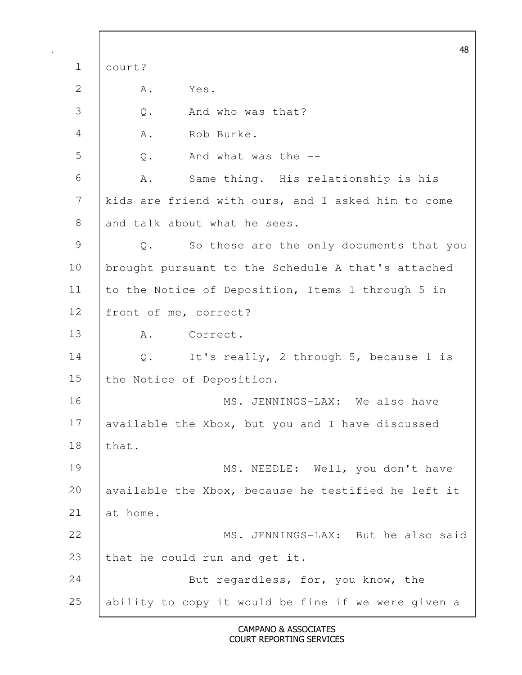48 1 court? 2 A. Yes. 3 Q. And who was that? 4 A. Rob Burke. 5 Q. And what was the -- 6 A. Same thing. His relationship is his 7 kids are friend with ours, and I asked him to come 8 and talk about what he sees. 9 Q. So these are the only documents that you 10 | brought pursuant to the Schedule A that's attached 11 | to the Notice of Deposition, Items 1 through 5 in 12 | front of me, correct? 13 A. Correct. 14 Q. It's really, 2 through 5, because 1 is 15 the Notice of Deposition. 16 | MS. JENNINGS-LAX: We also have 17 available the Xbox, but you and I have discussed 18 | that. 19 | MS. NEEDLE: Well, you don't have 20 | available the Xbox, because he testified he left it 21 at home. 22 | MS. JENNINGS-LAX: But he also said 23 that he could run and get it. 24 **But regardless, for, you know, the** 25 ability to copy it would be fine if we were given a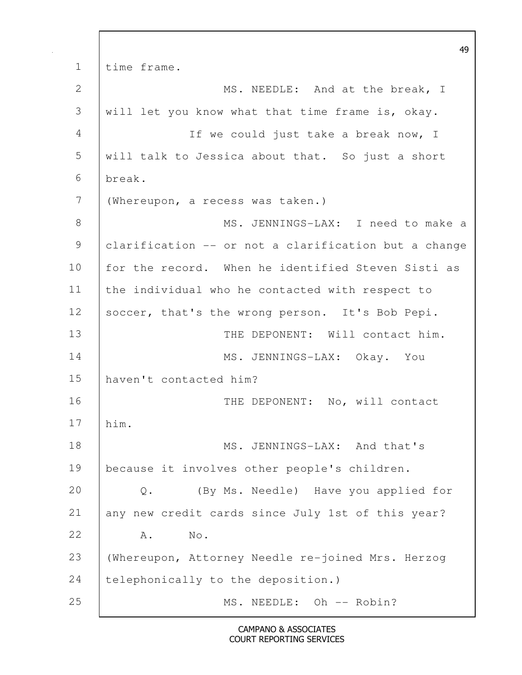49 1 time frame. 2 MS. NEEDLE: And at the break, I 3 will let you know what that time frame is, okay. 4 If we could just take a break now, I 5 will talk to Jessica about that. So just a short 6 break. 7 (Whereupon, a recess was taken.) 8 MS. JENNINGS-LAX: I need to make a 9 clarification -- or not a clarification but a change 10 for the record. When he identified Steven Sisti as 11 the individual who he contacted with respect to 12 soccer, that's the wrong person. It's Bob Pepi. 13 | THE DEPONENT: Will contact him. 14 MS. JENNINGS-LAX: Okay. You 15 haven't contacted him? 16 | THE DEPONENT: No, will contact 17 him. 18 | MS. JENNINGS-LAX: And that's 19 because it involves other people's children. 20 Q. (By Ms. Needle) Have you applied for 21 any new credit cards since July 1st of this year? 22 A. No. 23 (Whereupon, Attorney Needle re-joined Mrs. Herzog 24 | telephonically to the deposition.) 25 | MS. NEEDLE: Oh -- Robin?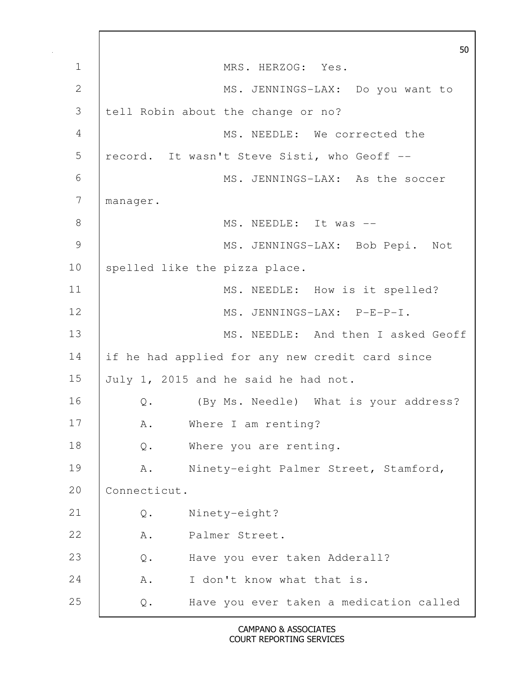50 1 | MRS. HERZOG: Yes. 2 MS. JENNINGS-LAX: Do you want to 3 tell Robin about the change or no? 4 MS. NEEDLE: We corrected the 5 | record. It wasn't Steve Sisti, who Geoff --6 MS. JENNINGS-LAX: As the soccer 7 manager. 8 | MS. NEEDLE: It was --9 | MS. JENNINGS-LAX: Bob Pepi. Not 10 | spelled like the pizza place. 11 | MS. NEEDLE: How is it spelled? 12 MS. JENNINGS-LAX: P-E-P-I. 13 **MS. NEEDLE:** And then I asked Geoff 14 if he had applied for any new credit card since 15 July 1, 2015 and he said he had not. 16 | Q. (By Ms. Needle) What is your address? 17 | A. Where I am renting? 18 Q. Where you are renting. 19 | A. Ninety-eight Palmer Street, Stamford, 20 Connecticut. 21 Q. Ninety-eight? 22 | A. Palmer Street. 23 Q. Have you ever taken Adderall? 24 A. I don't know what that is. 25 Q. Have you ever taken a medication called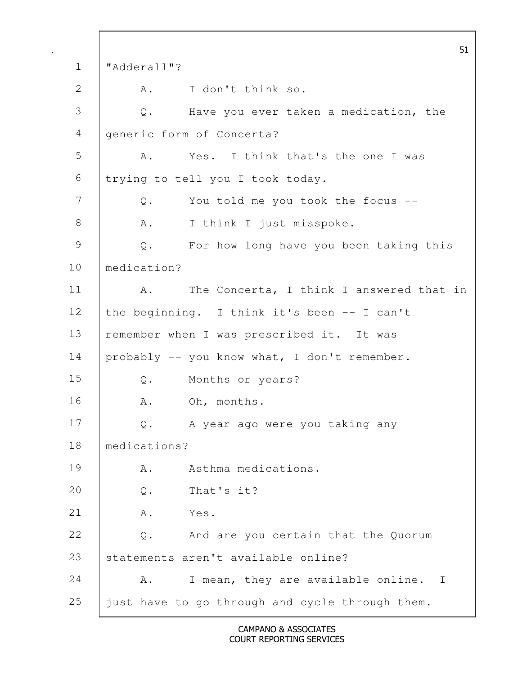51 1 "Adderall"? 2 A. I don't think so. 3 Q. Have you ever taken a medication, the 4 generic form of Concerta? 5 A. Yes. I think that's the one I was 6 trying to tell you I took today. 7 Q. You told me you took the focus --8 | A. I think I just misspoke. 9 Q. For how long have you been taking this 10 medication? 11 | A. The Concerta, I think I answered that in 12 the beginning. I think it's been -- I can't 13 | remember when I was prescribed it. It was 14 probably -- you know what, I don't remember. 15 Q. Months or years? 16 A. Oh, months. 17 Q. A year ago were you taking any 18 medications? 19 A. Asthma medications. 20 Q. That's it? 21 A. Yes. 22 Q. And are you certain that the Quorum 23 | statements aren't available online? 24 A. I mean, they are available online. I 25 just have to go through and cycle through them.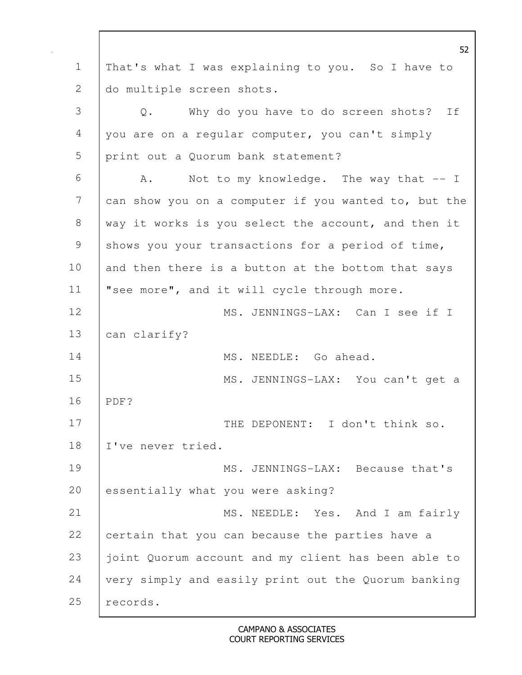52 1 That's what I was explaining to you. So I have to 2 do multiple screen shots. 3 Q. Why do you have to do screen shots? If 4 you are on a regular computer, you can't simply 5 print out a Quorum bank statement?  $6$   $A.$  Not to my knowledge. The way that  $-1$ 7 can show you on a computer if you wanted to, but the 8 way it works is you select the account, and then it 9 shows you your transactions for a period of time, 10 and then there is a button at the bottom that says 11 "see more", and it will cycle through more. 12 MS. JENNINGS-LAX: Can I see if I 13 | can clarify? 14 MS. NEEDLE: Go ahead. 15 | MS. JENNINGS-LAX: You can't get a 16 PDF? 17 | THE DEPONENT: I don't think so. 18 I've never tried. 19 MS. JENNINGS-LAX: Because that's 20 essentially what you were asking? 21 | MS. NEEDLE: Yes. And I am fairly 22 certain that you can because the parties have a 23 | joint Quorum account and my client has been able to 24 very simply and easily print out the Quorum banking 25 | records.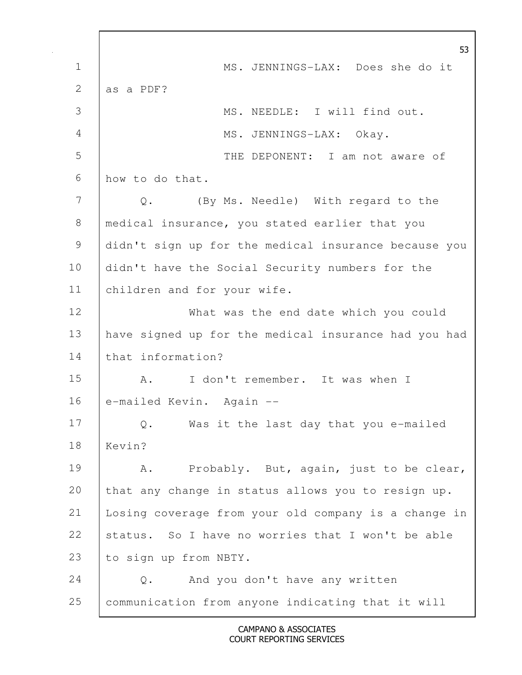53 1 MS. JENNINGS-LAX: Does she do it 2  $\vert$  as a PDF? 3 MS. NEEDLE: I will find out. 4 MS. JENNINGS-LAX: Okay. 5 THE DEPONENT: I am not aware of 6 how to do that. 7 Q. (By Ms. Needle) With regard to the 8 | medical insurance, you stated earlier that you 9 didn't sign up for the medical insurance because you 10 didn't have the Social Security numbers for the 11 children and for your wife. 12 | What was the end date which you could 13 have signed up for the medical insurance had you had 14 that information? 15 | A. I don't remember. It was when I 16 e-mailed Kevin. Again --17 Q. Was it the last day that you e-mailed 18 Kevin? 19 | A. Probably. But, again, just to be clear, 20 that any change in status allows you to resign up. 21 Losing coverage from your old company is a change in 22 status. So I have no worries that I won't be able 23 to sign up from NBTY. 24 Q. And you don't have any written 25 communication from anyone indicating that it will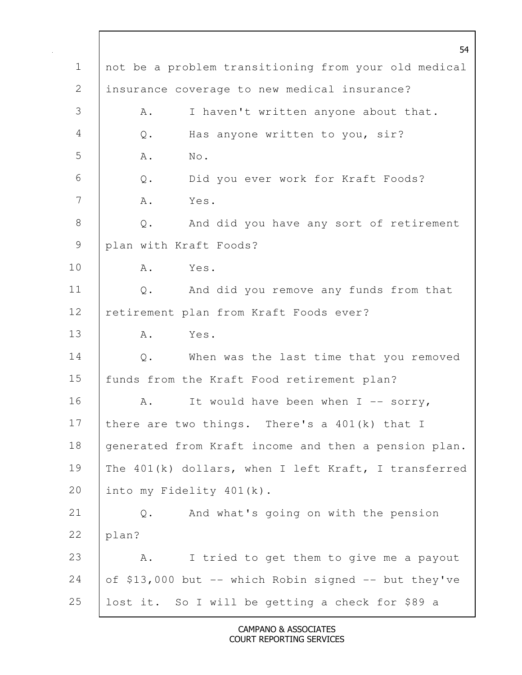| $\mathbf 1$    | 54<br>not be a problem transitioning from your old medical |
|----------------|------------------------------------------------------------|
| $\overline{2}$ | insurance coverage to new medical insurance?               |
| 3              | I haven't written anyone about that.<br>Α.                 |
| $\overline{4}$ |                                                            |
|                | Has anyone written to you, sir?<br>Q.                      |
| 5              | No.<br>Α.                                                  |
| 6              | Q. Did you ever work for Kraft Foods?                      |
| 7              | Α.<br>Yes.                                                 |
| $8\,$          | And did you have any sort of retirement<br>Q.              |
| 9              | plan with Kraft Foods?                                     |
| 10             | Yes.<br>A.                                                 |
| 11             | And did you remove any funds from that<br>Q.               |
| 12             | retirement plan from Kraft Foods ever?                     |
| 13             | Yes.<br>Α.                                                 |
| 14             | When was the last time that you removed<br>Q.              |
| 15             | funds from the Kraft Food retirement plan?                 |
| 16             | It would have been when $I$ -- sorry,<br>A.                |
| 17             | there are two things. There's a $401(k)$ that I            |
| 18             | generated from Kraft income and then a pension plan.       |
| 19             | The 401(k) dollars, when I left Kraft, I transferred       |
| 20             | into my Fidelity 401(k).                                   |
| 21             | And what's going on with the pension<br>Q.                 |
| 22             | plan?                                                      |
| 23             | I tried to get them to give me a payout<br>Α.              |
| 24             | of \$13,000 but -- which Robin signed -- but they've       |
| 25             | lost it. So I will be getting a check for \$89 a           |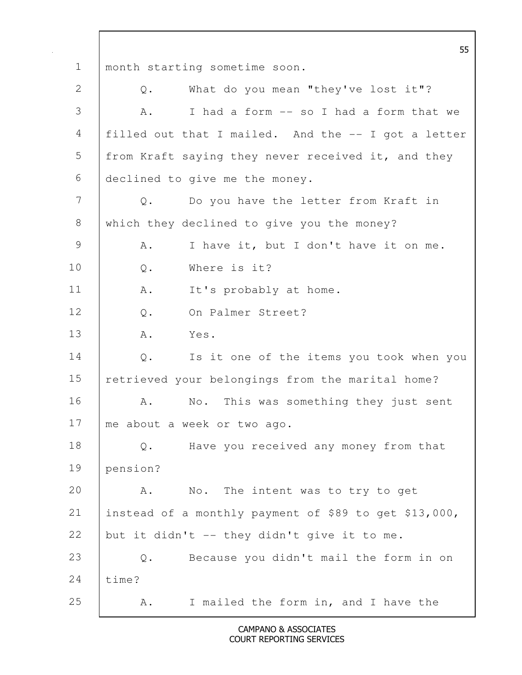55 1 month starting sometime soon. 2 Q. What do you mean "they've lost it"? 3 A. I had a form -- so I had a form that we 4 filled out that I mailed. And the -- I got a letter 5 from Kraft saying they never received it, and they 6 declined to give me the money. 7 Q. Do you have the letter from Kraft in 8 which they declined to give you the money? 9 A. I have it, but I don't have it on me. 10 | O. Where is it? 11 | A. It's probably at home. 12 | O. On Palmer Street? 13 A. Yes. 14 Q. Is it one of the items you took when you 15 | retrieved your belongings from the marital home? 16 A. No. This was something they just sent 17 me about a week or two ago. 18 Q. Have you received any money from that 19 pension? 20 A. No. The intent was to try to get 21 instead of a monthly payment of \$89 to get \$13,000, 22 but it didn't  $-$  they didn't give it to me. 23 Q. Because you didn't mail the form in on 24 | time? 25 A. I mailed the form in, and I have the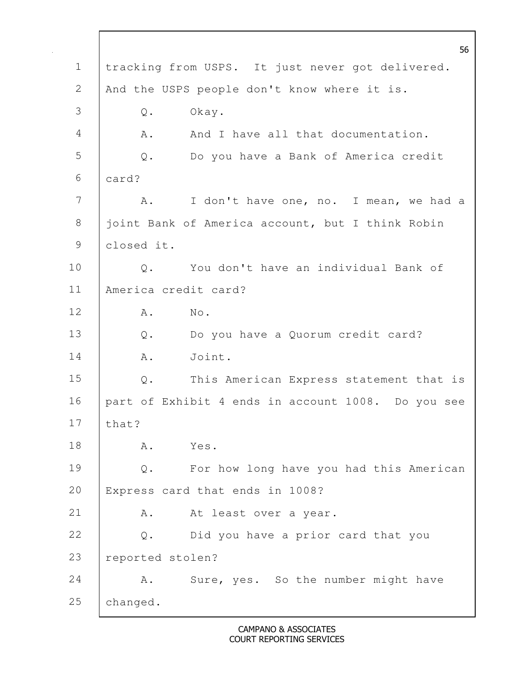1 tracking from USPS. It just never got delivered. 2 | And the USPS people don't know where it is. Q. Okay. 4 A. And I have all that documentation. Q. Do you have a Bank of America credit card? 7 A. I don't have one, no. I mean, we had a 8 | joint Bank of America account, but I think Robin closed it. 10 | Q. You don't have an individual Bank of America credit card? A. No. Q. Do you have a Quorum credit card? 14 | A. Joint. Q. This American Express statement that is part of Exhibit 4 ends in account 1008. Do you see that? A. Yes. Q. For how long have you had this American Express card that ends in 1008? 21 | A. At least over a year. Q. Did you have a prior card that you reported stolen? 24 A. Sure, yes. So the number might have changed.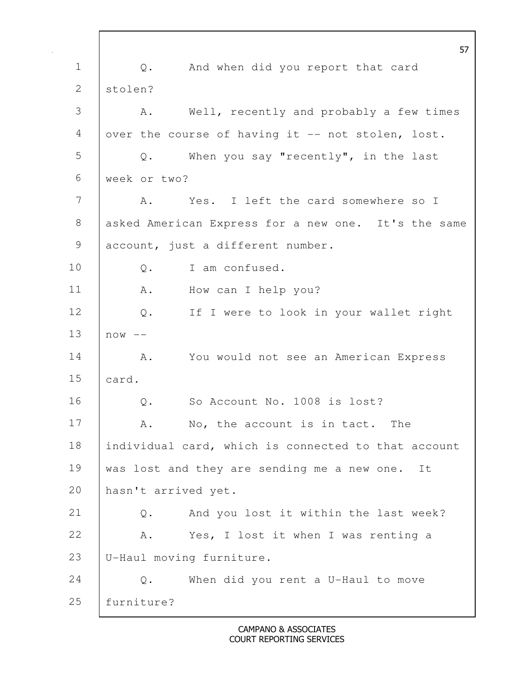57 1 | Q. And when did you report that card 2 | stolen? 3 A. Well, recently and probably a few times 4 | over the course of having it -- not stolen, lost. 5 Q. When you say "recently", in the last 6 week or two? 7 A. Yes. I left the card somewhere so I 8 asked American Express for a new one. It's the same 9 account, just a different number. 10 | O. I am confused. 11 A. How can I help you? 12 Q. If I were to look in your wallet right  $13$   $\sqrt{25}$  now  $-$ 14 | A. You would not see an American Express 15 card. 16 | O. So Account No. 1008 is lost? 17 A. No, the account is in tact. The 18 | individual card, which is connected to that account 19 was lost and they are sending me a new one. It 20 hasn't arrived yet. 21 Q. And you lost it within the last week? 22 | A. Yes, I lost it when I was renting a 23 U-Haul moving furniture. 24 Q. When did you rent a U-Haul to move 25 furniture?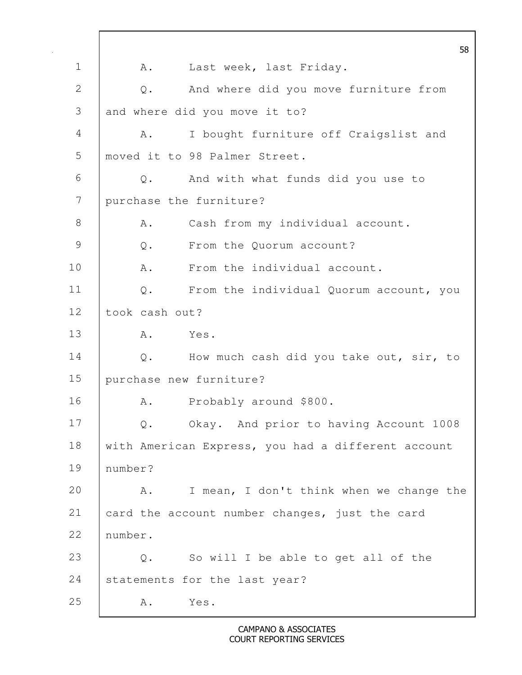58 1 | A. Last week, last Friday. 2 Q. And where did you move furniture from 3 and where did you move it to? 4 A. I bought furniture off Craigslist and 5 | moved it to 98 Palmer Street. 6 Q. And with what funds did you use to 7 purchase the furniture? 8 | A. Cash from my individual account. 9 Q. From the Quorum account? 10 | A. From the individual account. 11 Q. From the individual Quorum account, you 12 took cash out? 13 A. Yes. 14 | Q. How much cash did you take out, sir, to 15 purchase new furniture? 16 A. Probably around \$800. 17 Q. Okay. And prior to having Account 1008 18 with American Express, you had a different account 19 number? 20 A. I mean, I don't think when we change the 21 card the account number changes, just the card 22 number. 23 | Q. So will I be able to get all of the 24 Statements for the last year? 25 A. Yes.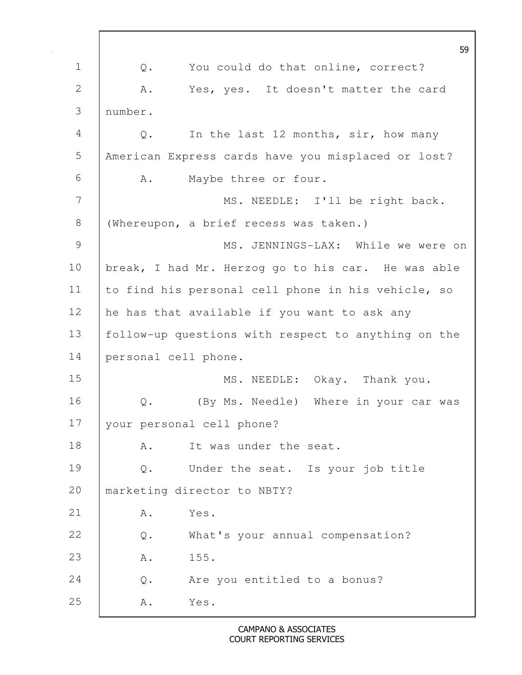|               | 59                                                     |
|---------------|--------------------------------------------------------|
| $\mathbf 1$   | You could do that online, correct?<br>Q.               |
| 2             | Α.<br>Yes, yes. It doesn't matter the card             |
| 3             | number.                                                |
| 4             | In the last 12 months, sir, how many<br>Q.             |
| 5             | American Express cards have you misplaced or lost?     |
| 6             | Maybe three or four.<br>Α.                             |
| 7             | MS. NEEDLE: I'll be right back.                        |
| 8             | (Whereupon, a brief recess was taken.)                 |
| $\mathcal{G}$ | MS. JENNINGS-LAX: While we were on                     |
| 10            | break, I had Mr. Herzog go to his car. He was able     |
| 11            | to find his personal cell phone in his vehicle, so     |
| 12            | he has that available if you want to ask any           |
| 13            | follow-up questions with respect to anything on the    |
| 14            | personal cell phone.                                   |
| 15            | MS. NEEDLE: Okay. Thank you.                           |
| 16            | (By Ms. Needle) Where in your car was<br>$\mathbb Q$ . |
| 17            | your personal cell phone?                              |
| 18            | It was under the seat.<br>Α.                           |
| 19            | Under the seat. Is your job title<br>$Q$ .             |
| 20            | marketing director to NBTY?                            |
| 21            | Yes.<br>Α.                                             |
| 22            | What's your annual compensation?<br>Q.                 |
| 23            | 155.<br>Α.                                             |
| 24            | Are you entitled to a bonus?<br>$Q$ .                  |
| 25            | Yes.<br>Α.                                             |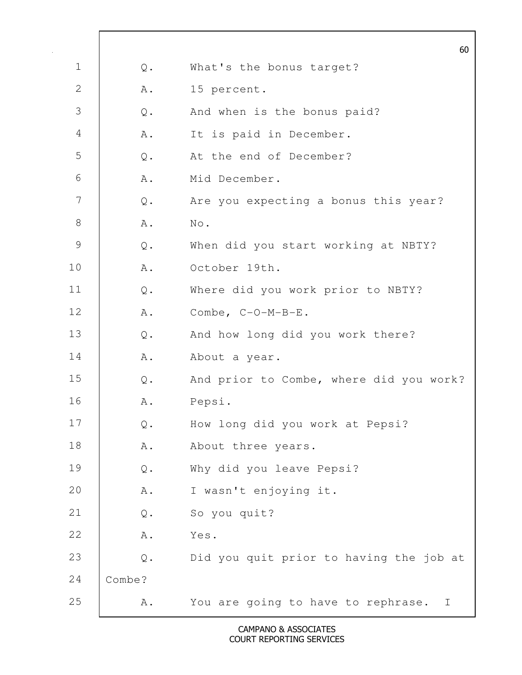|               |                | 60                                                 |
|---------------|----------------|----------------------------------------------------|
| $\mathbf 1$   | Q.             | What's the bonus target?                           |
| $\mathbf{2}$  | Α.             | 15 percent.                                        |
| 3             | $\mathsf{Q}$ . | And when is the bonus paid?                        |
| 4             | Α.             | It is paid in December.                            |
| 5             | $\mathbb Q$ .  | At the end of December?                            |
| 6             | Α.             | Mid December.                                      |
| 7             | $\mathbb Q$ .  | Are you expecting a bonus this year?               |
| $8\,$         | Α.             | $\mathrm{No}$ .                                    |
| $\mathcal{G}$ | $\mathsf{Q}$ . | When did you start working at NBTY?                |
| 10            | Α.             | October 19th.                                      |
| 11            | $Q$ .          | Where did you work prior to NBTY?                  |
| 12            | Α.             | Combe, C-O-M-B-E.                                  |
| 13            | $\mathbb Q$ .  | And how long did you work there?                   |
| 14            | Α.             | About a year.                                      |
| 15            | Q.             | And prior to Combe, where did you work?            |
| 16            | Α.             | Pepsi.                                             |
| 17            | $\mathsf Q$ .  | How long did you work at Pepsi?                    |
| 18            | Α.             | About three years.                                 |
| 19            | $\mathsf Q$ .  | Why did you leave Pepsi?                           |
| 20            | A .            | I wasn't enjoying it.                              |
| 21            | $\mathsf Q$ .  | So you quit?                                       |
| 22            | A .            | Yes.                                               |
| 23            | $\mathsf Q$ .  | Did you quit prior to having the job at            |
| 24            | Combe?         |                                                    |
| 25            | Α.             | You are going to have to rephrase.<br>$\mathbb{I}$ |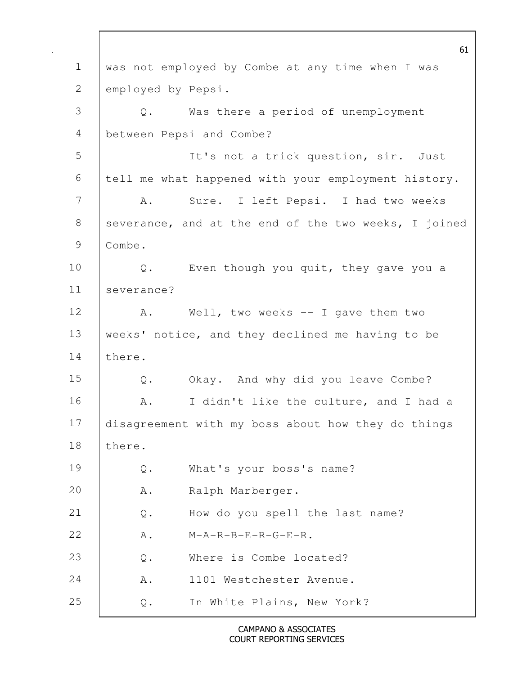61 1 was not employed by Combe at any time when I was 2 employed by Pepsi. 3 Q. Was there a period of unemployment 4 between Pepsi and Combe? 5 It's not a trick question, sir. Just 6 tell me what happened with your employment history. 7 | A. Sure. I left Pepsi. I had two weeks 8 severance, and at the end of the two weeks, I joined 9 Combe. 10 Q. Even though you quit, they gave you a 11 severance? 12 | A. Well, two weeks -- I gave them two 13 | weeks' notice, and they declined me having to be 14 | there. 15 Q. Okay. And why did you leave Combe? 16 | A. I didn't like the culture, and I had a 17 disagreement with my boss about how they do things 18 | there. 19 Q. What's your boss's name? 20 A. Ralph Marberger. 21 Q. How do you spell the last name? 22 A. M-A-R-B-E-R-G-E-R. 23 | 0. Where is Combe located? 24 A. 1101 Westchester Avenue. 25 Q. In White Plains, New York?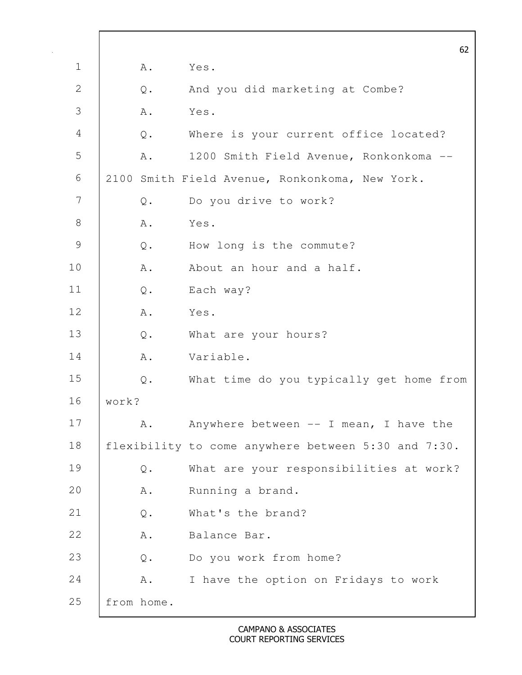|                |                | 62                                                  |
|----------------|----------------|-----------------------------------------------------|
| $\mathbf 1$    | Α.             | Yes.                                                |
| $\mathbf{2}$   | Q.             | And you did marketing at Combe?                     |
| 3              | Α.             | Yes.                                                |
| $\overline{4}$ | $Q$ .          | Where is your current office located?               |
| 5              | Α.             | 1200 Smith Field Avenue, Ronkonkoma --              |
| 6              |                | 2100 Smith Field Avenue, Ronkonkoma, New York.      |
| 7              | Q.             | Do you drive to work?                               |
| $8\,$          | Α.             | Yes.                                                |
| $\mathcal{G}$  | $\mathsf{Q}$ . | How long is the commute?                            |
| 10             | Α.             | About an hour and a half.                           |
| 11             | $\mathbb Q$ .  | Each way?                                           |
| 12             | Α.             | Yes.                                                |
| 13             | Q.             | What are your hours?                                |
| 14             | ${\tt A}$ .    | Variable.                                           |
| 15             | $Q$ .          | What time do you typically get home from            |
| 16             | work?          |                                                     |
| 17             | Α.             | Anywhere between $--$ I mean, I have the            |
| 18             |                | flexibility to come anywhere between 5:30 and 7:30. |
| 19             | Q.             | What are your responsibilities at work?             |
| 20             | A.             | Running a brand.                                    |
| 21             | $\mathsf{Q}$ . | What's the brand?                                   |
| 22             | Α.             | Balance Bar.                                        |
| 23             | $\mathbb Q$ .  | Do you work from home?                              |
| 24             | A.             | I have the option on Fridays to work                |
| 25             | from home.     |                                                     |

 $\Gamma$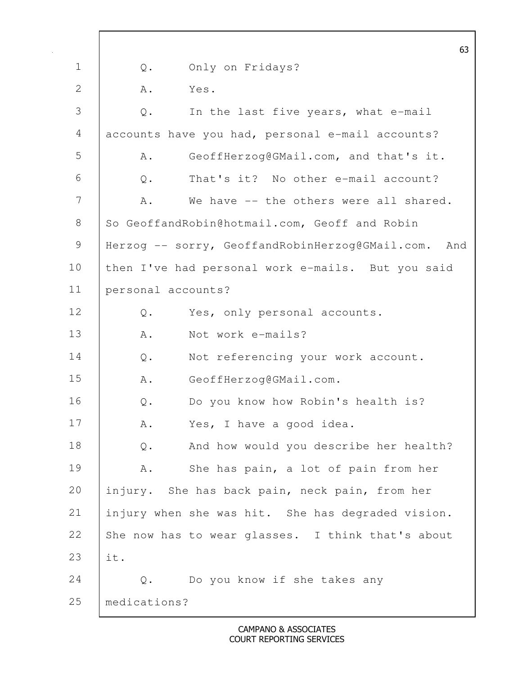|                |                    | 63                                                  |
|----------------|--------------------|-----------------------------------------------------|
| $\mathbf 1$    | Q.                 | Only on Fridays?                                    |
| 2              | Α.                 | Yes.                                                |
| 3              | $\mathsf{Q}$ .     | In the last five years, what e-mail                 |
| $\overline{4}$ |                    | accounts have you had, personal e-mail accounts?    |
| 5              | Α.                 | GeoffHerzog@GMail.com, and that's it.               |
| 6              | $\mathsf{Q}$ .     | That's it? No other e-mail account?                 |
| 7              | Α.                 | We have -- the others were all shared.              |
| $8\,$          |                    | So GeoffandRobin@hotmail.com, Geoff and Robin       |
| 9              |                    | Herzog -- sorry, GeoffandRobinHerzog@GMail.com. And |
| 10             |                    | then I've had personal work e-mails. But you said   |
| 11             | personal accounts? |                                                     |
| 12             | Q.                 | Yes, only personal accounts.                        |
| 13             | A .                | Not work e-mails?                                   |
| 14             | Q.                 | Not referencing your work account.                  |
| 15             | Α.                 | GeoffHerzog@GMail.com.                              |
| 16             | $\mathsf{Q}$ .     | Do you know how Robin's health is?                  |
| 17             | Α.                 | Yes, I have a good idea.                            |
| 18             | $\mathbb Q$ .      | And how would you describe her health?              |
| 19             | Α.                 | She has pain, a lot of pain from her                |
| 20             |                    | injury. She has back pain, neck pain, from her      |
| 21             |                    | injury when she was hit. She has degraded vision.   |
| 22             |                    | She now has to wear glasses. I think that's about   |
| 23             | it.                |                                                     |
| 24             | $Q$ .              | Do you know if she takes any                        |
| 25             | medications?       |                                                     |
|                |                    |                                                     |

 $\mathbf l$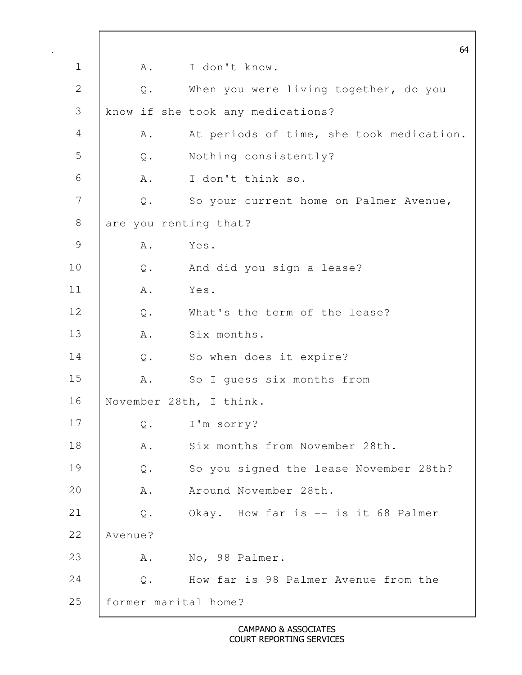|               |                         | 64                                       |
|---------------|-------------------------|------------------------------------------|
| $\mathbf 1$   | Α.                      | I don't know.                            |
| $\mathbf{2}$  | $\mathbb Q$ .           | When you were living together, do you    |
| 3             |                         | know if she took any medications?        |
| 4             | Α.                      | At periods of time, she took medication. |
| 5             | $Q$ .                   | Nothing consistently?                    |
| 6             | Α.                      | I don't think so.                        |
| 7             | $Q$ .                   | So your current home on Palmer Avenue,   |
| $8\,$         | are you renting that?   |                                          |
| $\mathcal{G}$ | Α.                      | Yes.                                     |
| 10            | Q.                      | And did you sign a lease?                |
| 11            | Α.                      | Yes.                                     |
| 12            | $\mathbb{Q}$ .          | What's the term of the lease?            |
| 13            | Α.                      | Six months.                              |
| 14            | Q.                      | So when does it expire?                  |
| 15            | Α.                      | So I quess six months from               |
| 16            |                         | November 28th, I think.                  |
| 17            | $\mathbf{\mathsf{Q}}$ . | I'm sorry?                               |
| 18            | Α.                      | Six months from November 28th.           |
| 19            | Q.                      | So you signed the lease November 28th?   |
| 20            | Α.                      | Around November 28th.                    |
| 21            | $\mathsf{Q}$ .          | Okay. How far is -- is it 68 Palmer      |
| 22            | Avenue?                 |                                          |
| 23            | Α.                      | No, 98 Palmer.                           |
| 24            | $Q$ .                   | How far is 98 Palmer Avenue from the     |
| 25            | former marital home?    |                                          |

 $\mathbf l$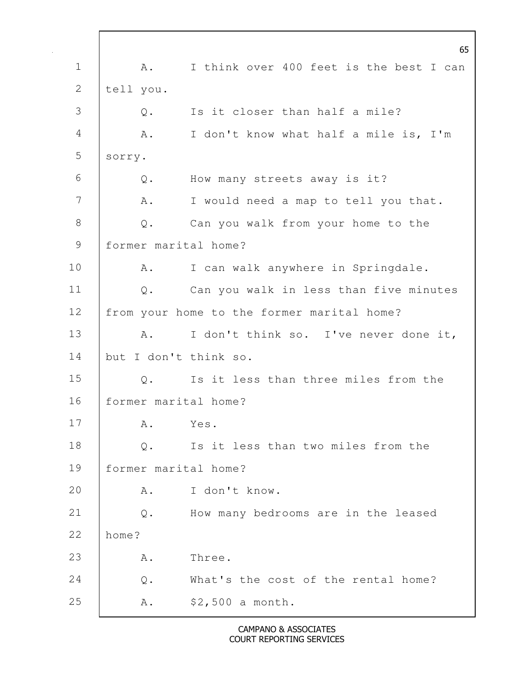65 1 | A. I think over 400 feet is the best I can 2 | tell you. 3 Q. Is it closer than half a mile? 4 A. I don't know what half a mile is, I'm 5 sorry. 6 Q. How many streets away is it? 7 | A. I would need a map to tell you that. 8 Q. Can you walk from your home to the 9 former marital home? 10 | A. I can walk anywhere in Springdale. 11 Q. Can you walk in less than five minutes 12 | from your home to the former marital home? 13 A. I don't think so. I've never done it, 14 but I don't think so. 15 |  $\circ$ . Is it less than three miles from the 16 former marital home? 17 A. Yes. 18 | Q. Is it less than two miles from the 19 former marital home? 20 A. I don't know. 21 Q. How many bedrooms are in the leased 22 home? 23 A. Three. 24 |  $\circ$ . What's the cost of the rental home? 25 A. \$2,500 a month.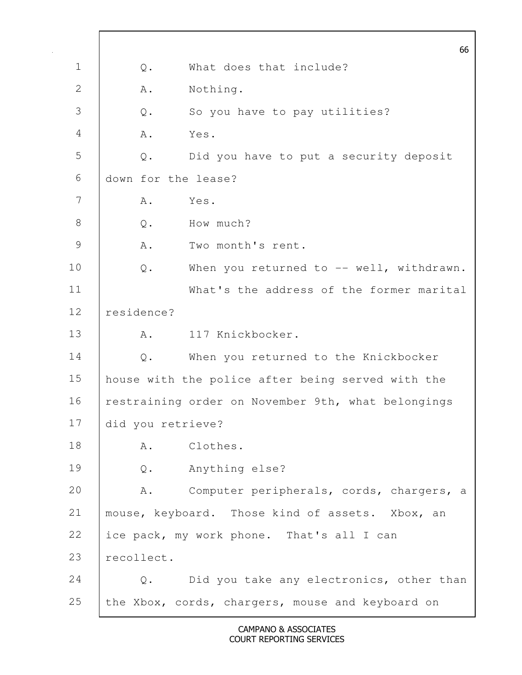66 1 0. What does that include? 2 A. Nothing. 3 Q. So you have to pay utilities? 4 A. Yes. 5 Q. Did you have to put a security deposit 6 down for the lease?  $7 \quad$  A. Yes. 8 O. How much? 9 A. Two month's rent. 10 | Q. When you returned to -- well, withdrawn. 11 What's the address of the former marital 12 residence? 13 A. 117 Knickbocker. 14 | Q. When you returned to the Knickbocker 15 house with the police after being served with the 16 | restraining order on November 9th, what belongings 17 did you retrieve? 18 | A. Clothes. 19 Q. Anything else? 20 A. Computer peripherals, cords, chargers, a 21 | mouse, keyboard. Those kind of assets. Xbox, an 22 ice pack, my work phone. That's all I can 23 recollect. 24 Q. Did you take any electronics, other than 25 the Xbox, cords, chargers, mouse and keyboard on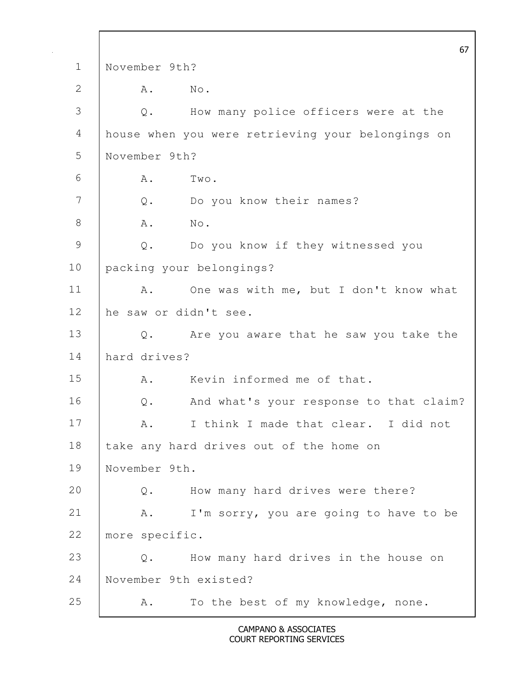|               |                |                                                   | 67 |
|---------------|----------------|---------------------------------------------------|----|
| $\mathbf 1$   | November 9th?  |                                                   |    |
| $\mathbf{2}$  | Α.             | No.                                               |    |
| 3             | Q.             | How many police officers were at the              |    |
| 4             |                | house when you were retrieving your belongings on |    |
| 5             | November 9th?  |                                                   |    |
| 6             | Α.             | Two.                                              |    |
| 7             | Q.             | Do you know their names?                          |    |
| $8\,$         | Α.             | No.                                               |    |
| $\mathcal{G}$ | $\mathbb Q$ .  | Do you know if they witnessed you                 |    |
| 10            |                | packing your belongings?                          |    |
| 11            | Α.             | One was with me, but I don't know what            |    |
| 12            |                | he saw or didn't see.                             |    |
| 13            | Q.             | Are you aware that he saw you take the            |    |
| 14            | hard drives?   |                                                   |    |
| 15            | Α.             | Kevin informed me of that.                        |    |
| 16            | $Q$ .          | And what's your response to that claim?           |    |
| 17            | Α.             | I think I made that clear. I did not              |    |
| 18            |                | take any hard drives out of the home on           |    |
| 19            | November 9th.  |                                                   |    |
| 20            | $Q$ .          | How many hard drives were there?                  |    |
| 21            | Α.             | I'm sorry, you are going to have to be            |    |
| 22            | more specific. |                                                   |    |
| 23            | Q.             | How many hard drives in the house on              |    |
| 24            |                | November 9th existed?                             |    |
| 25            | Α.             | To the best of my knowledge, none.                |    |

 $\mathsf{l}$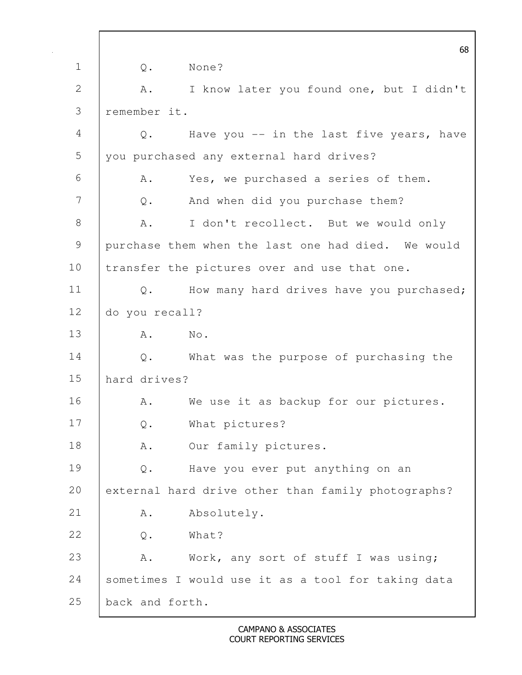|             |                 | 68                                                 |
|-------------|-----------------|----------------------------------------------------|
| $\mathbf 1$ | $\mathbb Q$ .   | None?                                              |
| 2           | Α.              | I know later you found one, but I didn't           |
| 3           | remember it.    |                                                    |
| 4           | Q.              | Have you -- in the last five years, have           |
| 5           |                 | you purchased any external hard drives?            |
| 6           | Α.              | Yes, we purchased a series of them.                |
| 7           | $Q$ .           | And when did you purchase them?                    |
| 8           | Α.              | I don't recollect. But we would only               |
| 9           |                 | purchase them when the last one had died. We would |
| 10          |                 | transfer the pictures over and use that one.       |
| 11          | Q.              | How many hard drives have you purchased;           |
| 12          | do you recall?  |                                                    |
| 13          | Α.              | No.                                                |
| 14          |                 | Q. What was the purpose of purchasing the          |
| 15          | hard drives?    |                                                    |
| 16          | Α.              | We use it as backup for our pictures.              |
| 17          | $Q$ .           | What pictures?                                     |
| 18          | Α.              | Our family pictures.                               |
| 19          | Q.              | Have you ever put anything on an                   |
| 20          |                 | external hard drive other than family photographs? |
| 21          | Α.              | Absolutely.                                        |
| 22          | $\mathbb Q$ .   | What?                                              |
| 23          | A.              | Work, any sort of stuff I was using;               |
| 24          |                 | sometimes I would use it as a tool for taking data |
| 25          | back and forth. |                                                    |

 $\mathbf l$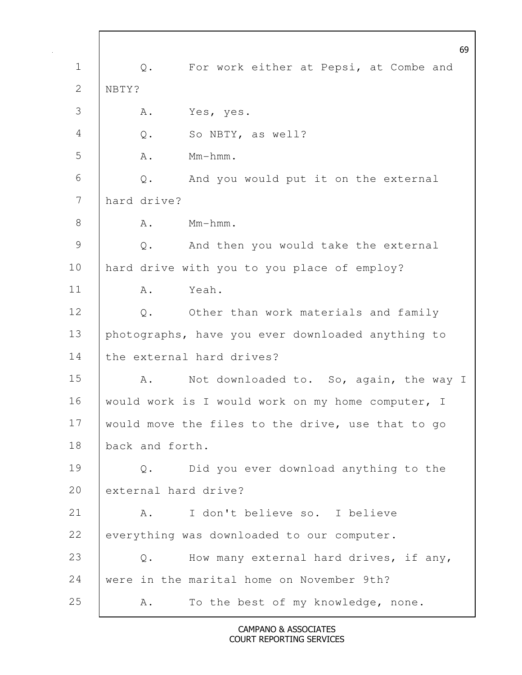69 1 | Q. For work either at Pepsi, at Combe and 2 NBTY? 3 A. Yes, yes. 4 Q. So NBTY, as well?  $5 \quad A. \quad Mm-hmm.$ 6 Q. And you would put it on the external 7 hard drive?  $8 \quad$  A. Mm-hmm. 9 Q. And then you would take the external 10 | hard drive with you to you place of employ? 11 A. Yeah. 12 | Q. Other than work materials and family 13 photographs, have you ever downloaded anything to 14 the external hard drives? 15 A. Not downloaded to. So, again, the way I 16 | would work is I would work on my home computer, I 17 would move the files to the drive, use that to go 18 back and forth. 19 Q. Did you ever download anything to the 20 external hard drive? 21 | A. I don't believe so. I believe 22 everything was downloaded to our computer. 23 | Q. How many external hard drives, if any, 24 were in the marital home on November 9th? 25 A. To the best of my knowledge, none.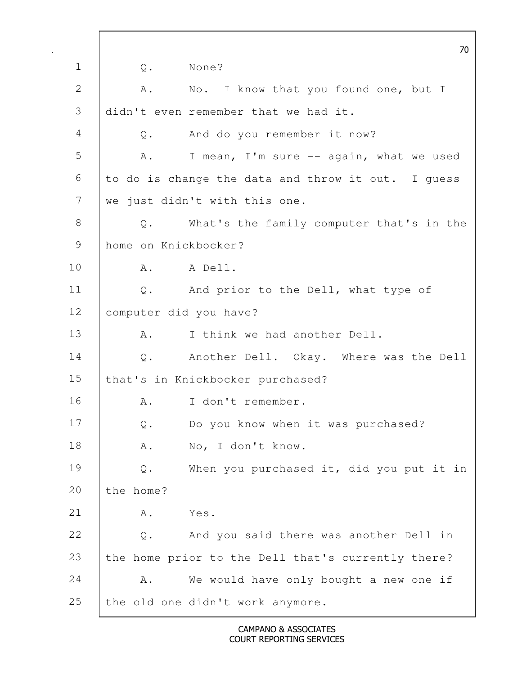70 1 0. None? 2 A. No. I know that you found one, but I 3 didn't even remember that we had it. 4 Q. And do you remember it now? 5 A. I mean, I'm sure -- again, what we used  $6$  to do is change the data and throw it out. I quess 7 we just didn't with this one. 8 Q. What's the family computer that's in the 9 home on Knickbocker? 10 A. A Dell. 11 | Q. And prior to the Dell, what type of 12 computer did you have? 13 A. I think we had another Dell. 14 | Q. Another Dell. Okay. Where was the Dell 15 | that's in Knickbocker purchased? 16 A. I don't remember. 17 Q. Do you know when it was purchased? 18 | A. No, I don't know. 19 Q. When you purchased it, did you put it in 20 the home? 21 A. Yes. 22 Q. And you said there was another Dell in 23 the home prior to the Dell that's currently there? 24 A. We would have only bought a new one if 25 the old one didn't work anymore.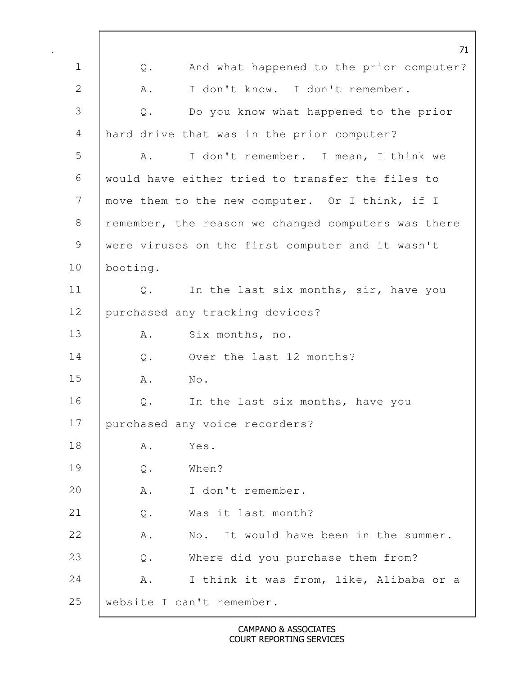|                | 71                                                             |
|----------------|----------------------------------------------------------------|
| $\mathbf 1$    | And what happened to the prior computer?<br>Q.                 |
| $\overline{2}$ | Α.<br>I don't know. I don't remember.                          |
| 3              | Do you know what happened to the prior<br>$\mathbb Q$ .        |
| 4              | hard drive that was in the prior computer?                     |
| 5              | I don't remember. I mean, I think we<br>Α.                     |
| 6              | would have either tried to transfer the files to               |
| 7              | move them to the new computer. Or I think, if I                |
| $8\,$          | remember, the reason we changed computers was there            |
| 9              | were viruses on the first computer and it wasn't               |
| 10             | booting.                                                       |
| 11             | In the last six months, sir, have you<br>$Q$ .                 |
| 12             | purchased any tracking devices?                                |
| 13             | Six months, no.<br>Α.                                          |
| 14             | Over the last 12 months?<br>$\mathbb Q$ .                      |
| 15             | No.<br>Α.                                                      |
| 16             | $\mathbb Q$ .<br>In the last six months, have you              |
| 17             | purchased any voice recorders?                                 |
| 18             | Yes.<br>Α.                                                     |
| 19             | When?<br>$Q$ .                                                 |
| 20             | I don't remember.<br>Α.                                        |
| 21             | Was it last month?<br>$Q$ .                                    |
| 22             | A .<br>It would have been in the summer.<br>$\mathbb N\circ$ . |
| 23             | Where did you purchase them from?<br>$\mathbb Q$ .             |
| 24             | I think it was from, like, Alibaba or a<br>Α.                  |
| 25             | website I can't remember.                                      |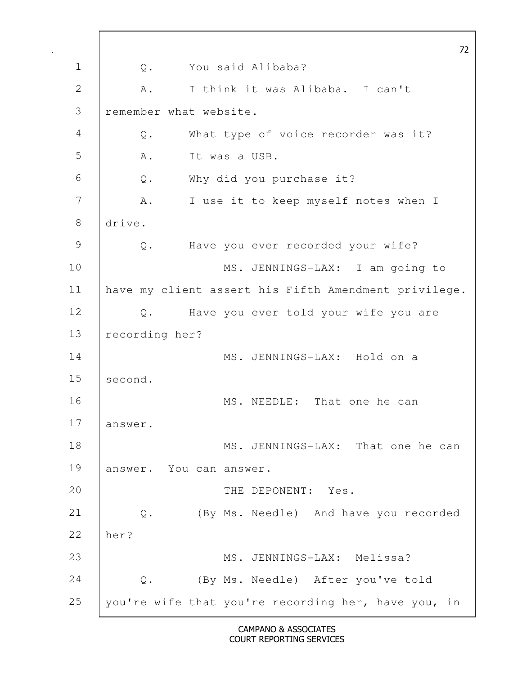| 72                                                      |
|---------------------------------------------------------|
| You said Alibaba?<br>Q.                                 |
| I think it was Alibaba. I can't<br>Α.                   |
| remember what website.                                  |
| What type of voice recorder was it?<br>Q.               |
| It was a USB.<br>Α.                                     |
| Why did you purchase it?<br>$Q$ .                       |
| I use it to keep myself notes when I<br>Α.              |
| drive.                                                  |
| Have you ever recorded your wife?<br>Q.                 |
| MS. JENNINGS-LAX: I am going to                         |
| have my client assert his Fifth Amendment privilege.    |
| Have you ever told your wife you are<br>$Q$ .           |
| recording her?                                          |
| MS. JENNINGS-LAX: Hold on a                             |
| second.                                                 |
| MS. NEEDLE: That one he can                             |
| answer.                                                 |
| MS. JENNINGS-LAX: That one he can                       |
| answer. You can answer.                                 |
| THE DEPONENT: Yes.                                      |
| (By Ms. Needle) And have you recorded<br>$\mathsf{Q}$ . |
| her?                                                    |
| MS. JENNINGS-LAX: Melissa?                              |
| (By Ms. Needle) After you've told<br>Q.                 |
| you're wife that you're recording her, have you, in     |
|                                                         |

 $\mathbf l$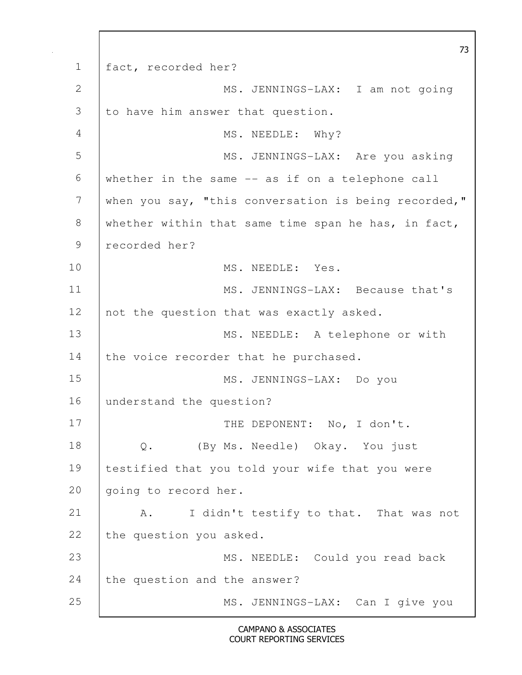73 1 fact, recorded her? 2 MS. JENNINGS-LAX: I am not going 3 to have him answer that question. 4 MS. NEEDLE: Why? 5 MS. JENNINGS-LAX: Are you asking 6 whether in the same -- as if on a telephone call 7 when you say, "this conversation is being recorded," 8 whether within that same time span he has, in fact, 9 recorded her? 10 MS. NEEDLE: Yes. 11 | MS. JENNINGS-LAX: Because that's 12 not the question that was exactly asked. 13 | MS. NEEDLE: A telephone or with 14 the voice recorder that he purchased. 15 MS. JENNINGS-LAX: Do you 16 understand the question? 17 | THE DEPONENT: No, I don't. 18 Q. (By Ms. Needle) Okay. You just 19 testified that you told your wife that you were 20 | going to record her. 21 | A. I didn't testify to that. That was not 22 the question you asked. 23 | MS. NEEDLE: Could you read back 24 the question and the answer? 25 | MS. JENNINGS-LAX: Can I give you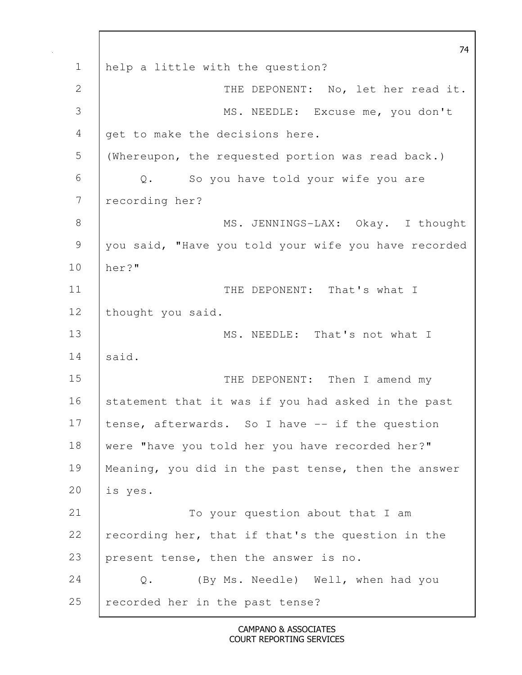74 1 help a little with the question? 2 | THE DEPONENT: No, let her read it. 3 MS. NEEDLE: Excuse me, you don't 4 get to make the decisions here. 5 (Whereupon, the requested portion was read back.) 6 Q. So you have told your wife you are 7 recording her? 8 MS. JENNINGS-LAX: Okay. I thought 9 you said, "Have you told your wife you have recorded 10 her?" 11 | THE DEPONENT: That's what I 12 | thought you said. 13 | MS. NEEDLE: That's not what I 14 said. 15 | THE DEPONENT: Then I amend my 16 statement that it was if you had asked in the past 17 tense, afterwards. So I have -- if the question 18 were "have you told her you have recorded her?" 19 | Meaning, you did in the past tense, then the answer 20 is yes. 21 | To your question about that I am 22 recording her, that if that's the question in the 23 present tense, then the answer is no. 24 Q. (By Ms. Needle) Well, when had you 25 recorded her in the past tense?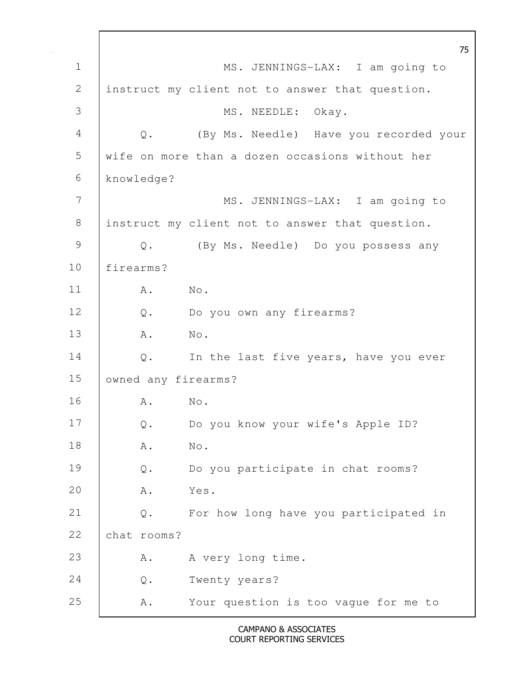75 1 | MS. JENNINGS-LAX: I am going to 2 instruct my client not to answer that question. 3 | MS. NEEDLE: Okay. 4 Q. (By Ms. Needle) Have you recorded your 5 wife on more than a dozen occasions without her 6 knowledge? 7 | MS. JENNINGS-LAX: I am going to 8 instruct my client not to answer that question. 9 Q. (By Ms. Needle) Do you possess any 10 firearms? 11 A. No. 12 Q. Do you own any firearms? 13 A. No. 14 Q. In the last five years, have you ever 15 owned any firearms? 16 A. No. 17 Q. Do you know your wife's Apple ID? 18 A. No. 19 Q. Do you participate in chat rooms? 20 A. Yes. 21 Q. For how long have you participated in 22 chat rooms? 23 A. A very long time. 24 Q. Twenty years? 25 A. Your question is too vague for me to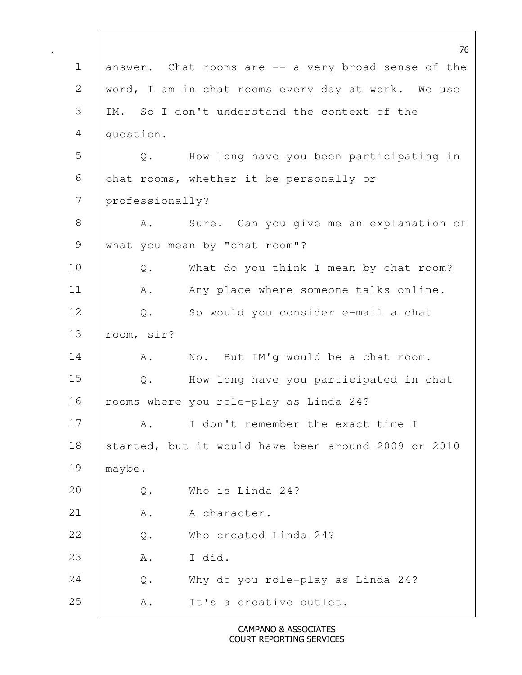|             |                                                          | 76 |
|-------------|----------------------------------------------------------|----|
| $\mathbf 1$ | answer. Chat rooms are -- a very broad sense of the      |    |
| 2           | word, I am in chat rooms every day at work. We use       |    |
| 3           | IM. So I don't understand the context of the             |    |
| 4           | question.                                                |    |
| 5           | How long have you been participating in<br>Q.            |    |
| 6           | chat rooms, whether it be personally or                  |    |
| 7           | professionally?                                          |    |
| $8\,$       | Sure. Can you give me an explanation of<br>Α.            |    |
| 9           | what you mean by "chat room"?                            |    |
| 10          | What do you think I mean by chat room?<br>$\mathsf{Q}$ . |    |
| 11          | Any place where someone talks online.<br>Α.              |    |
| 12          | So would you consider e-mail a chat<br>$\mathbb Q$ .     |    |
| 13          | room, sir?                                               |    |
| 14          | No. But IM'g would be a chat room.<br>Α.                 |    |
| 15          | How long have you participated in chat<br>$\mathbb Q$ .  |    |
| 16          | rooms where you role-play as Linda 24?                   |    |
| 17          | I don't remember the exact time I<br>Α.                  |    |
| 18          | started, but it would have been around 2009 or 2010      |    |
| 19          | maybe.                                                   |    |
| 20          | Who is Linda 24?<br>$Q$ .                                |    |
| 21          | A .<br>A character.                                      |    |
| 22          | Who created Linda 24?<br>$\mathsf{Q}$ .                  |    |
| 23          | I did.<br>A .                                            |    |
| 24          | Why do you role-play as Linda 24?<br>$Q$ .               |    |
| 25          | It's a creative outlet.<br>Α.                            |    |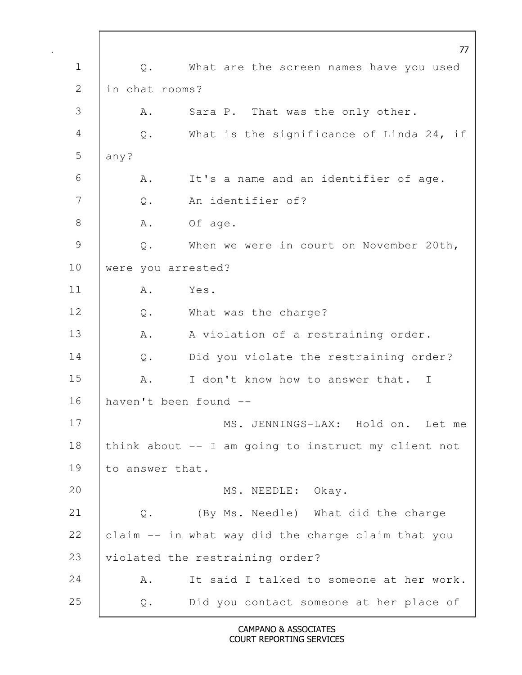77 1 | Q. What are the screen names have you used 2 I in chat rooms? 3 A. Sara P. That was the only other. 4 Q. What is the significance of Linda 24, if  $5$  any? 6 A. It's a name and an identifier of age. 7 | 0. An identifier of? 8 A. Of age. 9 Q. When we were in court on November 20th, 10 | were you arrested? 11 A. Yes. 12 Q. What was the charge? 13 | A. A violation of a restraining order. 14 | Q. Did you violate the restraining order? 15 A. I don't know how to answer that. I 16 haven't been found -- 17 | MS. JENNINGS-LAX: Hold on. Let me 18 think about -- I am going to instruct my client not 19 to answer that. 20 MS. NEEDLE: Okay. 21 Q. (By Ms. Needle) What did the charge 22  $\vert$  claim  $\vert$ - in what way did the charge claim that you 23 | violated the restraining order? 24 A. It said I talked to someone at her work. 25 Q. Did you contact someone at her place of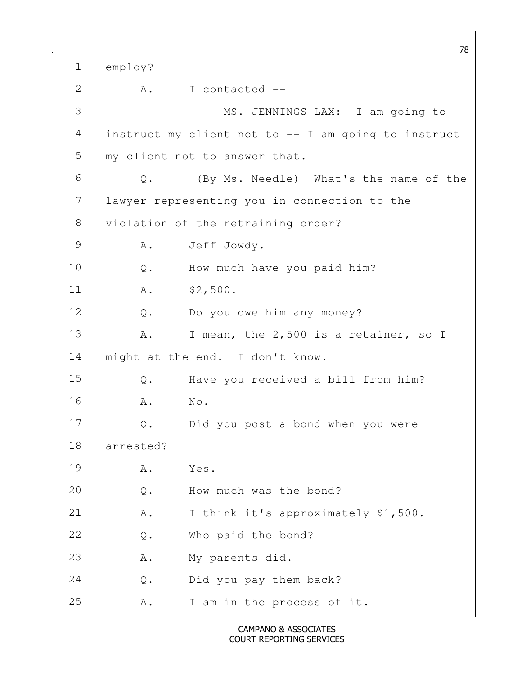78 1 employ? 2 A. I contacted -- 3 MS. JENNINGS-LAX: I am going to 4 instruct my client not to -- I am going to instruct 5 my client not to answer that. 6 Q. (By Ms. Needle) What's the name of the 7 lawyer representing you in connection to the 8 | violation of the retraining order? 9 A. Jeff Jowdy. 10 Q. How much have you paid him? 11 | A. \$2,500. 12 Q. Do you owe him any money? 13 | A. I mean, the 2,500 is a retainer, so I 14 | might at the end. I don't know. 15 Q. Have you received a bill from him? 16 A. No. 17 Q. Did you post a bond when you were 18 arrested? 19 A. Yes. 20 Q. How much was the bond? 21 | A. I think it's approximately \$1,500. 22 Q. Who paid the bond? 23 | A. My parents did. 24 Q. Did you pay them back? 25 A. I am in the process of it.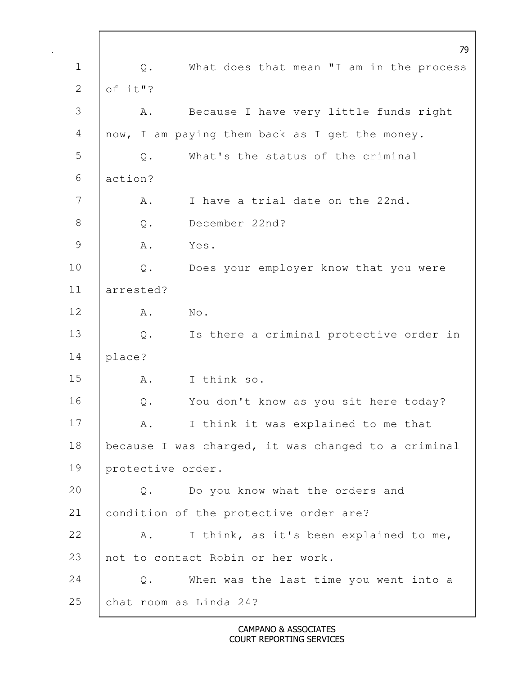|                | 79                                                       |
|----------------|----------------------------------------------------------|
| $\mathbf 1$    | What does that mean "I am in the process<br>Q.           |
| $\mathbf{2}$   | of it"?                                                  |
| 3              | Because I have very little funds right<br>Α.             |
| $\overline{4}$ | now, I am paying them back as I get the money.           |
| 5              | What's the status of the criminal<br>$Q$ .               |
| 6              | action?                                                  |
| $\overline{7}$ | I have a trial date on the 22nd.<br>Α.                   |
| $8\,$          | December 22nd?<br>$Q$ .                                  |
| $\mathcal{G}$  | A .<br>Yes.                                              |
| 10             | $\mathsf{Q}$ .<br>Does your employer know that you were  |
| 11             | arrested?                                                |
| 12             | No.<br>Α.                                                |
| 13             | Is there a criminal protective order in<br>$\mathbb Q$ . |
| 14             | place?                                                   |
| 15             | I think so.<br>Α.                                        |
| 16             | You don't know as you sit here today?<br>$\mathsf{Q}$ .  |
| 17             | I think it was explained to me that<br>Α.                |
| 18             | because I was charged, it was changed to a criminal      |
| 19             | protective order.                                        |
| 20             | Do you know what the orders and<br>$Q$ .                 |
| 21             | condition of the protective order are?                   |
| 22             | I think, as it's been explained to me,<br>Α.             |
| 23             | not to contact Robin or her work.                        |
| 24             | When was the last time you went into a<br>$\mathbb Q$ .  |
| 25             | chat room as Linda 24?                                   |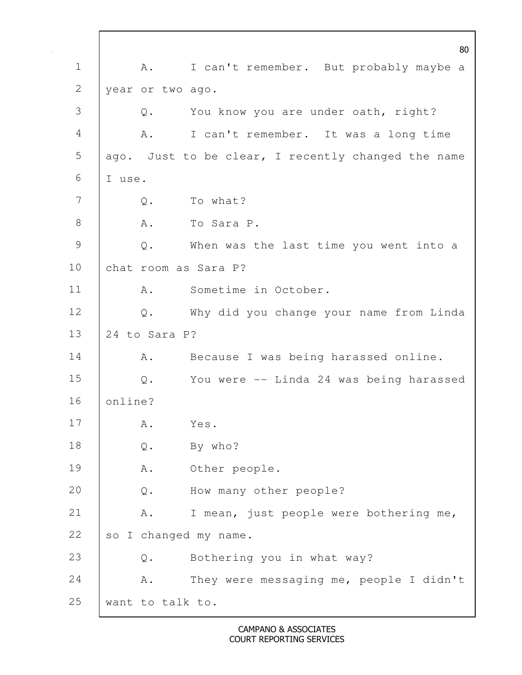80 1 | A. I can't remember. But probably maybe a 2 year or two ago. 3 Q. You know you are under oath, right? 4 A. I can't remember. It was a long time 5 ago. Just to be clear, I recently changed the name 6  $\vert$  I use. 7 | O. To what? 8 A. To Sara P. 9 Q. When was the last time you went into a 10 chat room as Sara P? 11 | A. Sometime in October. 12 Q. Why did you change your name from Linda 13 24 to Sara P? 14 | A. Because I was being harassed online. 15 Q. You were -- Linda 24 was being harassed 16 online? 17 | A. Yes. 18 Q. By who? 19 A. Other people. 20 Q. How many other people? 21 A. I mean, just people were bothering me, 22 so I changed my name. 23 Q. Bothering you in what way? 24 | A. They were messaging me, people I didn't 25 want to talk to.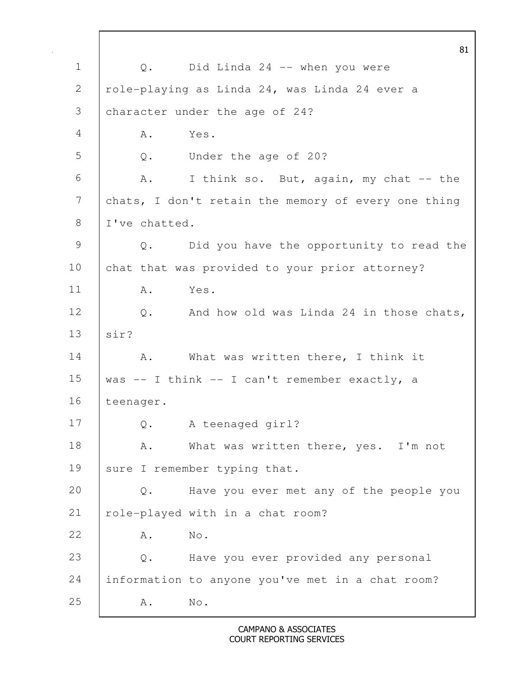81 1 Q. Did Linda 24 -- when you were 2 | role-playing as Linda 24, was Linda 24 ever a 3 character under the age of 24? 4 | A. Yes. 5 Q. Under the age of 20? 6 A. I think so. But, again, my chat -- the 7 chats, I don't retain the memory of every one thing 8 I I've chatted. 9 Q. Did you have the opportunity to read the 10 chat that was provided to your prior attorney? 11 A. Yes. 12 Q. And how old was Linda 24 in those chats, 13 sir? 14 | A. What was written there, I think it 15 | was  $-$  I think  $-$  I can't remember exactly, a 16 | teenager. 17 Q. A teenaged girl? 18 | A. What was written there, yes. I'm not 19 sure I remember typing that. 20 Q. Have you ever met any of the people you 21 | role-played with in a chat room? 22 A. No. 23 Q. Have you ever provided any personal 24 information to anyone you've met in a chat room? 25 A. No.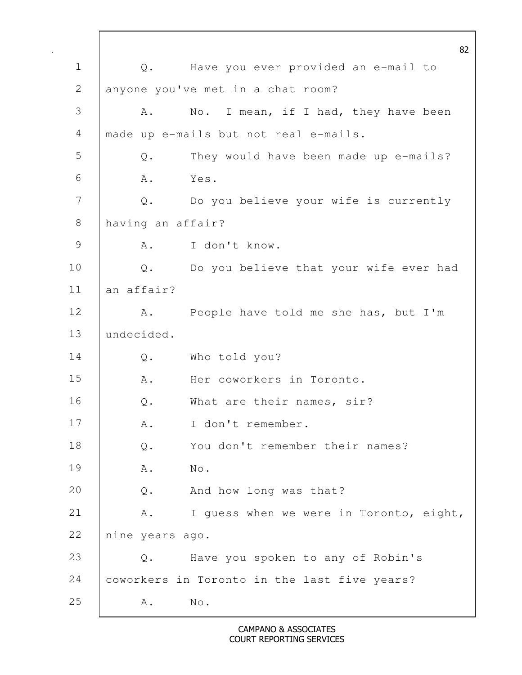82 1 Q. Have you ever provided an e-mail to 2 anyone you've met in a chat room? 3 A. No. I mean, if I had, they have been 4 made up e-mails but not real e-mails. 5 Q. They would have been made up e-mails?  $6 \quad A. \quad Yes.$ 7 Q. Do you believe your wife is currently 8 having an affair? 9 A. I don't know. 10 | Q. Do you believe that your wife ever had 11 an affair? 12 A. People have told me she has, but I'm 13 undecided. 14 Q. Who told you? 15 A. Her coworkers in Toronto. 16 Q. What are their names, sir? 17 | A. I don't remember. 18 | Q. You don't remember their names? 19 A. No. 20 Q. And how long was that? 21 | A. I guess when we were in Toronto, eight, 22 nine years ago. 23 Q. Have you spoken to any of Robin's 24 coworkers in Toronto in the last five years? 25 A. No.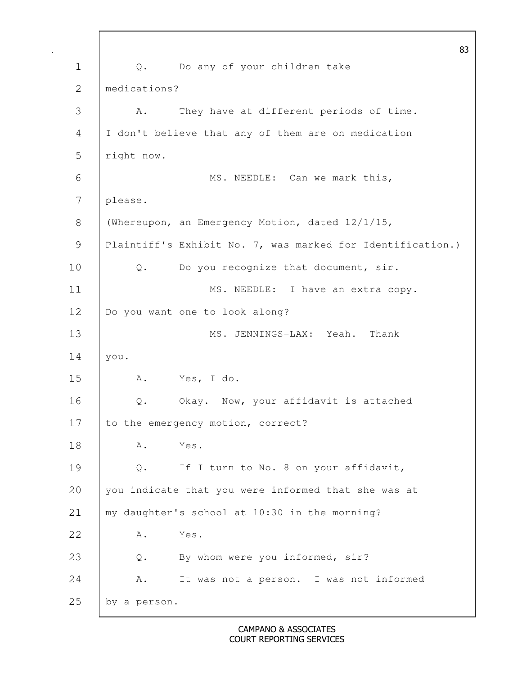83 1 Q. Do any of your children take 2 medications? 3 A. They have at different periods of time. 4 I don't believe that any of them are on medication 5 right now. 6 | MS. NEEDLE: Can we mark this, 7 please. 8 (Whereupon, an Emergency Motion, dated 12/1/15, 9 | Plaintiff's Exhibit No. 7, was marked for Identification.) 10 | Q. Do you recognize that document, sir. 11 | MS. NEEDLE: I have an extra copy. 12 | Do you want one to look along? 13 MS. JENNINGS-LAX: Yeah. Thank 14 you. 15 A. Yes, I do. 16 Q. Okay. Now, your affidavit is attached 17 to the emergency motion, correct? 18 | A. Yes. 19 Q. If I turn to No. 8 on your affidavit, 20 you indicate that you were informed that she was at 21 my daughter's school at 10:30 in the morning? 22 A. Yes. 23 Q. By whom were you informed, sir? 24 A. It was not a person. I was not informed 25 by a person.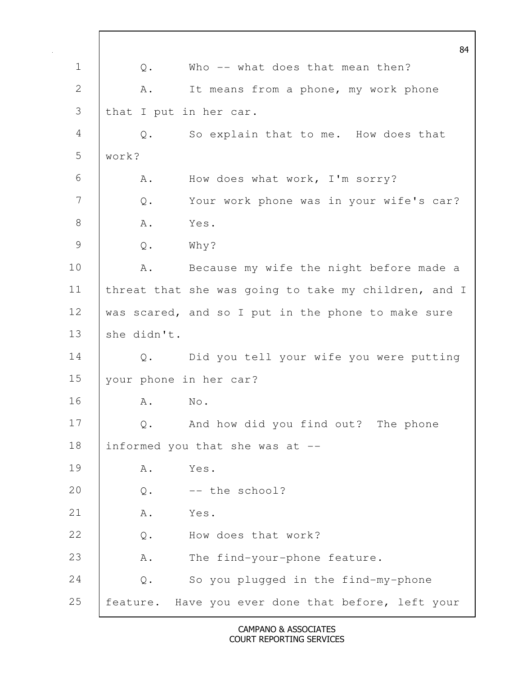|               |                | 84                                                   |
|---------------|----------------|------------------------------------------------------|
| $\mathbf 1$   | Q.             | Who -- what does that mean then?                     |
| $\mathbf{2}$  | Α.             | It means from a phone, my work phone                 |
| 3             |                | that I put in her car.                               |
| 4             | Q.             | So explain that to me. How does that                 |
| 5             | work?          |                                                      |
| 6             | Α.             | How does what work, I'm sorry?                       |
| 7             | Q.             | Your work phone was in your wife's car?              |
| $8\,$         | Α.             | Yes.                                                 |
| $\mathcal{G}$ | $\mathsf{Q}$ . | Why?                                                 |
| 10            | Α.             | Because my wife the night before made a              |
| 11            |                | threat that she was going to take my children, and I |
| 12            |                | was scared, and so I put in the phone to make sure   |
| 13            | she didn't.    |                                                      |
| 14            | $Q$ .          | Did you tell your wife you were putting              |
| 15            |                | your phone in her car?                               |
| 16            | Α.             | $\mathbb{N} \circ$ .                                 |
| 17            | Q.             | And how did you find out? The phone                  |
| 18            |                | informed you that she was at --                      |
| 19            | Α.             | Yes.                                                 |
| 20            | $\mathsf{Q}$ . | -- the school?                                       |
| 21            | Α.             | Yes.                                                 |
| 22            | $\mathsf{Q}$ . | How does that work?                                  |
| 23            | Α.             | The find-your-phone feature.                         |
| 24            | $Q$ .          | So you plugged in the find-my-phone                  |
| 25            |                | feature. Have you ever done that before, left your   |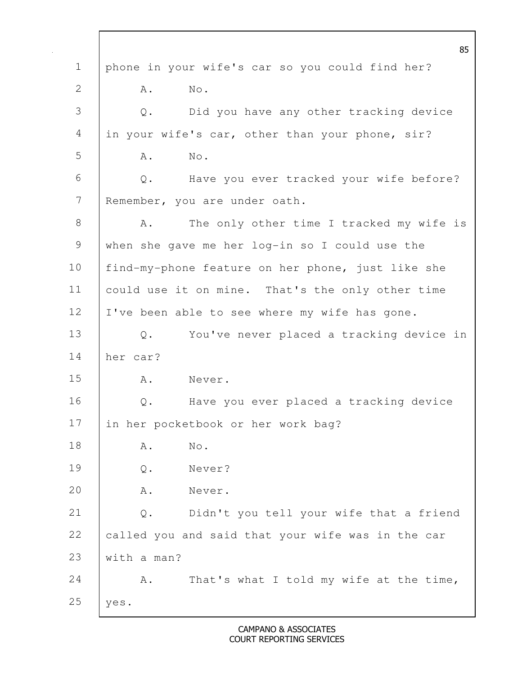85 1 phone in your wife's car so you could find her? 2 | A. No. 3 Q. Did you have any other tracking device 4 in your wife's car, other than your phone, sir? 5 | A. No. 6 Q. Have you ever tracked your wife before? 7 Remember, you are under oath. 8 | A. The only other time I tracked my wife is 9 when she gave me her log-in so I could use the 10 find-my-phone feature on her phone, just like she 11 could use it on mine. That's the only other time 12 | I've been able to see where my wife has gone. 13 Q. You've never placed a tracking device in 14 her car? 15 A. Never. 16 | Q. Have you ever placed a tracking device 17 in her pocketbook or her work bag? 18 A. No. 19 Q. Never? 20 A. Never. 21 Q. Didn't you tell your wife that a friend 22 called you and said that your wife was in the car 23 with a man? 24 A. That's what I told my wife at the time, 25  $\vert$  yes.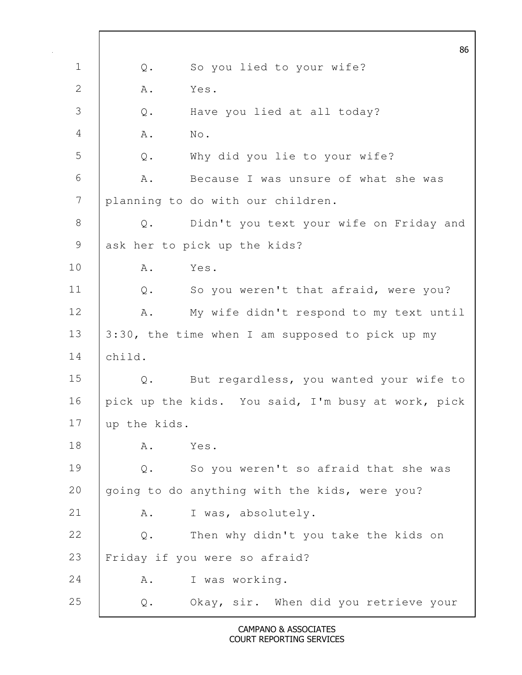|               |                | 86                                                 |
|---------------|----------------|----------------------------------------------------|
| $\mathbf 1$   | Q.             | So you lied to your wife?                          |
| 2             | Α.             | Yes.                                               |
| 3             | $\mathsf{Q}$ . | Have you lied at all today?                        |
| 4             | A .            | No.                                                |
| 5             | $\mathsf{Q}$ . | Why did you lie to your wife?                      |
| 6             | Α.             | Because I was unsure of what she was               |
| 7             |                | planning to do with our children.                  |
| $\,8\,$       | Q.             | Didn't you text your wife on Friday and            |
| $\mathcal{G}$ |                | ask her to pick up the kids?                       |
| 10            | Α.             | Yes.                                               |
| 11            | $\mathbb Q$ .  | So you weren't that afraid, were you?              |
| 12            | A .            | My wife didn't respond to my text until            |
| 13            |                | 3:30, the time when I am supposed to pick up my    |
| 14            | child.         |                                                    |
| 15            | Q.             | But regardless, you wanted your wife to            |
| 16            |                | pick up the kids. You said, I'm busy at work, pick |
| 17            | up the kids.   |                                                    |
| 18            | Α.             | Yes.                                               |
| 19            | $Q$ .          | So you weren't so afraid that she was              |
| 20            |                | going to do anything with the kids, were you?      |
| 21            | Α.             | I was, absolutely.                                 |
| 22            | Q.             | Then why didn't you take the kids on               |
| 23            |                | Friday if you were so afraid?                      |
| 24            | Α.             | I was working.                                     |
| 25            | Q.             | Okay, sir. When did you retrieve your              |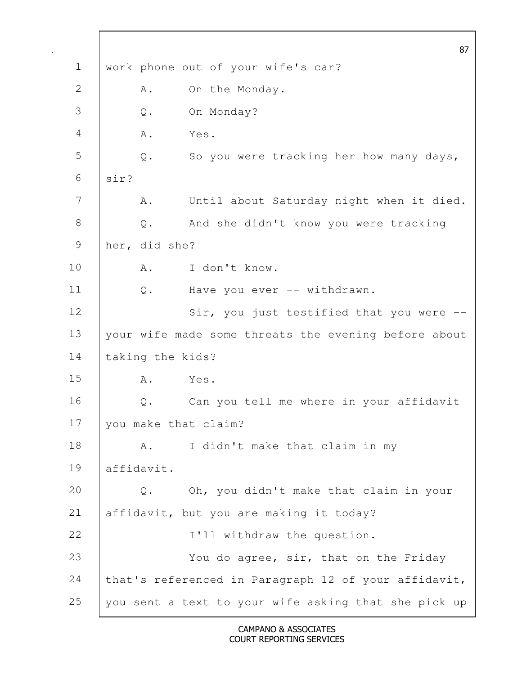|               |                      | 87                                                   |
|---------------|----------------------|------------------------------------------------------|
| $\mathbf 1$   |                      | work phone out of your wife's car?                   |
| 2             | Α.                   | On the Monday.                                       |
| 3             | $\mathsf{Q}$ .       | On Monday?                                           |
| 4             | Α.                   | Yes.                                                 |
| 5             | $Q$ .                | So you were tracking her how many days,              |
| 6             | sir?                 |                                                      |
| 7             | Α.                   | Until about Saturday night when it died.             |
| $8\,$         | $\mathbb Q$ .        | And she didn't know you were tracking                |
| $\mathcal{G}$ | her, did she?        |                                                      |
| 10            | Α.                   | I don't know.                                        |
| 11            | $Q$ .                | Have you ever -- withdrawn.                          |
| 12            |                      | Sir, you just testified that you were --             |
| 13            |                      | your wife made some threats the evening before about |
| 14            | taking the kids?     |                                                      |
| 15            | Α.                   | Yes.                                                 |
| 16            | Q.                   | Can you tell me where in your affidavit              |
| 17            | you make that claim? |                                                      |
| 18            | Α.                   | I didn't make that claim in my                       |
| 19            | affidavit.           |                                                      |
| 20            | $Q$ .                | Oh, you didn't make that claim in your               |
| 21            |                      | affidavit, but you are making it today?              |
| 22            |                      | I'll withdraw the question.                          |
| 23            |                      | You do agree, sir, that on the Friday                |
| 24            |                      | that's referenced in Paragraph 12 of your affidavit, |
| 25            |                      | you sent a text to your wife asking that she pick up |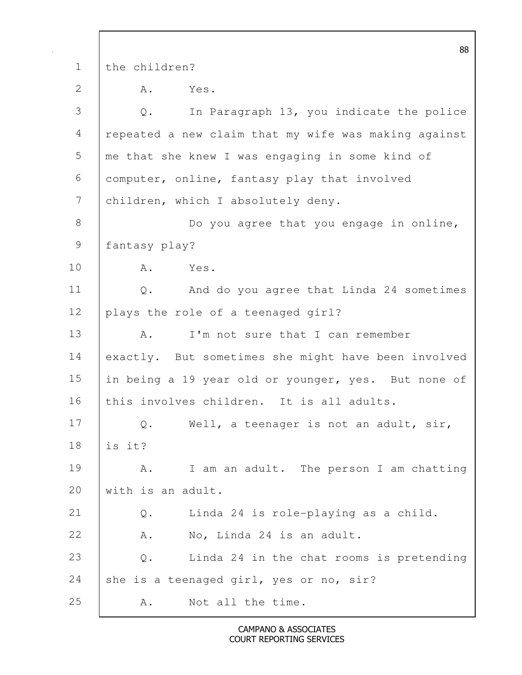|               | 88                                                         |
|---------------|------------------------------------------------------------|
| $\mathbf 1$   | the children?                                              |
| $\mathbf{2}$  | A .<br>Yes.                                                |
| 3             | In Paragraph 13, you indicate the police<br>Q.             |
| 4             | repeated a new claim that my wife was making against       |
| 5             | me that she knew I was engaging in some kind of            |
| 6             | computer, online, fantasy play that involved               |
| 7             | children, which I absolutely deny.                         |
| $8\,$         | Do you agree that you engage in online,                    |
| $\mathcal{G}$ | fantasy play?                                              |
| 10            | Α.<br>Yes.                                                 |
| 11            | And do you agree that Linda 24 sometimes<br>$Q$ .          |
| 12            | plays the role of a teenaged girl?                         |
| 13            | I'm not sure that I can remember<br>Α.                     |
| 14            | exactly. But sometimes she might have been involved        |
| 15            | in being a 19 year old or younger, yes. But none of        |
| 16            | this involves children. It is all adults.                  |
| 17            | Q. Well, a teenager is not an adult, sir,                  |
| 18            | is it?                                                     |
| 19            | I am an adult. The person I am chatting<br>Α.              |
| 20            | with is an adult.                                          |
| 21            | Linda 24 is role-playing as a child.<br>$Q$ .              |
| 22            | No, Linda 24 is an adult.<br>Α.                            |
| 23            | Linda 24 in the chat rooms is pretending<br>$\mathbb{Q}$ . |
| 24            | she is a teenaged girl, yes or no, sir?                    |
| 25            | Not all the time.<br>Α.                                    |

 $\mathbf l$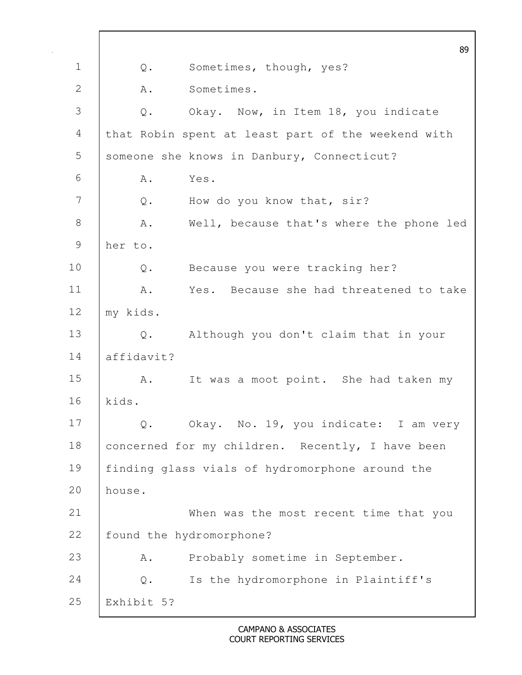|                  |                | 89                                                 |
|------------------|----------------|----------------------------------------------------|
| $\mathbf 1$      | $\mathsf{Q}$ . | Sometimes, though, yes?                            |
| 2                | Α.             | Sometimes.                                         |
| 3                | Q.             | Okay. Now, in Item 18, you indicate                |
| $\overline{4}$   |                | that Robin spent at least part of the weekend with |
| 5                |                | someone she knows in Danbury, Connecticut?         |
| 6                | Α.             | Yes.                                               |
| $\boldsymbol{7}$ | Q.             | How do you know that, sir?                         |
| $\,8\,$          | Α.             | Well, because that's where the phone led           |
| 9                | her to.        |                                                    |
| 10               | Q.             | Because you were tracking her?                     |
| 11               | Α.             | Yes. Because she had threatened to take            |
| 12               | my kids.       |                                                    |
| 13               |                | Q. Although you don't claim that in your           |
| 14               | affidavit?     |                                                    |
| 15               | A.             | It was a moot point. She had taken my              |
| 16               | kids.          |                                                    |
| 17               | $Q$ .          | Okay. No. 19, you indicate: I am very              |
| 18               |                | concerned for my children. Recently, I have been   |
| 19               |                | finding glass vials of hydromorphone around the    |
| 20               | house.         |                                                    |
| 21               |                | When was the most recent time that you             |
| 22               |                | found the hydromorphone?                           |
| 23               | Α.             | Probably sometime in September.                    |
| 24               | Q.             | Is the hydromorphone in Plaintiff's                |
| 25               | Exhibit 5?     |                                                    |

 $\mathbf l$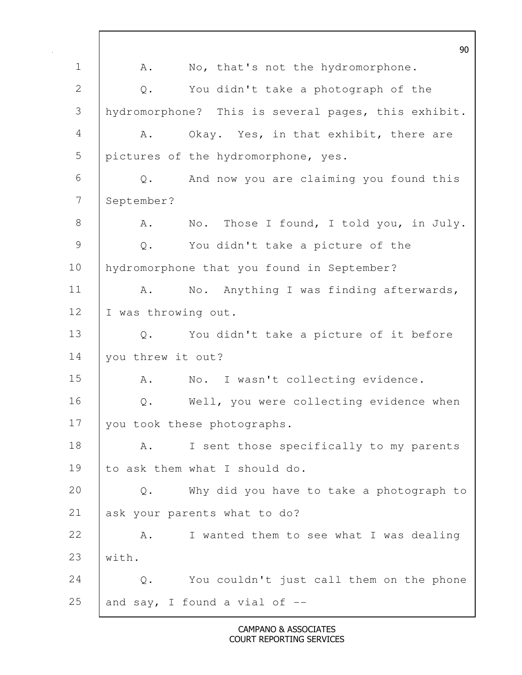90 1 | A. No, that's not the hydromorphone. 2 | Q. You didn't take a photograph of the 3 hydromorphone? This is several pages, this exhibit. 4 A. Okay. Yes, in that exhibit, there are 5 pictures of the hydromorphone, yes. 6 Q. And now you are claiming you found this 7 September? 8 A. No. Those I found, I told you, in July. 9 Q. You didn't take a picture of the 10 | hydromorphone that you found in September? 11 | A. No. Anything I was finding afterwards, 12 | I was throwing out. 13 Q. You didn't take a picture of it before 14 | you threw it out? 15 | A. No. I wasn't collecting evidence. 16 | Q. Well, you were collecting evidence when 17 you took these photographs. 18 | A. I sent those specifically to my parents 19 to ask them what I should do. 20 Q. Why did you have to take a photograph to 21 ask your parents what to do? 22 A. I wanted them to see what I was dealing 23  $|$  with. 24 Q. You couldn't just call them on the phone 25 and say, I found a vial of  $-$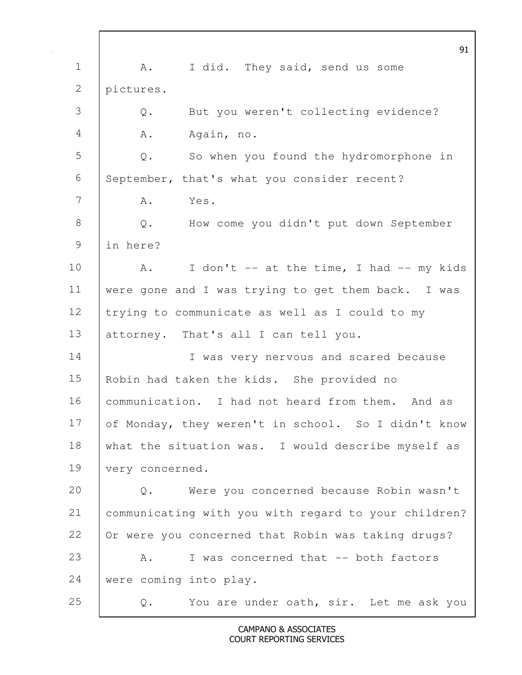|               | 91                                                      |
|---------------|---------------------------------------------------------|
| $\mathbf 1$   | I did. They said, send us some<br>A.                    |
| 2             | pictures.                                               |
| 3             | But you weren't collecting evidence?<br>Q.              |
| 4             | Α.<br>Again, no.                                        |
| 5             | So when you found the hydromorphone in<br>$\mathbb Q$ . |
| 6             | September, that's what you consider recent?             |
| 7             | Yes.<br>Α.                                              |
| $8\,$         | Q. How come you didn't put down September               |
| $\mathcal{G}$ | in here?                                                |
| 10            | I don't -- at the time, I had -- my kids<br>A.          |
| 11            | were gone and I was trying to get them back. I was      |
| 12            | trying to communicate as well as I could to my          |
| 13            | attorney. That's all I can tell you.                    |
| 14            | I was very nervous and scared because                   |
| 15            | Robin had taken the kids. She provided no               |
| 16            | communication. I had not heard from them. And as        |
| 17            | of Monday, they weren't in school. So I didn't know     |
| 18            | what the situation was. I would describe myself as      |
| 19            | very concerned.                                         |
| 20            | Were you concerned because Robin wasn't<br>$Q$ .        |
| 21            | communicating with you with regard to your children?    |
| 22            | Or were you concerned that Robin was taking drugs?      |
| 23            | I was concerned that -- both factors<br>Α.              |
| 24            | were coming into play.                                  |
| 25            | You are under oath, sir. Let me ask you<br>Q.           |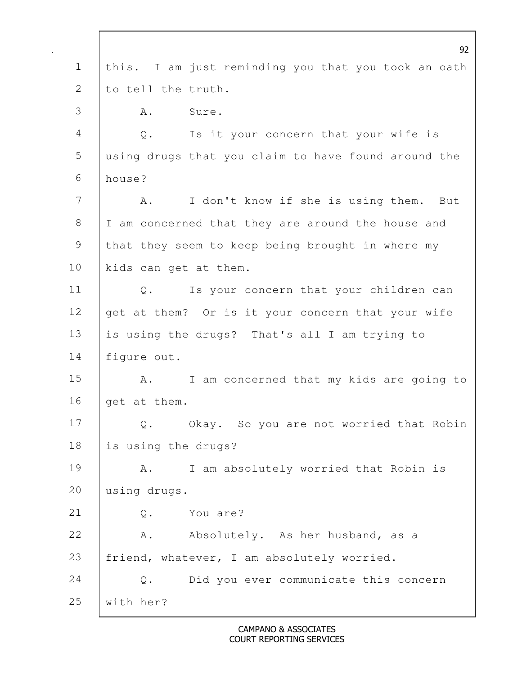|                | 92                                                  |
|----------------|-----------------------------------------------------|
| $\mathbf 1$    | this. I am just reminding you that you took an oath |
| 2              | to tell the truth.                                  |
| 3              | Sure.<br>Α.                                         |
| $\overline{4}$ | Q.<br>Is it your concern that your wife is          |
| 5              | using drugs that you claim to have found around the |
| 6              | house?                                              |
| 7              | I don't know if she is using them. But<br>Α.        |
| $8\,$          | I am concerned that they are around the house and   |
| $\mathsf 9$    | that they seem to keep being brought in where my    |
| 10             | kids can get at them.                               |
| 11             | Is your concern that your children can<br>$Q$ .     |
| 12             | get at them? Or is it your concern that your wife   |
| 13             | is using the drugs? That's all I am trying to       |
| 14             | fiqure out.                                         |
| 15             | I am concerned that my kids are going to<br>A.      |
| 16             | get at them.                                        |
| 17             | Q. Okay. So you are not worried that Robin          |
| 18             | is using the drugs?                                 |
| 19             | I am absolutely worried that Robin is<br>Α.         |
| 20             | using drugs.                                        |
| 21             | You are?<br>Q.                                      |
| 22             | Absolutely. As her husband, as a<br>Α.              |
| 23             | friend, whatever, I am absolutely worried.          |
| 24             | Did you ever communicate this concern<br>$Q$ .      |
| 25             | with her?                                           |

 $\mathsf{l}$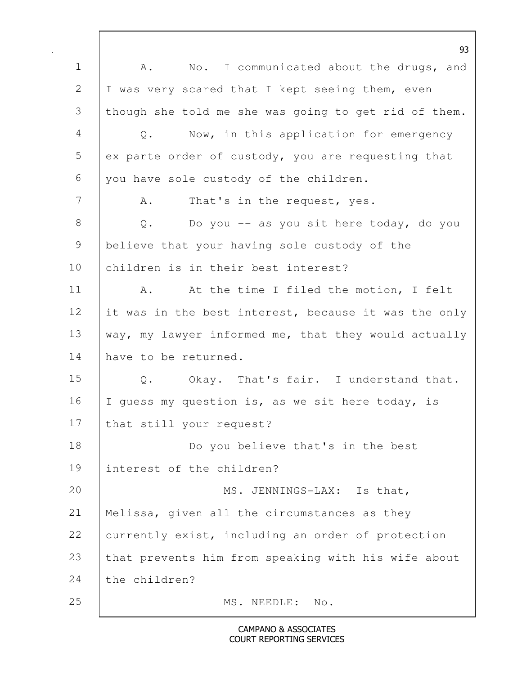93 1 | A. No. I communicated about the drugs, and 2 | I was very scared that I kept seeing them, even 3 though she told me she was going to get rid of them. 4 Q. Now, in this application for emergency  $5$  ex parte order of custody, you are requesting that 6 you have sole custody of the children. 7 | A. That's in the request, yes. 8 | Q. Do you -- as you sit here today, do you 9 believe that your having sole custody of the 10 children is in their best interest? 11 | A. At the time I filed the motion, I felt 12 it was in the best interest, because it was the only 13 | way, my lawyer informed me, that they would actually 14 have to be returned. 15 | Q. Okay. That's fair. I understand that. 16 | I guess my question is, as we sit here today, is 17 that still your request? 18 | Do you believe that's in the best 19 interest of the children? 20 MS. JENNINGS-LAX: Is that, 21 Melissa, given all the circumstances as they 22 currently exist, including an order of protection 23 that prevents him from speaking with his wife about 24 the children? 25 MS. NEEDLE: No.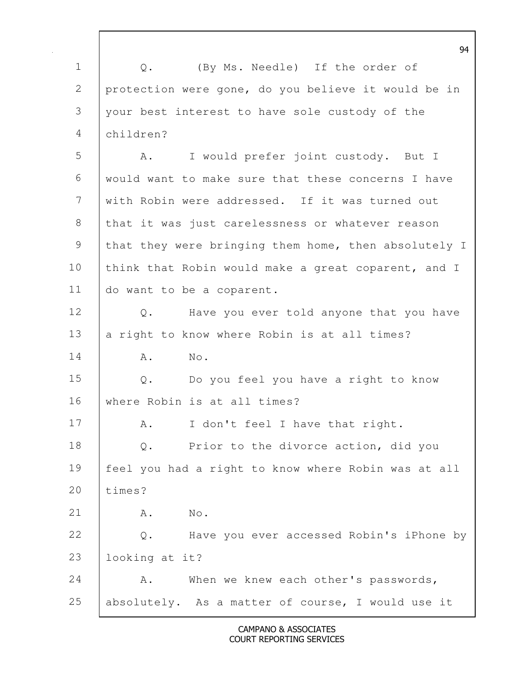94 1 | Q. (By Ms. Needle) If the order of 2 protection were gone, do you believe it would be in 3 your best interest to have sole custody of the 4 children? 5 A. I would prefer joint custody. But I 6 would want to make sure that these concerns I have 7 with Robin were addressed. If it was turned out 8 that it was just carelessness or whatever reason 9 that they were bringing them home, then absolutely I 10 think that Robin would make a great coparent, and I 11 do want to be a coparent. 12 | Q. Have you ever told anyone that you have 13  $\vert$  a right to know where Robin is at all times? 14 | A. No. 15 Q. Do you feel you have a right to know 16 where Robin is at all times? 17 A. I don't feel I have that right. 18 | Q. Prior to the divorce action, did you 19 feel you had a right to know where Robin was at all 20 times? 21 | A. No. 22 Q. Have you ever accessed Robin's iPhone by 23 looking at it? 24 A. When we knew each other's passwords, 25 absolutely. As a matter of course, I would use it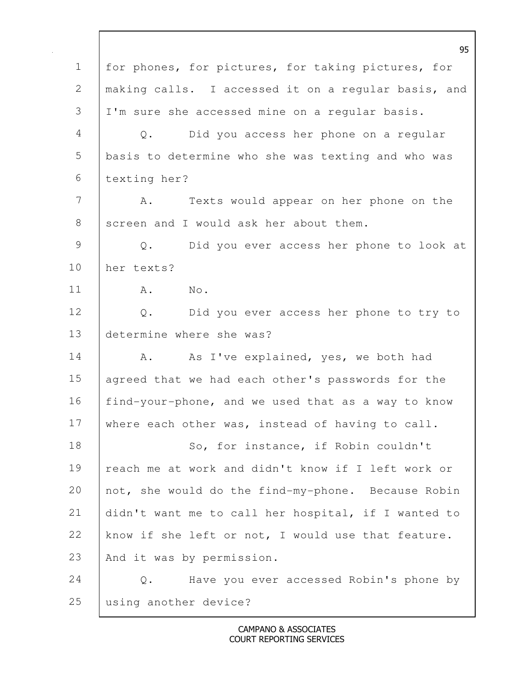|                | 95                                                       |
|----------------|----------------------------------------------------------|
| $\mathbf 1$    | for phones, for pictures, for taking pictures, for       |
| $\mathbf{2}$   | making calls. I accessed it on a regular basis, and      |
| 3              | I'm sure she accessed mine on a regular basis.           |
| $\overline{4}$ | Did you access her phone on a regular<br>$\mathsf{Q}$ .  |
| 5              | basis to determine who she was texting and who was       |
| 6              | texting her?                                             |
| 7              | Texts would appear on her phone on the<br>Α.             |
| $8\,$          | screen and I would ask her about them.                   |
| $\mathcal{G}$  | Did you ever access her phone to look at<br>Q.           |
| 10             | her texts?                                               |
| 11             | No.<br>Α.                                                |
| 12             | $Q$ .<br>Did you ever access her phone to try to         |
| 13             | determine where she was?                                 |
| 14             | As I've explained, yes, we both had<br>Α.                |
| 15             | agreed that we had each other's passwords for the        |
| 16             | find-your-phone, and we used that as a way to know       |
| 17             | where each other was, instead of having to call.         |
| 18             | So, for instance, if Robin couldn't                      |
| 19             | reach me at work and didn't know if I left work or       |
| 20             | not, she would do the find-my-phone. Because Robin       |
| 21             | didn't want me to call her hospital, if I wanted to      |
| 22             | know if she left or not, I would use that feature.       |
| 23             | And it was by permission.                                |
| 24             | Have you ever accessed Robin's phone by<br>$\mathbb Q$ . |
| 25             | using another device?                                    |

 $\mathsf{l}$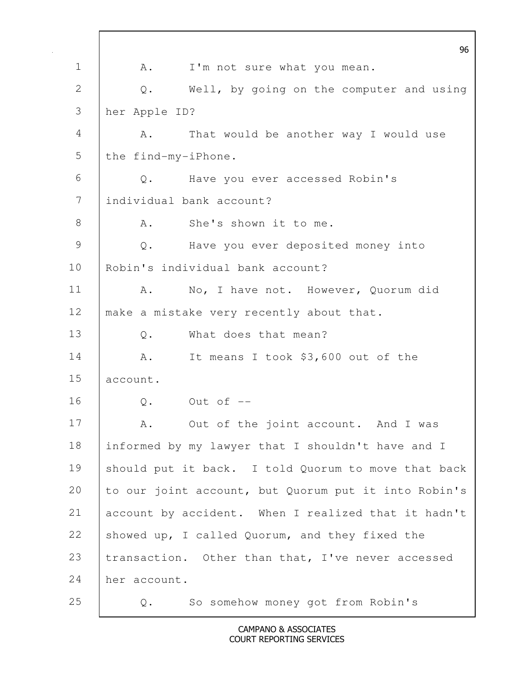96 1 | A. I'm not sure what you mean. 2 Q. Well, by going on the computer and using 3 her Apple ID? 4 | A. That would be another way I would use 5 | the find-my-iPhone. 6 Q. Have you ever accessed Robin's 7 individual bank account? 8 A. She's shown it to me. 9 Q. Have you ever deposited money into 10 Robin's individual bank account? 11 | A. No, I have not. However, Quorum did 12 make a mistake very recently about that. 13 O. What does that mean? 14 A. It means I took \$3,600 out of the 15 account. 16 | 0. Out of --17 | A. Out of the joint account. And I was 18 informed by my lawyer that I shouldn't have and I 19 Should put it back. I told Quorum to move that back 20 to our joint account, but Quorum put it into Robin's 21 account by accident. When I realized that it hadn't 22 showed up, I called Quorum, and they fixed the 23 | transaction. Other than that, I've never accessed 24 her account. 25 Q. So somehow money got from Robin's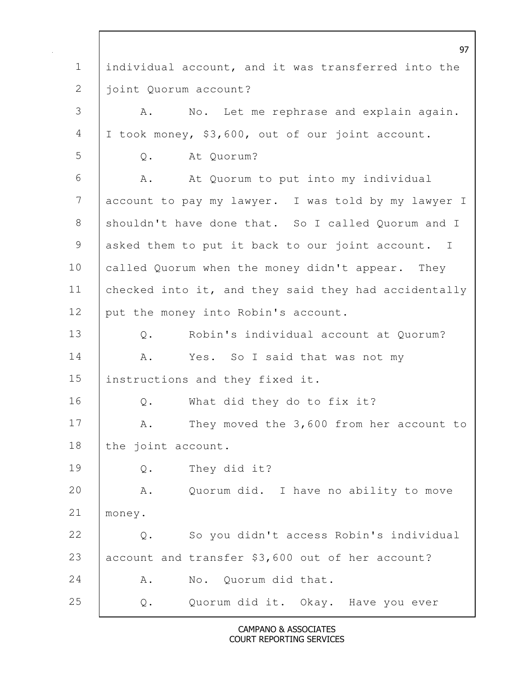97 1 individual account, and it was transferred into the 2 | joint Quorum account? 3 | A. No. Let me rephrase and explain again. 4 I took money, \$3,600, out of our joint account. 5 Q. At Quorum? 6 | A. At Quorum to put into my individual 7 account to pay my lawyer. I was told by my lawyer I 8 shouldn't have done that. So I called Quorum and I 9 asked them to put it back to our joint account. I 10 called Quorum when the money didn't appear. They 11 checked into it, and they said they had accidentally 12 put the money into Robin's account. 13 Q. Robin's individual account at Quorum? 14 | A. Yes. So I said that was not my 15 instructions and they fixed it. 16 Q. What did they do to fix it? 17 A. They moved the 3,600 from her account to 18 the joint account. 19 Q. They did it? 20 A. Quorum did. I have no ability to move 21 money. 22 Q. So you didn't access Robin's individual 23 account and transfer \$3,600 out of her account? 24 A. No. Quorum did that. 25 Q. Quorum did it. Okay. Have you ever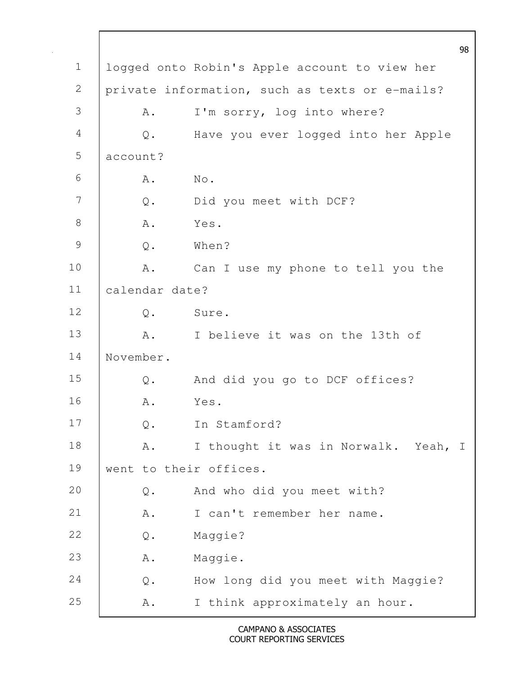98 1 logged onto Robin's Apple account to view her 2 private information, such as texts or e-mails? 3 A. I'm sorry, log into where? 4 Q. Have you ever logged into her Apple 5 account? 6 A. No. 7 Q. Did you meet with DCF? 8 A. Yes. 9 Q. When? 10 | A. Can I use my phone to tell you the 11 calendar date? 12 Q. Sure. 13 A. I believe it was on the 13th of 14 November. 15 Q. And did you go to DCF offices? 16 A. Yes. 17 Q. In Stamford? 18 | A. I thought it was in Norwalk. Yeah, I 19 | went to their offices. 20 Q. And who did you meet with? 21 | A. I can't remember her name. 22 Q. Maggie? 23 | A. Maggie. 24 Q. How long did you meet with Maggie? 25 A. I think approximately an hour.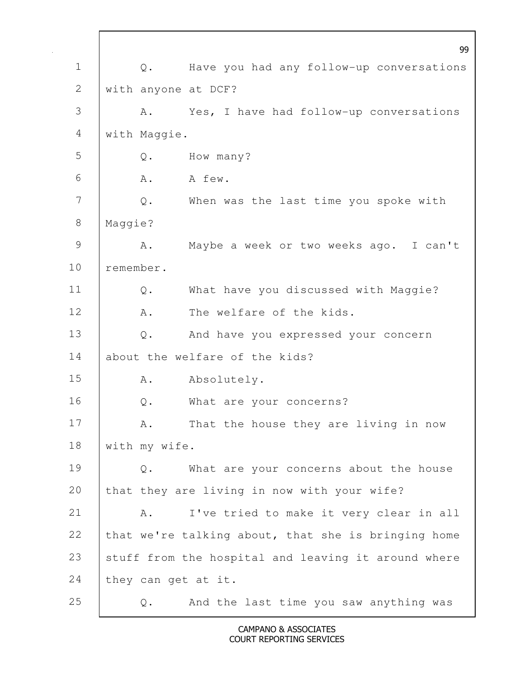99 1 Q. Have you had any follow-up conversations 2 with anyone at DCF? 3 A. Yes, I have had follow-up conversations 4 with Maggie. 5 Q. How many?  $6 \quad A.$  A few. 7 | Q. When was the last time you spoke with 8 Maggie? 9 | A. Maybe a week or two weeks ago. I can't 10 remember. 11 | Q. What have you discussed with Maggie? 12 A. The welfare of the kids. 13 Q. And have you expressed your concern 14 about the welfare of the kids? 15 A. Absolutely. 16 Q. What are your concerns? 17 | A. That the house they are living in now 18 | with my wife. 19 Q. What are your concerns about the house 20 that they are living in now with your wife? 21 A. I've tried to make it very clear in all 22 that we're talking about, that she is bringing home 23 stuff from the hospital and leaving it around where 24 they can get at it. 25 | Q. And the last time you saw anything was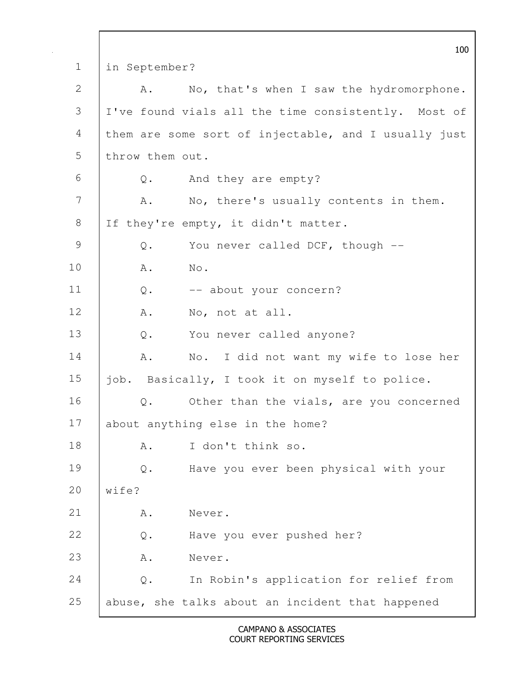100 1 in September? 2 A. No, that's when I saw the hydromorphone. 3 I've found vials all the time consistently. Most of 4 them are some sort of injectable, and I usually just 5 | throw them out. 6 Q. And they are empty? 7 A. No, there's usually contents in them. 8 | If they're empty, it didn't matter. 9 Q. You never called DCF, though --10 A. No. 11 | Q. -- about your concern? 12 A. No, not at all. 13 Q. You never called anyone? 14 | A. No. I did not want my wife to lose her 15 job. Basically, I took it on myself to police. 16 Q. Other than the vials, are you concerned 17 about anything else in the home? 18 A. I don't think so. 19 Q. Have you ever been physical with your 20 Wife? 21 | A. Never. 22 Q. Have you ever pushed her? 23 A. Never. 24 Q. In Robin's application for relief from 25 abuse, she talks about an incident that happened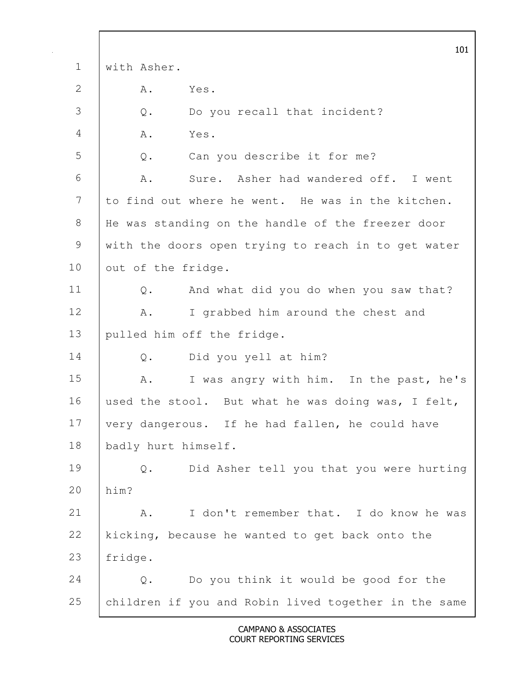101 1 with Asher. 2 A. Yes. 3 Q. Do you recall that incident? 4 A. Yes. 5 Q. Can you describe it for me? 6 A. Sure. Asher had wandered off. I went 7 to find out where he went. He was in the kitchen. 8 | He was standing on the handle of the freezer door 9 with the doors open trying to reach in to get water 10 out of the fridge. 11 Q. And what did you do when you saw that? 12 | A. I grabbed him around the chest and 13 pulled him off the fridge. 14 Q. Did you yell at him? 15 | A. I was angry with him. In the past, he's 16 used the stool. But what he was doing was, I felt, 17 very dangerous. If he had fallen, he could have 18 | badly hurt himself. 19 Q. Did Asher tell you that you were hurting 20 him? 21 A. I don't remember that. I do know he was 22 kicking, because he wanted to get back onto the 23 fridge. 24 Q. Do you think it would be good for the 25 children if you and Robin lived together in the same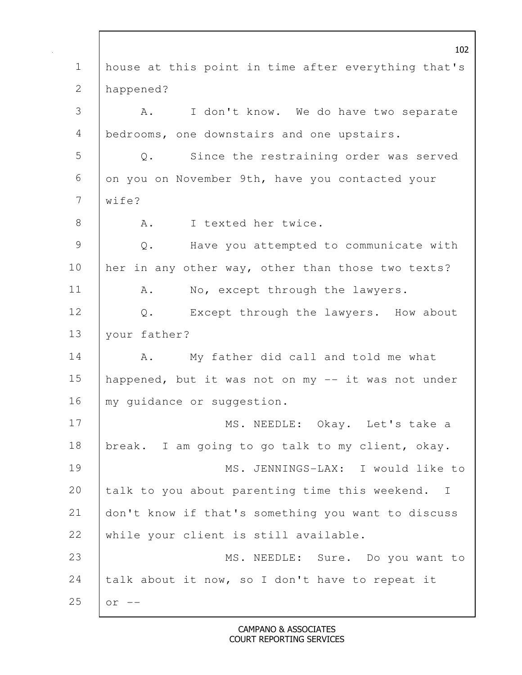102 1 house at this point in time after everything that's 2 happened? 3 | A. I don't know. We do have two separate 4 bedrooms, one downstairs and one upstairs. 5 Q. Since the restraining order was served 6 on you on November 9th, have you contacted your  $7 \quad \text{with} \quad 7$ 8 A. I texted her twice. 9 Q. Have you attempted to communicate with 10 her in any other way, other than those two texts? 11 | A. No, except through the lawyers. 12 Q. Except through the lawyers. How about 13 your father? 14 | A. My father did call and told me what 15 happened, but it was not on my -- it was not under 16 | my quidance or suggestion. 17 | MS. NEEDLE: Okay. Let's take a 18 | break. I am going to go talk to my client, okay. 19 MS. JENNINGS-LAX: I would like to 20 talk to you about parenting time this weekend. I 21 don't know if that's something you want to discuss 22 while your client is still available. 23 | MS. NEEDLE: Sure. Do you want to 24 talk about it now, so I don't have to repeat it 25  $\vert$  or  $-$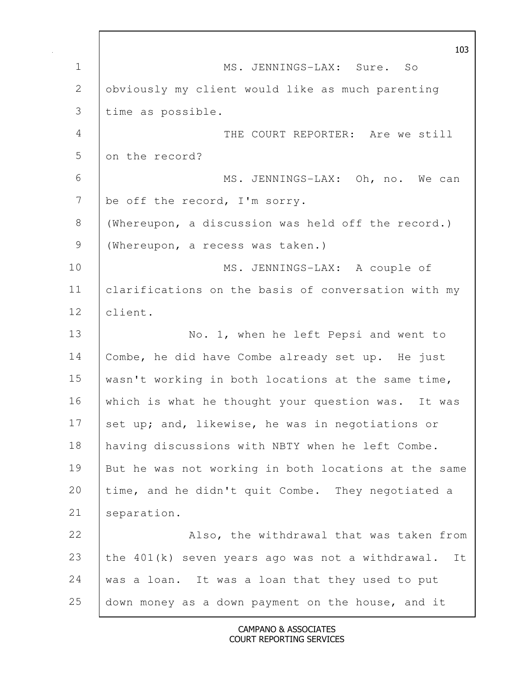|                | 103                                                      |
|----------------|----------------------------------------------------------|
| $\mathbf 1$    | MS. JENNINGS-LAX: Sure. So                               |
| $\mathbf{2}$   | obviously my client would like as much parenting         |
| 3              | time as possible.                                        |
| $\overline{4}$ | THE COURT REPORTER: Are we still                         |
| 5              | on the record?                                           |
| 6              | MS. JENNINGS-LAX: Oh, no. We can                         |
| 7              | be off the record, I'm sorry.                            |
| 8              | (Whereupon, a discussion was held off the record.)       |
| $\mathcal{G}$  | (Whereupon, a recess was taken.)                         |
| 10             | MS. JENNINGS-LAX: A couple of                            |
| 11             | clarifications on the basis of conversation with my      |
| 12             | client.                                                  |
| 13             | No. 1, when he left Pepsi and went to                    |
| 14             | Combe, he did have Combe already set up. He just         |
| 15             | wasn't working in both locations at the same time,       |
| 16             | which is what he thought your question was. It was       |
| 17             | set up; and, likewise, he was in negotiations or         |
| 18             | having discussions with NBTY when he left Combe.         |
| 19             | But he was not working in both locations at the same     |
| 20             | time, and he didn't quit Combe. They negotiated a        |
| 21             | separation.                                              |
| 22             | Also, the withdrawal that was taken from                 |
| 23             | the $401(k)$ seven years ago was not a withdrawal.<br>It |
| 24             | was a loan. It was a loan that they used to put          |
| 25             | down money as a down payment on the house, and it        |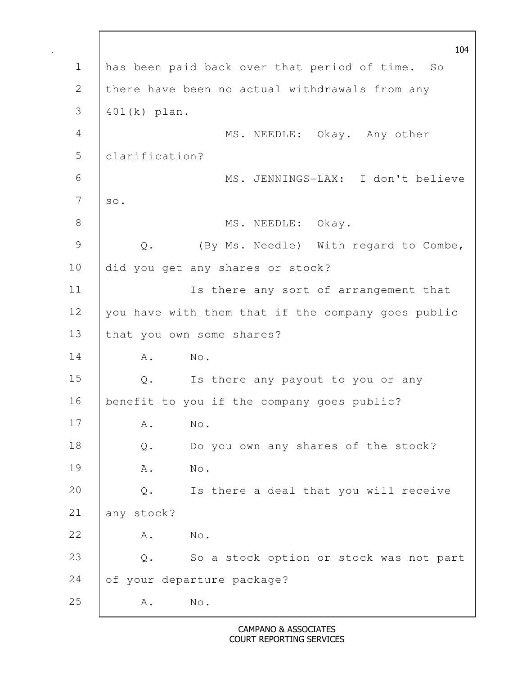|                | 104                                                              |
|----------------|------------------------------------------------------------------|
| $\mathbf 1$    | has been paid back over that period of time. So                  |
| 2              | there have been no actual withdrawals from any                   |
| 3              | $401(k)$ plan.                                                   |
| $\overline{4}$ | MS. NEEDLE: Okay. Any other                                      |
| 5              | clarification?                                                   |
| 6              | MS. JENNINGS-LAX: I don't believe                                |
| 7              | $SO$ .                                                           |
| 8              | MS. NEEDLE: Okay.                                                |
| $\mathcal{G}$  | (By Ms. Needle) With regard to Combe,<br>$\mathbf{\mathbb{Q}}$ . |
| 10             | did you get any shares or stock?                                 |
| 11             | Is there any sort of arrangement that                            |
| 12             | you have with them that if the company goes public               |
| 13             | that you own some shares?                                        |
| 14             | No.<br>Α.                                                        |
| 15             | Q. Is there any payout to you or any                             |
| 16             | benefit to you if the company goes public?                       |
| 17             | Α.<br>No.                                                        |
| 18             | Do you own any shares of the stock?<br>$\mathbb Q$ .             |
| 19             | A .<br>No.                                                       |
| 20             | Is there a deal that you will receive<br>$\mathsf{Q}$ .          |
| 21             | any stock?                                                       |
| 22             | No.<br>A .                                                       |
| 23             | So a stock option or stock was not part<br>$Q$ .                 |
| 24             | of your departure package?                                       |
| 25             | $\mathrm{No}$ .<br>Α.                                            |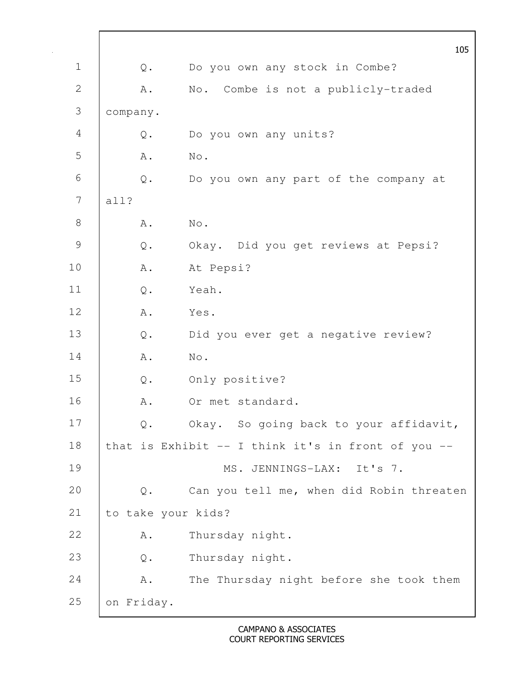|               |                    | 105                                                |
|---------------|--------------------|----------------------------------------------------|
| $\mathbf 1$   | Q.                 | Do you own any stock in Combe?                     |
| 2             | A .                | No. Combe is not a publicly-traded                 |
| 3             | company.           |                                                    |
| 4             | Q.                 | Do you own any units?                              |
| 5             | A .                | No.                                                |
| 6             | Q.                 | Do you own any part of the company at              |
| 7             | all?               |                                                    |
| $8\,$         | Α.                 | No.                                                |
| $\mathcal{G}$ | $\mathsf{Q}$ .     | Okay. Did you get reviews at Pepsi?                |
| 10            | Α.                 | At Pepsi?                                          |
| 11            | $\mathsf{Q}$ .     | Yeah.                                              |
| 12            | Α.                 | Yes.                                               |
| 13            | Q.                 | Did you ever get a negative review?                |
| 14            | A .                | No.                                                |
| 15            | $\mathsf{Q}$ .     | Only positive?                                     |
| 16            | Α.                 | Or met standard.                                   |
| 17            | Q.                 | Okay. So going back to your affidavit,             |
| 18            |                    | that is Exhibit -- I think it's in front of you -- |
| 19            |                    | MS. JENNINGS-LAX: It's 7.                          |
| 20            | Q.                 | Can you tell me, when did Robin threaten           |
| 21            | to take your kids? |                                                    |
| 22            | Α.                 | Thursday night.                                    |
| 23            | $\mathsf{Q}$ .     | Thursday night.                                    |
| 24            | Α.                 | The Thursday night before she took them            |
| 25            | on Friday.         |                                                    |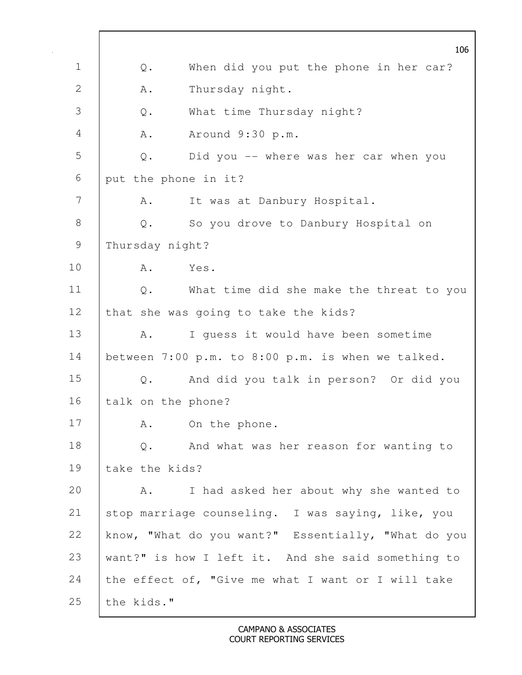106 1 | Q. When did you put the phone in her car? 2 A. Thursday night. 3 Q. What time Thursday night? 4 A. Around 9:30 p.m. 5 Q. Did you -- where was her car when you 6 put the phone in it? 7 | A. It was at Danbury Hospital. 8 | Q. So you drove to Danbury Hospital on 9 Thursday night? 10 | A. Yes. 11 | Q. What time did she make the threat to you 12 that she was going to take the kids? 13 | A. I guess it would have been sometime 14 between 7:00 p.m. to 8:00 p.m. is when we talked. 15 Q. And did you talk in person? Or did you 16 | talk on the phone? 17 | A. On the phone. 18 | Q. And what was her reason for wanting to 19 take the kids? 20 A. I had asked her about why she wanted to 21 stop marriage counseling. I was saying, like, you 22 know, "What do you want?" Essentially, "What do you 23 want?" is how I left it. And she said something to 24 the effect of, "Give me what I want or I will take  $25$  the kids."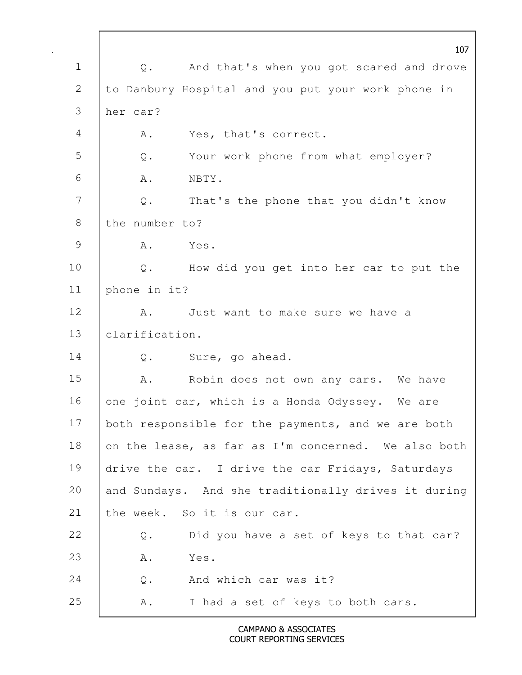107 1 | Q. And that's when you got scared and drove 2 to Danbury Hospital and you put your work phone in 3 her car? 4 | A. Yes, that's correct. 5 Q. Your work phone from what employer?  $6 \quad A. \quad NBTY.$ 7 | Q. That's the phone that you didn't know 8 the number to? 9 A. Yes. 10 | Q. How did you get into her car to put the 11 phone in it? 12 A. Just want to make sure we have a 13 clarification. 14 | Q. Sure, go ahead. 15 | A. Robin does not own any cars. We have 16 one joint car, which is a Honda Odyssey. We are 17 both responsible for the payments, and we are both 18 on the lease, as far as I'm concerned. We also both 19 drive the car. I drive the car Fridays, Saturdays 20 and Sundays. And she traditionally drives it during 21 the week. So it is our car. 22 Q. Did you have a set of keys to that car? 23 A. Yes. 24 | O. And which car was it? 25 A. I had a set of keys to both cars.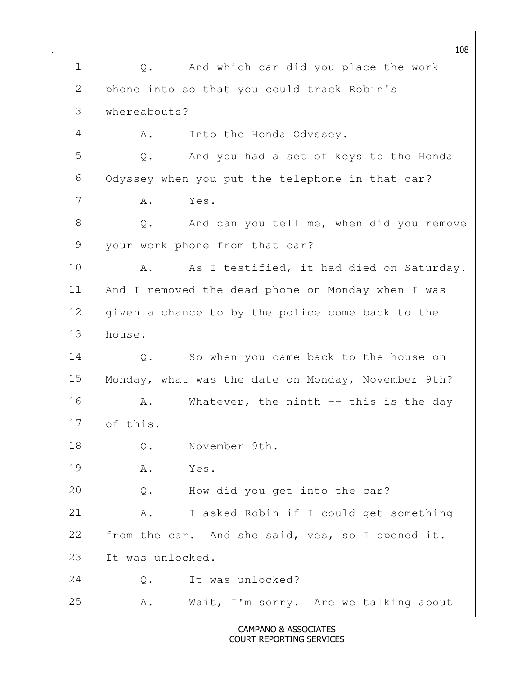108 1 | Q. And which car did you place the work 2 phone into so that you could track Robin's 3 whereabouts? 4 | A. Into the Honda Odyssey. 5 Q. And you had a set of keys to the Honda 6 Odyssey when you put the telephone in that car? 7 A. Yes. 8 Q. And can you tell me, when did you remove 9 your work phone from that car? 10 | A. As I testified, it had died on Saturday. 11 And I removed the dead phone on Monday when I was 12 | given a chance to by the police come back to the 13 house. 14 Q. So when you came back to the house on 15 | Monday, what was the date on Monday, November 9th? 16 | A. Whatever, the ninth -- this is the day 17  $\sqrt{\int$  of this. 18 Q. November 9th. 19 A. Yes. 20 Q. How did you get into the car? 21 | A. I asked Robin if I could get something 22 from the car. And she said, yes, so I opened it. 23 It was unlocked. 24 | O. It was unlocked? 25 A. Wait, I'm sorry. Are we talking about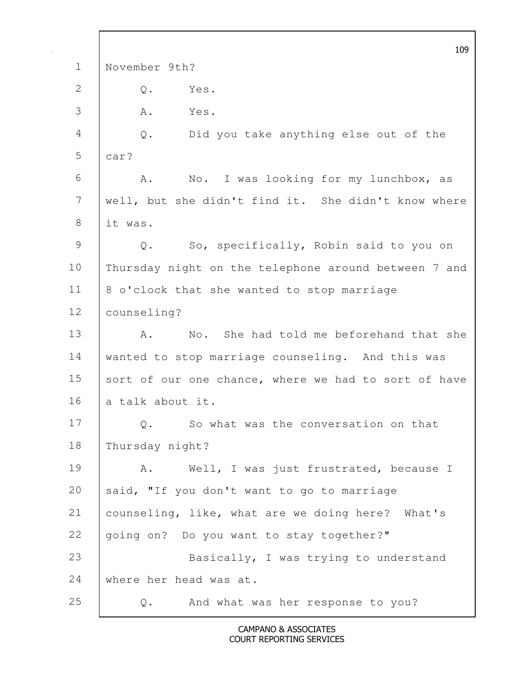|               | 109                                                  |
|---------------|------------------------------------------------------|
| $\mathbf 1$   | November 9th?                                        |
| 2             | Yes.<br>$Q$ .                                        |
| 3             | Α.<br>Yes.                                           |
| 4             | $Q$ .<br>Did you take anything else out of the       |
| 5             | car?                                                 |
| 6             | No. I was looking for my lunchbox, as<br>Α.          |
| 7             | well, but she didn't find it. She didn't know where  |
| 8             | it was.                                              |
| $\mathcal{G}$ | So, specifically, Robin said to you on<br>Q.         |
| 10            | Thursday night on the telephone around between 7 and |
| 11            | 8 o'clock that she wanted to stop marriage           |
| 12            | counseling?                                          |
| 13            | No. She had told me beforehand that she<br>Α.        |
| 14            | wanted to stop marriage counseling. And this was     |
| 15            | sort of our one chance, where we had to sort of have |
| 16            | a talk about it.                                     |
| 17            | Q.<br>So what was the conversation on that           |
| 18            | Thursday night?                                      |
| 19            | Α.<br>Well, I was just frustrated, because I         |
| 20            | said, "If you don't want to go to marriage           |
| 21            | counseling, like, what are we doing here? What's     |
| 22            | going on? Do you want to stay together?"             |
| 23            | Basically, I was trying to understand                |
| 24            | where her head was at.                               |
| 25            | And what was her response to you?<br>Q.              |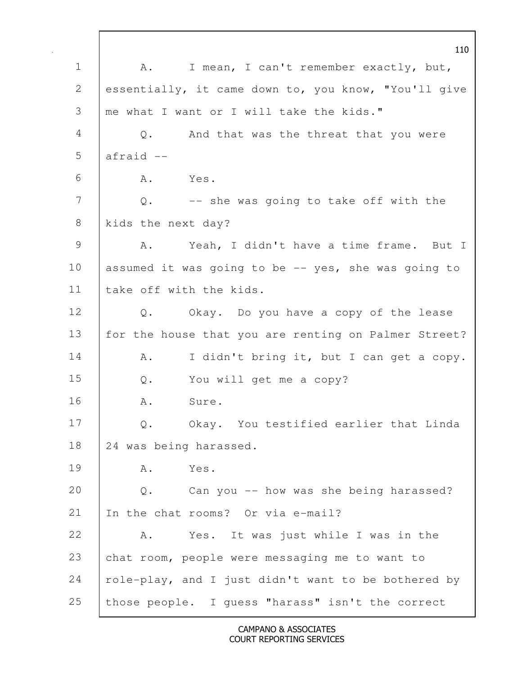110 1 | A. I mean, I can't remember exactly, but, 2 essentially, it came down to, you know, "You'll give 3 me what I want or I will take the kids." 4 Q. And that was the threat that you were  $5$  afraid  $6$   $A$   $Yes$ .  $7$   $Q$ . -- she was going to take off with the 8 kids the next day? 9 | A. Yeah, I didn't have a time frame. But I 10 assumed it was going to be  $-$  yes, she was going to 11 I take off with the kids. 12 Q. Okay. Do you have a copy of the lease 13 | for the house that you are renting on Palmer Street? 14 | A. I didn't bring it, but I can get a copy. 15 Q. You will get me a copy? 16 A. Sure. 17 Q. Okay. You testified earlier that Linda 18 24 was being harassed. 19 A. Yes. 20 Q. Can you -- how was she being harassed? 21 In the chat rooms? Or via e-mail? 22 A. Yes. It was just while I was in the 23 chat room, people were messaging me to want to 24  $\vert$  role-play, and I just didn't want to be bothered by 25 | those people. I guess "harass" isn't the correct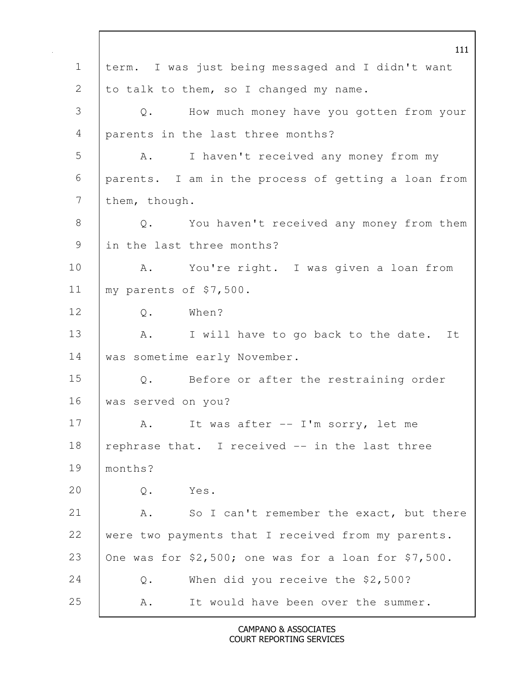111 1 term. I was just being messaged and I didn't want 2 to talk to them, so I changed my name. 3 Q. How much money have you gotten from your 4 parents in the last three months? 5 A. I haven't received any money from my 6 parents. I am in the process of getting a loan from 7 them, though. 8 Q. You haven't received any money from them 9 I in the last three months? 10 | A. You're right. I was given a loan from 11 | my parents of \$7,500. 12 | 0. When? 13 | A. I will have to go back to the date. It 14 | was sometime early November. 15 Q. Before or after the restraining order 16 was served on you? 17 | A. It was after -- I'm sorry, let me 18 | rephrase that. I received -- in the last three 19 months? 20 Q. Yes. 21 A. So I can't remember the exact, but there 22 were two payments that I received from my parents. 23 | One was for  $$2,500$ ; one was for a loan for  $$7,500$ . 24 Q. When did you receive the \$2,500? 25 A. It would have been over the summer.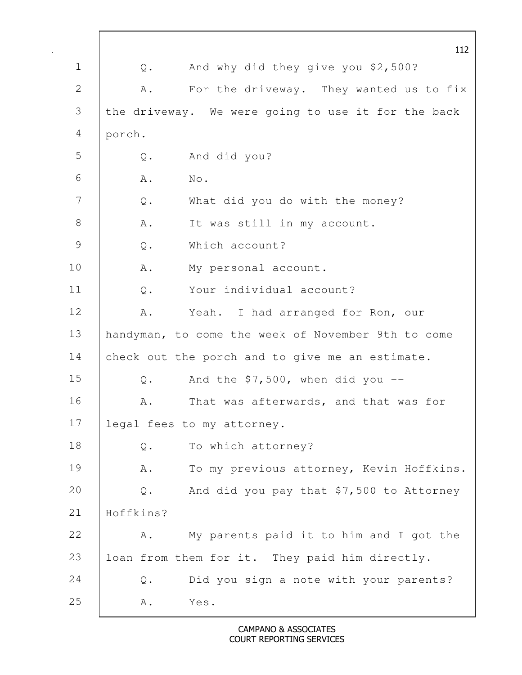|                |                | 112                                                |
|----------------|----------------|----------------------------------------------------|
| $\mathbf 1$    | Q.             | And why did they give you \$2,500?                 |
| 2              | Α.             | For the driveway. They wanted us to fix            |
| $\mathfrak{Z}$ |                | the driveway. We were going to use it for the back |
| 4              | porch.         |                                                    |
| 5              | $\mathbb Q$ .  | And did you?                                       |
| 6              | A .            | No.                                                |
| 7              | Q.             | What did you do with the money?                    |
| $8\,$          | Α.             | It was still in my account.                        |
| $\mathcal{G}$  | Q.             | Which account?                                     |
| 10             | Α.             | My personal account.                               |
| 11             | $Q$ .          | Your individual account?                           |
| 12             | Α.             | Yeah. I had arranged for Ron, our                  |
| 13             |                | handyman, to come the week of November 9th to come |
| 14             |                | check out the porch and to give me an estimate.    |
| 15             | $\mathbb Q$ .  | And the $$7,500$ , when did you --                 |
| 16             | Α.             | That was afterwards, and that was for              |
| 17             |                | legal fees to my attorney.                         |
| 18             | $\mathsf{Q}$ . | To which attorney?                                 |
| 19             | Α.             | To my previous attorney, Kevin Hoffkins.           |
| 20             | $\mathbb Q$ .  | And did you pay that \$7,500 to Attorney           |
| 21             | Hoffkins?      |                                                    |
| 22             | Α.             | My parents paid it to him and I got the            |
| 23             |                | loan from them for it. They paid him directly.     |
| 24             | $Q$ .          | Did you sign a note with your parents?             |
| 25             | A .            | Yes.                                               |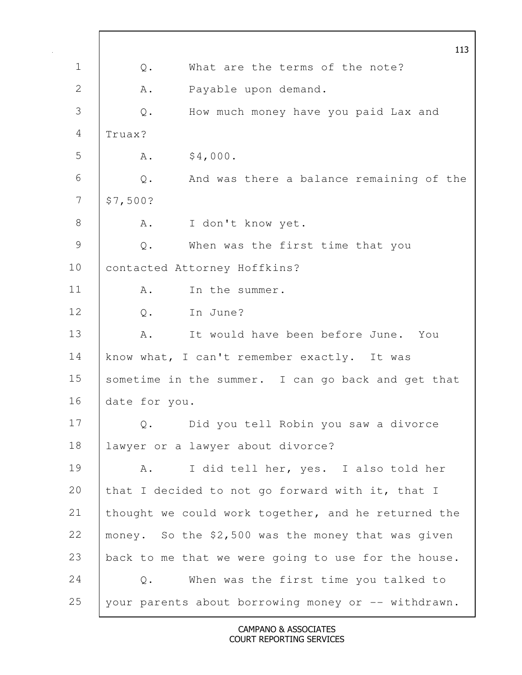113 1 | 0. What are the terms of the note? 2 A. Payable upon demand. 3 Q. How much money have you paid Lax and 4 Truax?  $5 \t\t\t A.$  \$4,000. 6 Q. And was there a balance remaining of the  $7 \frac{\text{S}}{\text{S}}7,500?$ 8 A. I don't know yet. 9 Q. When was the first time that you 10 | contacted Attorney Hoffkins? 11 | A. In the summer. 12 | O. In June? 13 A. It would have been before June. You 14 | know what, I can't remember exactly. It was 15 sometime in the summer. I can go back and get that 16 date for you. 17 Q. Did you tell Robin you saw a divorce 18 lawyer or a lawyer about divorce? 19 | A. I did tell her, yes. I also told her 20 that I decided to not go forward with it, that I 21 thought we could work together, and he returned the 22 money. So the \$2,500 was the money that was given 23 back to me that we were going to use for the house. 24 Q. When was the first time you talked to 25 your parents about borrowing money or -- withdrawn.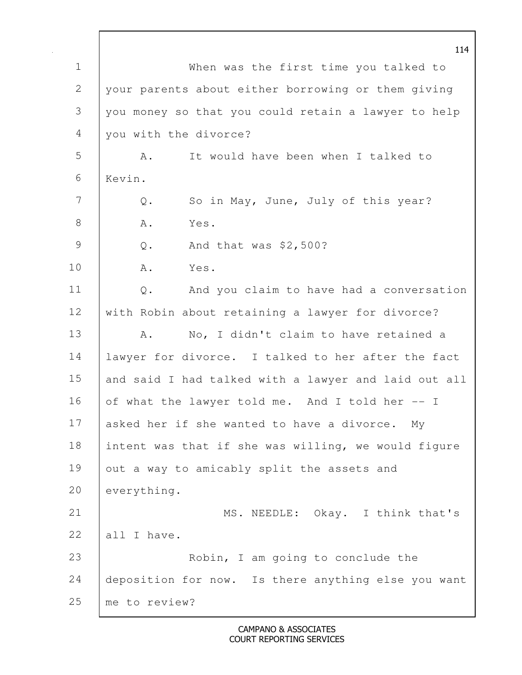114 1 When was the first time you talked to 2 your parents about either borrowing or them giving 3 you money so that you could retain a lawyer to help 4 you with the divorce? 5 A. It would have been when I talked to 6 Kevin. 7 Q. So in May, June, July of this year? 8 A. Yes. 9 Q. And that was \$2,500? 10 A. Yes. 11 Q. And you claim to have had a conversation 12 with Robin about retaining a lawyer for divorce? 13 A. No, I didn't claim to have retained a 14 lawyer for divorce. I talked to her after the fact 15 and said I had talked with a lawyer and laid out all 16 of what the lawyer told me. And I told her  $-1$ 17 asked her if she wanted to have a divorce. My 18 intent was that if she was willing, we would figure 19 out a way to amicably split the assets and 20 everything. 21 | MS. NEEDLE: Okay. I think that's 22 all I have. 23 **CO** Robin, I am going to conclude the 24 deposition for now. Is there anything else you want 25 me to review?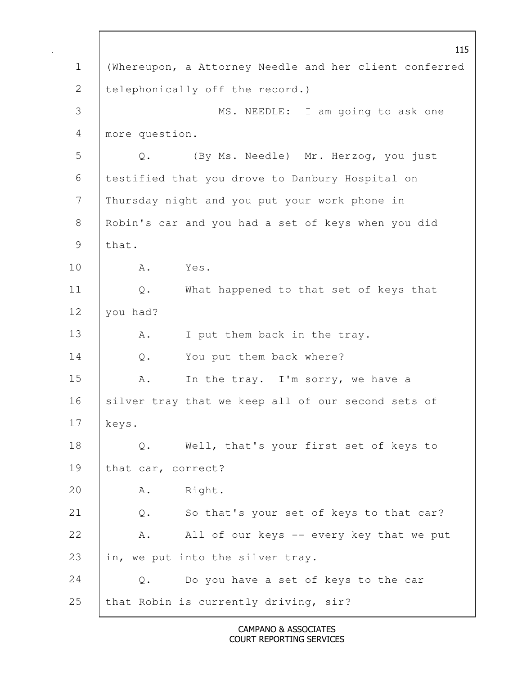115 1 (Whereupon, a Attorney Needle and her client conferred 2 | telephonically off the record.) 3 MS. NEEDLE: I am going to ask one 4 more question. 5 Q. (By Ms. Needle) Mr. Herzog, you just 6 testified that you drove to Danbury Hospital on 7 Thursday night and you put your work phone in 8 Robin's car and you had a set of keys when you did  $9$  that. 10 A. Yes. 11 | Q. What happened to that set of keys that 12 | you had? 13 | A. I put them back in the tray. 14 | Q. You put them back where? 15 A. In the tray. I'm sorry, we have a 16 | silver tray that we keep all of our second sets of 17 keys. 18 Q. Well, that's your first set of keys to 19 that car, correct? 20 A. Right. 21 Q. So that's your set of keys to that car? 22 | A. All of our keys -- every key that we put 23 | in, we put into the silver tray. 24 | Q. Do you have a set of keys to the car 25 that Robin is currently driving, sir?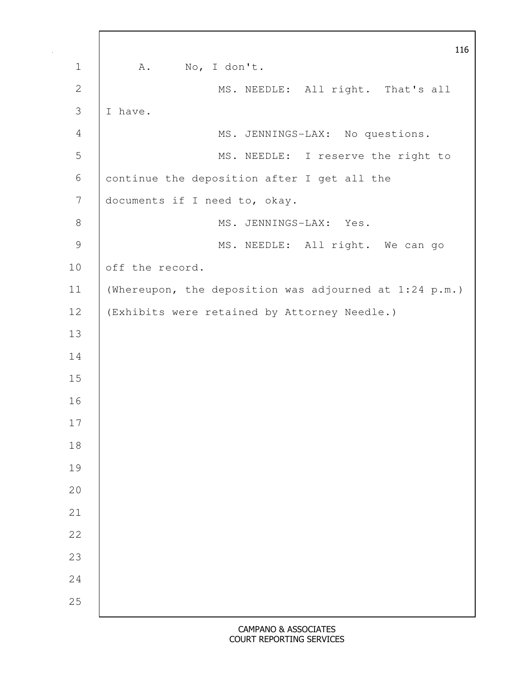|                | 116                                                    |
|----------------|--------------------------------------------------------|
| $\mathbf 1$    | No, I don't.<br>A.                                     |
| $\mathbf{2}$   | MS. NEEDLE: All right. That's all                      |
| $\mathcal{S}$  | I have.                                                |
| $\overline{4}$ | MS. JENNINGS-LAX: No questions.                        |
| 5              | MS. NEEDLE: I reserve the right to                     |
| $\sqrt{6}$     | continue the deposition after I get all the            |
| $\overline{7}$ | documents if I need to, okay.                          |
| $8\,$          | MS. JENNINGS-LAX: Yes.                                 |
| $\mathcal{G}$  | MS. NEEDLE: All right. We can go                       |
| 10             | off the record.                                        |
| 11             | (Whereupon, the deposition was adjourned at 1:24 p.m.) |
| 12             | (Exhibits were retained by Attorney Needle.)           |
| 13             |                                                        |
| 14             |                                                        |
| 15             |                                                        |
| 16             |                                                        |
| 17             |                                                        |
| $1\,8$         |                                                        |
| 19             |                                                        |
| 20             |                                                        |
| 21             |                                                        |
| 22             |                                                        |
| 23             |                                                        |
| 24             |                                                        |
| 25             |                                                        |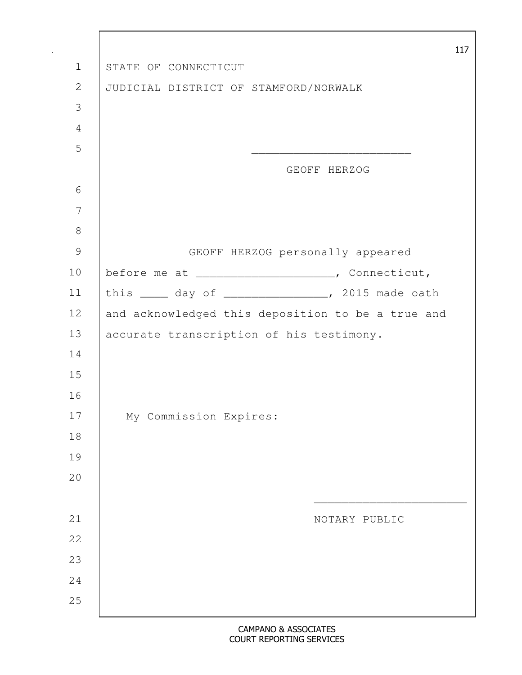|                |                                                     | 117 |
|----------------|-----------------------------------------------------|-----|
| $\mathbf 1$    | STATE OF CONNECTICUT                                |     |
| $\mathbf{2}$   | JUDICIAL DISTRICT OF STAMFORD/NORWALK               |     |
| $\mathfrak{Z}$ |                                                     |     |
| $\overline{4}$ |                                                     |     |
| 5              |                                                     |     |
|                | GEOFF HERZOG                                        |     |
| 6              |                                                     |     |
| 7              |                                                     |     |
| $\,8\,$        |                                                     |     |
| $\mathcal{G}$  | GEOFF HERZOG personally appeared                    |     |
| 10             | before me at _____________________, Connecticut,    |     |
| 11             | this _____ day of _________________, 2015 made oath |     |
| 12             | and acknowledged this deposition to be a true and   |     |
| 13             | accurate transcription of his testimony.            |     |
| 14             |                                                     |     |
| 15             |                                                     |     |
| 16             |                                                     |     |
| 17             | My Commission Expires:                              |     |
| 18             |                                                     |     |
| 19             |                                                     |     |
| $20$           |                                                     |     |
|                |                                                     |     |
| 21             | NOTARY PUBLIC                                       |     |
| 22             |                                                     |     |
| 23             |                                                     |     |
| 24             |                                                     |     |
| 25             |                                                     |     |
|                |                                                     |     |

 $\mathbf{r}$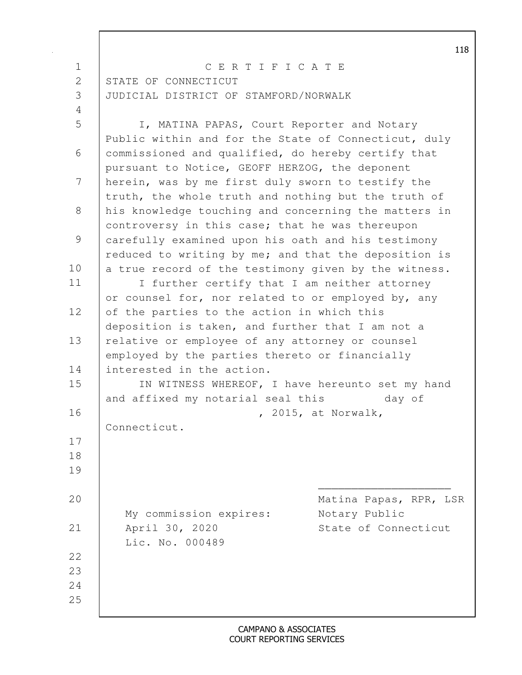|                | CERTIFICATE                                                                                                |  |
|----------------|------------------------------------------------------------------------------------------------------------|--|
| $\mathbf 1$    |                                                                                                            |  |
| $\overline{2}$ | STATE OF CONNECTICUT                                                                                       |  |
| 3              | JUDICIAL DISTRICT OF STAMFORD/NORWALK                                                                      |  |
| $\overline{4}$ |                                                                                                            |  |
| 5              | I, MATINA PAPAS, Court Reporter and Notary<br>Public within and for the State of Connecticut, duly         |  |
| 6              | commissioned and qualified, do hereby certify that<br>pursuant to Notice, GEOFF HERZOG, the deponent       |  |
| 7              | herein, was by me first duly sworn to testify the<br>truth, the whole truth and nothing but the truth of   |  |
| $8\,$          | his knowledge touching and concerning the matters in<br>controversy in this case; that he was thereupon    |  |
| $\mathcal{G}$  | carefully examined upon his oath and his testimony<br>reduced to writing by me; and that the deposition is |  |
| 10             | a true record of the testimony given by the witness.                                                       |  |
| 11             | I further certify that I am neither attorney<br>or counsel for, nor related to or employed by, any         |  |
| 12             | of the parties to the action in which this<br>deposition is taken, and further that I am not a             |  |
| 13             | relative or employee of any attorney or counsel<br>employed by the parties thereto or financially          |  |
| 14             | interested in the action.                                                                                  |  |
| 15             | IN WITNESS WHEREOF, I have hereunto set my hand                                                            |  |
|                | and affixed my notarial seal this<br>day of                                                                |  |
| 16             | , 2015, at Norwalk,                                                                                        |  |
|                | Connecticut.                                                                                               |  |
| 17             |                                                                                                            |  |
| 18             |                                                                                                            |  |
| 19             |                                                                                                            |  |
| 20             | Matina Papas, RPR, LSR                                                                                     |  |
| 21             | My commission expires:<br>Notary Public<br>April 30, 2020<br>State of Connecticut                          |  |
|                | Lic. No. 000489                                                                                            |  |
| 22             |                                                                                                            |  |
| 23             |                                                                                                            |  |
| 24<br>25       |                                                                                                            |  |